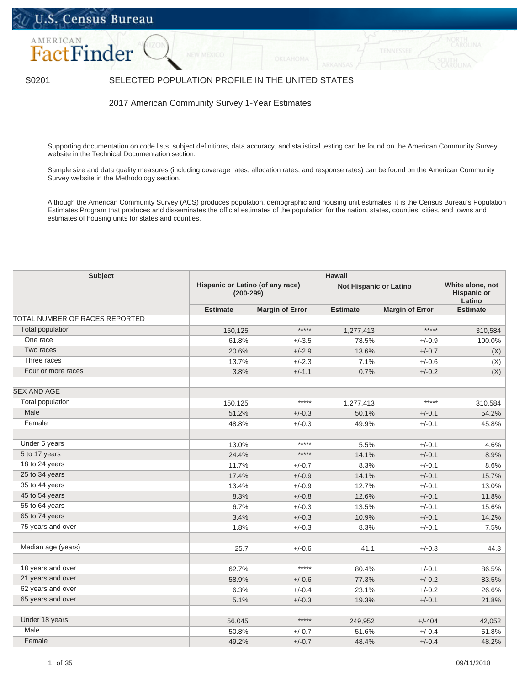## U.S. Census Bureau



## S0201 SELECTED POPULATION PROFILE IN THE UNITED STATES

2017 American Community Survey 1-Year Estimates

Supporting documentation on code lists, subject definitions, data accuracy, and statistical testing can be found on the American Community Survey website in the [Technical Documentation](https://www.census.gov/programs-surveys/acs/technical-documentation/code-lists.html) section.

Sample size and data quality measures (including coverage rates, allocation rates, and response rates) can be found on the American Community Survey website in the [Methodology](https://www.census.gov/acs/www/methodology/sample_size_and_data_quality/) section.

Although the American Community Survey (ACS) produces population, demographic and housing unit estimates, it is the Census Bureau's Population Estimates Program that produces and disseminates the official estimates of the population for the nation, states, counties, cities, and towns and estimates of housing units for states and counties.

| <b>Subject</b>                 | <b>Hawaii</b>                                   |                        |                               |                                                  |                 |  |  |
|--------------------------------|-------------------------------------------------|------------------------|-------------------------------|--------------------------------------------------|-----------------|--|--|
|                                | Hispanic or Latino (of any race)<br>$(200-299)$ |                        | <b>Not Hispanic or Latino</b> | White alone, not<br><b>Hispanic or</b><br>Latino |                 |  |  |
|                                | <b>Estimate</b>                                 | <b>Margin of Error</b> | <b>Estimate</b>               | <b>Margin of Error</b>                           | <b>Estimate</b> |  |  |
| TOTAL NUMBER OF RACES REPORTED |                                                 |                        |                               |                                                  |                 |  |  |
| <b>Total population</b>        | 150,125                                         | $***$ **               | 1,277,413                     | *****                                            | 310,584         |  |  |
| One race                       | 61.8%                                           | $+/-3.5$               | 78.5%                         | $+/-0.9$                                         | 100.0%          |  |  |
| Two races                      | 20.6%                                           | $+/-2.9$               | 13.6%                         | $+/-0.7$                                         | (X)             |  |  |
| Three races                    | 13.7%                                           | $+/-2.3$               | 7.1%                          | $+/-0.6$                                         | (X)             |  |  |
| Four or more races             | 3.8%                                            | $+/-1.1$               | 0.7%                          | $+/-0.2$                                         | (X)             |  |  |
| <b>SEX AND AGE</b>             |                                                 |                        |                               |                                                  |                 |  |  |
| Total population               | 150,125                                         | *****                  | 1,277,413                     | *****                                            | 310,584         |  |  |
| Male                           | 51.2%                                           | $+/-0.3$               | 50.1%                         | $+/-0.1$                                         | 54.2%           |  |  |
| Female                         | 48.8%                                           | $+/-0.3$               | 49.9%                         | $+/-0.1$                                         | 45.8%           |  |  |
| Under 5 years                  | 13.0%                                           | $*****$                | 5.5%                          | $+/-0.1$                                         | 4.6%            |  |  |
| 5 to 17 years                  | 24.4%                                           | $***$ **               | 14.1%                         | $+/-0.1$                                         | 8.9%            |  |  |
| 18 to 24 years                 | 11.7%                                           | $+/-0.7$               | 8.3%                          | $+/-0.1$                                         | 8.6%            |  |  |
| 25 to 34 years                 | 17.4%                                           | $+/-0.9$               | 14.1%                         | $+/-0.1$                                         | 15.7%           |  |  |
| 35 to 44 years                 | 13.4%                                           | $+/-0.9$               | 12.7%                         | $+/-0.1$                                         | 13.0%           |  |  |
| 45 to 54 years                 | 8.3%                                            | $+/-0.8$               | 12.6%                         | $+/-0.1$                                         | 11.8%           |  |  |
| 55 to 64 years                 | 6.7%                                            | $+/-0.3$               | 13.5%                         | $+/-0.1$                                         | 15.6%           |  |  |
| 65 to 74 years                 | 3.4%                                            | $+/-0.3$               | 10.9%                         | $+/-0.1$                                         | 14.2%           |  |  |
| 75 years and over              | 1.8%                                            | $+/-0.3$               | 8.3%                          | $+/-0.1$                                         | 7.5%            |  |  |
| Median age (years)             | 25.7                                            | $+/-0.6$               | 41.1                          | $+/-0.3$                                         | 44.3            |  |  |
| 18 years and over              | 62.7%                                           | $*****$                | 80.4%                         | $+/-0.1$                                         | 86.5%           |  |  |
| 21 years and over              | 58.9%                                           | $+/-0.6$               | 77.3%                         | $+/-0.2$                                         | 83.5%           |  |  |
| 62 years and over              | 6.3%                                            | $+/-0.4$               | 23.1%                         | $+/-0.2$                                         | 26.6%           |  |  |
| 65 years and over              | 5.1%                                            | $+/-0.3$               | 19.3%                         | $+/-0.1$                                         | 21.8%           |  |  |
| Under 18 years                 | 56,045                                          | $***$ **               | 249,952                       | $+/-404$                                         | 42,052          |  |  |
| Male                           | 50.8%                                           | $+/-0.7$               | 51.6%                         | $+/-0.4$                                         | 51.8%           |  |  |
| Female                         | 49.2%                                           | $+/-0.7$               | 48.4%                         | $+/-0.4$                                         | 48.2%           |  |  |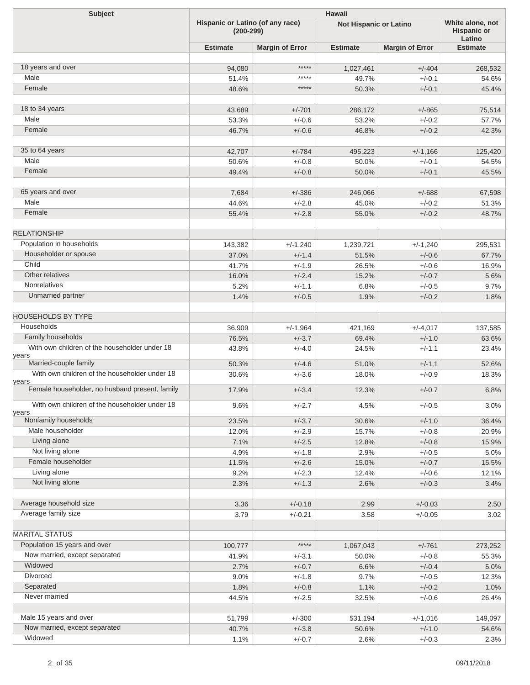| <b>Subject</b>                                          | Hawaii                                          |                        |                        |                        |                                                  |  |  |
|---------------------------------------------------------|-------------------------------------------------|------------------------|------------------------|------------------------|--------------------------------------------------|--|--|
|                                                         | Hispanic or Latino (of any race)<br>$(200-299)$ |                        | Not Hispanic or Latino |                        | White alone, not<br><b>Hispanic or</b><br>Latino |  |  |
|                                                         | <b>Estimate</b>                                 | <b>Margin of Error</b> | <b>Estimate</b>        | <b>Margin of Error</b> | <b>Estimate</b>                                  |  |  |
|                                                         |                                                 |                        |                        |                        |                                                  |  |  |
| 18 years and over                                       | 94,080                                          | *****                  | 1,027,461              | $+/-404$               | 268,532                                          |  |  |
| Male                                                    | 51.4%                                           | *****                  | 49.7%                  | $+/-0.1$               | 54.6%                                            |  |  |
| Female                                                  | 48.6%                                           | *****                  | 50.3%                  | $+/-0.1$               | 45.4%                                            |  |  |
|                                                         |                                                 |                        |                        |                        |                                                  |  |  |
| 18 to 34 years                                          | 43,689                                          | $+/-701$               | 286,172                | $+/-865$               | 75,514                                           |  |  |
| Male                                                    | 53.3%                                           | $+/-0.6$               | 53.2%                  | $+/-0.2$               | 57.7%                                            |  |  |
| Female                                                  | 46.7%                                           | $+/-0.6$               | 46.8%                  | $+/-0.2$               | 42.3%                                            |  |  |
| 35 to 64 years                                          | 42,707                                          | $+/-784$               | 495,223                | $+/-1,166$             | 125,420                                          |  |  |
| Male                                                    | 50.6%                                           | $+/-0.8$               | 50.0%                  | $+/-0.1$               | 54.5%                                            |  |  |
| Female                                                  | 49.4%                                           | $+/-0.8$               | 50.0%                  | $+/-0.1$               | 45.5%                                            |  |  |
|                                                         |                                                 |                        |                        |                        |                                                  |  |  |
| 65 years and over                                       | 7,684                                           | $+/-386$               | 246,066                | $+/-688$               | 67,598                                           |  |  |
| Male                                                    | 44.6%                                           | $+/-2.8$               | 45.0%                  | $+/-0.2$               | 51.3%                                            |  |  |
| Female                                                  | 55.4%                                           | $+/-2.8$               | 55.0%                  | $+/-0.2$               | 48.7%                                            |  |  |
|                                                         |                                                 |                        |                        |                        |                                                  |  |  |
| <b>RELATIONSHIP</b>                                     |                                                 |                        |                        |                        |                                                  |  |  |
| Population in households                                | 143,382                                         | $+/-1,240$             | 1,239,721              | $+/-1,240$             | 295,531                                          |  |  |
| Householder or spouse                                   | 37.0%                                           | $+/-1.4$               | 51.5%                  | $+/-0.6$               | 67.7%                                            |  |  |
| Child                                                   | 41.7%                                           | $+/-1.9$               | 26.5%                  | $+/-0.6$               | 16.9%                                            |  |  |
| Other relatives                                         | 16.0%                                           | $+/-2.4$               | 15.2%                  | $+/-0.7$               | 5.6%                                             |  |  |
| Nonrelatives                                            | 5.2%                                            | $+/-1.1$               | 6.8%                   | $+/-0.5$               | 9.7%                                             |  |  |
| Unmarried partner                                       | 1.4%                                            | $+/-0.5$               | 1.9%                   | $+/-0.2$               | 1.8%                                             |  |  |
| <b>HOUSEHOLDS BY TYPE</b>                               |                                                 |                        |                        |                        |                                                  |  |  |
| Households                                              |                                                 |                        |                        |                        |                                                  |  |  |
| Family households                                       | 36,909                                          | $+/-1,964$             | 421,169                | $+/-4,017$             | 137,585                                          |  |  |
| With own children of the householder under 18           | 76.5%                                           | $+/-3.7$               | 69.4%                  | $+/-1.0$               | 63.6%                                            |  |  |
| years                                                   | 43.8%                                           | $+/-4.0$               | 24.5%                  | $+/-1.1$               | 23.4%                                            |  |  |
| Married-couple family                                   | 50.3%                                           | $+/-4.6$               | 51.0%                  | $+/-1.1$               | 52.6%                                            |  |  |
| With own children of the householder under 18           | 30.6%                                           | $+/-3.6$               | 18.0%                  | $+/-0.9$               | 18.3%                                            |  |  |
| years<br>Female householder, no husband present, family | 17.9%                                           | $+/-3.4$               | 12.3%                  | $+/-0.7$               | 6.8%                                             |  |  |
|                                                         |                                                 |                        |                        |                        |                                                  |  |  |
| With own children of the householder under 18           | 9.6%                                            | $+/-2.7$               | 4.5%                   | $+/-0.5$               | 3.0%                                             |  |  |
| years<br>Nonfamily households                           | 23.5%                                           | $+/-3.7$               | 30.6%                  | $+/-1.0$               | 36.4%                                            |  |  |
| Male householder                                        | 12.0%                                           | $+/-2.9$               | 15.7%                  | $+/-0.8$               | 20.9%                                            |  |  |
| Living alone                                            | 7.1%                                            | $+/-2.5$               | 12.8%                  | $+/-0.8$               | 15.9%                                            |  |  |
| Not living alone                                        | 4.9%                                            | $+/-1.8$               | 2.9%                   | $+/-0.5$               | 5.0%                                             |  |  |
| Female householder                                      | 11.5%                                           | $+/-2.6$               | 15.0%                  | $+/-0.7$               | 15.5%                                            |  |  |
| Living alone                                            | 9.2%                                            | $+/-2.3$               | 12.4%                  | $+/-0.6$               | 12.1%                                            |  |  |
| Not living alone                                        | 2.3%                                            | $+/-1.3$               | 2.6%                   | $+/-0.3$               | 3.4%                                             |  |  |
|                                                         |                                                 |                        |                        |                        |                                                  |  |  |
| Average household size                                  | 3.36                                            | $+/-0.18$              | 2.99                   | $+/-0.03$              | 2.50                                             |  |  |
| Average family size                                     | 3.79                                            | $+/-0.21$              | 3.58                   | $+/-0.05$              | 3.02                                             |  |  |
|                                                         |                                                 |                        |                        |                        |                                                  |  |  |
| <b>MARITAL STATUS</b>                                   |                                                 |                        |                        |                        |                                                  |  |  |
| Population 15 years and over                            | 100,777                                         | *****                  | 1,067,043              | $+/-761$               | 273,252                                          |  |  |
| Now married, except separated                           | 41.9%                                           | $+/-3.1$               | 50.0%                  | $+/-0.8$               | 55.3%                                            |  |  |
| Widowed<br>Divorced                                     | 2.7%                                            | $+/-0.7$               | 6.6%                   | $+/-0.4$               | 5.0%                                             |  |  |
| Separated                                               | 9.0%                                            | $+/-1.8$               | 9.7%                   | $+/-0.5$               | 12.3%                                            |  |  |
| Never married                                           | 1.8%                                            | $+/-0.8$               | 1.1%                   | $+/-0.2$               | 1.0%                                             |  |  |
|                                                         | 44.5%                                           | $+/-2.5$               | 32.5%                  | $+/-0.6$               | 26.4%                                            |  |  |
| Male 15 years and over                                  |                                                 |                        |                        |                        |                                                  |  |  |
| Now married, except separated                           | 51,799<br>40.7%                                 | $+/-300$<br>$+/-3.8$   | 531,194<br>50.6%       | $+/-1,016$<br>$+/-1.0$ | 149,097<br>54.6%                                 |  |  |
| Widowed                                                 | 1.1%                                            | $+/-0.7$               | 2.6%                   | $+/-0.3$               | 2.3%                                             |  |  |
|                                                         |                                                 |                        |                        |                        |                                                  |  |  |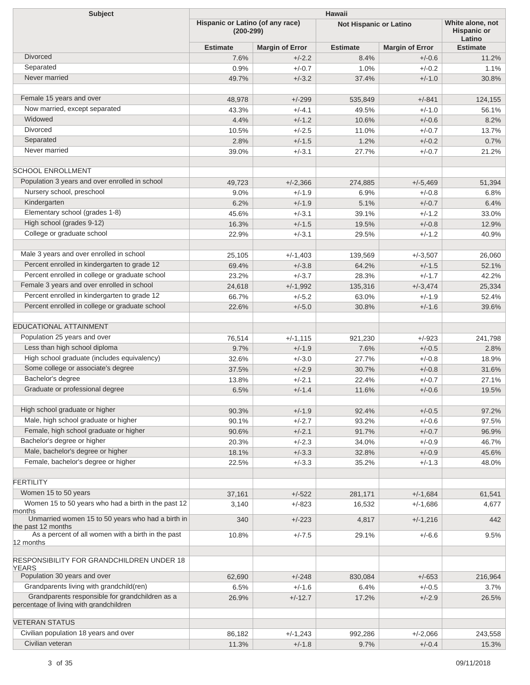| <b>Subject</b>                                                                             | <b>Hawaii</b>                                   |                        |                               |                        |                                                  |  |  |
|--------------------------------------------------------------------------------------------|-------------------------------------------------|------------------------|-------------------------------|------------------------|--------------------------------------------------|--|--|
|                                                                                            | Hispanic or Latino (of any race)<br>$(200-299)$ |                        | <b>Not Hispanic or Latino</b> |                        | White alone, not<br><b>Hispanic or</b><br>Latino |  |  |
|                                                                                            | <b>Estimate</b>                                 | <b>Margin of Error</b> | <b>Estimate</b>               | <b>Margin of Error</b> | <b>Estimate</b>                                  |  |  |
| <b>Divorced</b>                                                                            | 7.6%                                            | $+/-2.2$               | 8.4%                          | $+/-0.6$               | 11.2%                                            |  |  |
| Separated                                                                                  | 0.9%                                            | $+/-0.7$               | 1.0%                          | $+/-0.2$               | 1.1%                                             |  |  |
| Never married                                                                              | 49.7%                                           | $+/-3.2$               | 37.4%                         | $+/-1.0$               | 30.8%                                            |  |  |
| Female 15 years and over                                                                   | 48,978                                          | $+/-299$               | 535,849                       | $+/-841$               | 124,155                                          |  |  |
| Now married, except separated                                                              | 43.3%                                           | $+/-4.1$               | 49.5%                         | $+/-1.0$               | 56.1%                                            |  |  |
| Widowed                                                                                    | 4.4%                                            | $+/-1.2$               | 10.6%                         | $+/-0.6$               | 8.2%                                             |  |  |
| <b>Divorced</b>                                                                            | 10.5%                                           | $+/-2.5$               | 11.0%                         | $+/-0.7$               | 13.7%                                            |  |  |
| Separated                                                                                  | 2.8%                                            | $+/-1.5$               | 1.2%                          | $+/-0.2$               | 0.7%                                             |  |  |
| Never married                                                                              | 39.0%                                           | $+/-3.1$               | 27.7%                         | $+/-0.7$               | 21.2%                                            |  |  |
| <b>SCHOOL ENROLLMENT</b>                                                                   |                                                 |                        |                               |                        |                                                  |  |  |
| Population 3 years and over enrolled in school                                             | 49,723                                          | $+/-2,366$             | 274,885                       | $+/-5,469$             | 51,394                                           |  |  |
| Nursery school, preschool                                                                  | 9.0%                                            | $+/-1.9$               | 6.9%                          | $+/-0.8$               | 6.8%                                             |  |  |
| Kindergarten                                                                               | 6.2%                                            | $+/-1.9$               | 5.1%                          | $+/-0.7$               | 6.4%                                             |  |  |
| Elementary school (grades 1-8)                                                             | 45.6%                                           | $+/-3.1$               | 39.1%                         | $+/-1.2$               | 33.0%                                            |  |  |
| High school (grades 9-12)                                                                  | 16.3%                                           | $+/-1.5$               | 19.5%                         | $+/-0.8$               | 12.9%                                            |  |  |
| College or graduate school                                                                 | 22.9%                                           | $+/-3.1$               | 29.5%                         | $+/-1.2$               | 40.9%                                            |  |  |
| Male 3 years and over enrolled in school                                                   | 25,105                                          | $+/-1,403$             | 139,569                       | $+/-3,507$             | 26,060                                           |  |  |
| Percent enrolled in kindergarten to grade 12                                               | 69.4%                                           | $+/-3.8$               | 64.2%                         | $+/-1.5$               | 52.1%                                            |  |  |
| Percent enrolled in college or graduate school                                             | 23.2%                                           | $+/-3.7$               | 28.3%                         | $+/-1.7$               | 42.2%                                            |  |  |
| Female 3 years and over enrolled in school                                                 | 24,618                                          | $+/-1,992$             | 135,316                       | $+/-3,474$             | 25,334                                           |  |  |
| Percent enrolled in kindergarten to grade 12                                               | 66.7%                                           | $+/-5.2$               | 63.0%                         | $+/-1.9$               | 52.4%                                            |  |  |
| Percent enrolled in college or graduate school                                             | 22.6%                                           | $+/-5.0$               | 30.8%                         | $+/-1.6$               | 39.6%                                            |  |  |
| <b>EDUCATIONAL ATTAINMENT</b>                                                              |                                                 |                        |                               |                        |                                                  |  |  |
| Population 25 years and over                                                               | 76,514                                          | $+/-1,115$             | 921,230                       | $+/-923$               | 241,798                                          |  |  |
| Less than high school diploma                                                              | 9.7%                                            | $+/-1.9$               | 7.6%                          | $+/-0.5$               | 2.8%                                             |  |  |
| High school graduate (includes equivalency)                                                | 32.6%                                           | $+/-3.0$               | 27.7%                         | $+/-0.8$               | 18.9%                                            |  |  |
| Some college or associate's degree                                                         | 37.5%                                           | $+/-2.9$               | 30.7%                         | $+/-0.8$               | 31.6%                                            |  |  |
| Bachelor's degree                                                                          | 13.8%                                           | $+/-2.1$               | 22.4%                         | $+/-0.7$               | 27.1%                                            |  |  |
| Graduate or professional degree                                                            | 6.5%                                            | $+/-1.4$               | 11.6%                         | $+/-0.6$               | 19.5%                                            |  |  |
| High school graduate or higher                                                             | 90.3%                                           | $+/-1.9$               | 92.4%                         | $+/-0.5$               | 97.2%                                            |  |  |
| Male, high school graduate or higher                                                       | 90.1%                                           | $+/-2.7$               | 93.2%                         | $+/-0.6$               | 97.5%                                            |  |  |
| Female, high school graduate or higher                                                     | 90.6%                                           | $+/-2.1$               | 91.7%                         | $+/-0.7$               | 96.9%                                            |  |  |
| Bachelor's degree or higher                                                                | 20.3%                                           | $+/-2.3$               | 34.0%                         | $+/-0.9$               | 46.7%                                            |  |  |
| Male, bachelor's degree or higher                                                          | 18.1%                                           | $+/-3.3$               | 32.8%                         | $+/-0.9$               | 45.6%                                            |  |  |
| Female, bachelor's degree or higher                                                        | 22.5%                                           | $+/-3.3$               | 35.2%                         | $+/-1.3$               | 48.0%                                            |  |  |
| <b>FERTILITY</b>                                                                           |                                                 |                        |                               |                        |                                                  |  |  |
| Women 15 to 50 years                                                                       | 37,161                                          | $+/-522$               | 281,171                       | $+/-1,684$             | 61,541                                           |  |  |
| Women 15 to 50 years who had a birth in the past 12<br>months                              | 3,140                                           | $+/-823$               | 16,532                        | $+/-1,686$             | 4,677                                            |  |  |
| Unmarried women 15 to 50 years who had a birth in<br>the past 12 months                    | 340                                             | $+/-223$               | 4,817                         | $+/-1,216$             | 442                                              |  |  |
| As a percent of all women with a birth in the past<br>12 months                            | 10.8%                                           | $+/-7.5$               | 29.1%                         | $+/-6.6$               | 9.5%                                             |  |  |
|                                                                                            |                                                 |                        |                               |                        |                                                  |  |  |
| RESPONSIBILITY FOR GRANDCHILDREN UNDER 18<br><b>YEARS</b>                                  |                                                 |                        |                               |                        |                                                  |  |  |
| Population 30 years and over                                                               | 62,690                                          | $+/-248$               | 830,084                       | $+/-653$               | 216,964                                          |  |  |
| Grandparents living with grandchild(ren)                                                   | 6.5%                                            | $+/-1.6$               | 6.4%                          | $+/-0.5$               | 3.7%                                             |  |  |
| Grandparents responsible for grandchildren as a<br>percentage of living with grandchildren | 26.9%                                           | $+/-12.7$              | 17.2%                         | $+/-2.9$               | 26.5%                                            |  |  |
| <b>VETERAN STATUS</b>                                                                      |                                                 |                        |                               |                        |                                                  |  |  |
| Civilian population 18 years and over                                                      | 86,182                                          | $+/-1,243$             | 992,286                       | $+/-2,066$             | 243,558                                          |  |  |
| Civilian veteran                                                                           | 11.3%                                           | $+/-1.8$               | 9.7%                          | $+/-0.4$               | 15.3%                                            |  |  |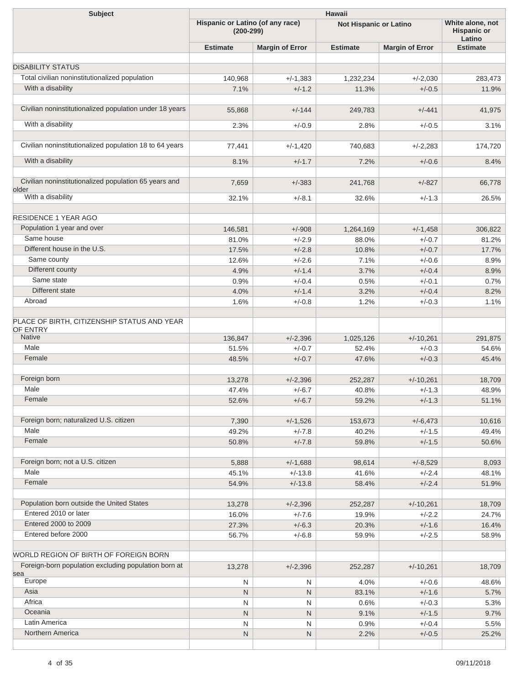| <b>Subject</b>                                                             | Hawaii                                          |                        |                               |                                                  |                 |  |  |
|----------------------------------------------------------------------------|-------------------------------------------------|------------------------|-------------------------------|--------------------------------------------------|-----------------|--|--|
|                                                                            | Hispanic or Latino (of any race)<br>$(200-299)$ |                        | <b>Not Hispanic or Latino</b> | White alone, not<br><b>Hispanic or</b><br>Latino |                 |  |  |
|                                                                            | <b>Estimate</b>                                 | <b>Margin of Error</b> | <b>Estimate</b>               | <b>Margin of Error</b>                           | <b>Estimate</b> |  |  |
|                                                                            |                                                 |                        |                               |                                                  |                 |  |  |
| <b>DISABILITY STATUS</b><br>Total civilian noninstitutionalized population |                                                 |                        |                               |                                                  |                 |  |  |
| With a disability                                                          | 140,968                                         | $+/-1,383$             | 1,232,234                     | $+/-2,030$                                       | 283,473         |  |  |
|                                                                            | 7.1%                                            | $+/-1.2$               | 11.3%                         | $+/-0.5$                                         | 11.9%           |  |  |
| Civilian noninstitutionalized population under 18 years                    | 55,868                                          | $+/-144$               | 249,783                       | $+/-441$                                         | 41,975          |  |  |
| With a disability                                                          | 2.3%                                            | $+/-0.9$               | 2.8%                          | $+/-0.5$                                         | 3.1%            |  |  |
| Civilian noninstitutionalized population 18 to 64 years                    | 77,441                                          | $+/-1,420$             | 740,683                       | $+/-2,283$                                       | 174,720         |  |  |
| With a disability                                                          | 8.1%                                            | $+/-1.7$               | 7.2%                          | $+/-0.6$                                         | 8.4%            |  |  |
| Civilian noninstitutionalized population 65 years and                      | 7,659                                           | $+/-383$               | 241,768                       | $+/-827$                                         | 66,778          |  |  |
| older<br>With a disability                                                 | 32.1%                                           | $+/-8.1$               | 32.6%                         | $+/-1.3$                                         | 26.5%           |  |  |
|                                                                            |                                                 |                        |                               |                                                  |                 |  |  |
| <b>RESIDENCE 1 YEAR AGO</b>                                                |                                                 |                        |                               |                                                  |                 |  |  |
| Population 1 year and over                                                 | 146,581                                         | $+/-908$               | 1,264,169                     | $+/-1,458$                                       | 306,822         |  |  |
| Same house                                                                 | 81.0%                                           | $+/-2.9$               | 88.0%                         | $+/-0.7$                                         | 81.2%           |  |  |
| Different house in the U.S.                                                | 17.5%                                           | $+/-2.8$               | 10.8%                         | $+/-0.7$                                         | 17.7%           |  |  |
| Same county                                                                | 12.6%                                           | $+/-2.6$               | 7.1%                          | $+/-0.6$                                         | 8.9%            |  |  |
| Different county                                                           | 4.9%                                            | $+/-1.4$               | 3.7%                          | $+/-0.4$                                         | 8.9%            |  |  |
| Same state                                                                 | 0.9%                                            | $+/-0.4$               | 0.5%                          | $+/-0.1$                                         | 0.7%            |  |  |
| Different state                                                            | 4.0%                                            | $+/-1.4$               | 3.2%                          | $+/-0.4$                                         | 8.2%            |  |  |
| Abroad                                                                     | 1.6%                                            | $+/-0.8$               | 1.2%                          | $+/-0.3$                                         | 1.1%            |  |  |
| PLACE OF BIRTH, CITIZENSHIP STATUS AND YEAR<br>OF ENTRY                    |                                                 |                        |                               |                                                  |                 |  |  |
| <b>Native</b><br>Male                                                      | 136,847                                         | $+/-2,396$             | 1,025,126                     | $+/-10,261$                                      | 291,875         |  |  |
| Female                                                                     | 51.5%                                           | $+/-0.7$               | 52.4%                         | $+/-0.3$                                         | 54.6%           |  |  |
|                                                                            | 48.5%                                           | $+/-0.7$               | 47.6%                         | $+/-0.3$                                         | 45.4%           |  |  |
| Foreign born                                                               | 13,278                                          | $+/-2,396$             | 252,287                       | $+/-10,261$                                      | 18,709          |  |  |
| Male                                                                       | 47.4%                                           | $+/-6.7$               | 40.8%                         | $+/-1.3$                                         | 48.9%           |  |  |
| Female                                                                     | 52.6%                                           | $+/-6.7$               | 59.2%                         | $+/-1.3$                                         | 51.1%           |  |  |
| Foreign born; naturalized U.S. citizen                                     | 7,390                                           | $+/-1,526$             | 153,673                       | $+/-6,473$                                       | 10,616          |  |  |
| Male                                                                       | 49.2%                                           | $+/-7.8$               | 40.2%                         | $+/-1.5$                                         | 49.4%           |  |  |
| Female                                                                     | 50.8%                                           | $+/-7.8$               | 59.8%                         | $+/-1.5$                                         | 50.6%           |  |  |
| Foreign born; not a U.S. citizen                                           |                                                 |                        |                               |                                                  |                 |  |  |
| Male                                                                       | 5,888                                           | $+/-1,688$             | 98,614                        | $+/-8,529$                                       | 8,093           |  |  |
| Female                                                                     | 45.1%<br>54.9%                                  | $+/-13.8$<br>$+/-13.8$ | 41.6%<br>58.4%                | $+/-2.4$<br>$+/-2.4$                             | 48.1%<br>51.9%  |  |  |
|                                                                            |                                                 |                        |                               |                                                  |                 |  |  |
| Population born outside the United States                                  | 13,278                                          | $+/-2,396$             | 252,287                       | $+/-10,261$                                      | 18,709          |  |  |
| Entered 2010 or later                                                      | 16.0%                                           | $+/-7.6$               | 19.9%                         | $+/-2.2$                                         | 24.7%           |  |  |
| Entered 2000 to 2009                                                       | 27.3%                                           | $+/-6.3$               | 20.3%                         | $+/-1.6$                                         | 16.4%           |  |  |
| Entered before 2000                                                        | 56.7%                                           | $+/-6.8$               | 59.9%                         | $+/-2.5$                                         | 58.9%           |  |  |
| WORLD REGION OF BIRTH OF FOREIGN BORN                                      |                                                 |                        |                               |                                                  |                 |  |  |
| Foreign-born population excluding population born at                       | 13,278                                          | $+/-2,396$             | 252,287                       | $+/-10,261$                                      | 18,709          |  |  |
| sea<br>Europe                                                              | N                                               | N                      | 4.0%                          | $+/-0.6$                                         | 48.6%           |  |  |
| Asia                                                                       | N                                               | N                      | 83.1%                         | $+/-1.6$                                         | 5.7%            |  |  |
| Africa                                                                     | N                                               | N                      | 0.6%                          | $+/-0.3$                                         | 5.3%            |  |  |
| Oceania                                                                    | N                                               | N                      | 9.1%                          | $+/-1.5$                                         | 9.7%            |  |  |
| Latin America                                                              | N                                               | N                      | 0.9%                          | $+/-0.4$                                         | 5.5%            |  |  |
| Northern America                                                           | ${\sf N}$                                       | N                      | 2.2%                          | $+/-0.5$                                         | 25.2%           |  |  |
|                                                                            |                                                 |                        |                               |                                                  |                 |  |  |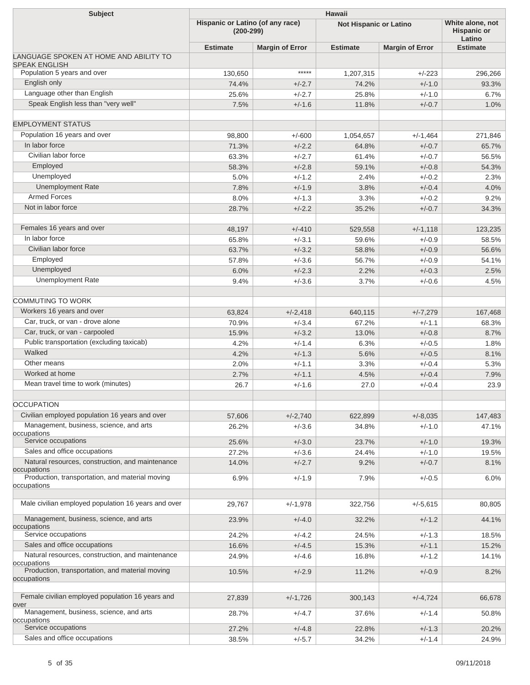| <b>Subject</b>                                                  | <b>Hawaii</b>                                   |                        |                               |                                                  |                 |  |  |
|-----------------------------------------------------------------|-------------------------------------------------|------------------------|-------------------------------|--------------------------------------------------|-----------------|--|--|
|                                                                 | Hispanic or Latino (of any race)<br>$(200-299)$ |                        | <b>Not Hispanic or Latino</b> | White alone, not<br><b>Hispanic or</b><br>Latino |                 |  |  |
|                                                                 | <b>Estimate</b>                                 | <b>Margin of Error</b> | <b>Estimate</b>               | <b>Margin of Error</b>                           | <b>Estimate</b> |  |  |
| LANGUAGE SPOKEN AT HOME AND ABILITY TO<br><b>SPEAK ENGLISH</b>  |                                                 |                        |                               |                                                  |                 |  |  |
| Population 5 years and over                                     | 130,650                                         | *****                  | 1,207,315                     | $+/-223$                                         | 296,266         |  |  |
| English only                                                    | 74.4%                                           | $+/-2.7$               | 74.2%                         | $+/-1.0$                                         | 93.3%           |  |  |
| Language other than English                                     | 25.6%                                           | $+/-2.7$               | 25.8%                         | $+/-1.0$                                         | 6.7%            |  |  |
| Speak English less than "very well"                             | 7.5%                                            | $+/-1.6$               | 11.8%                         | $+/-0.7$                                         | 1.0%            |  |  |
| <b>EMPLOYMENT STATUS</b>                                        |                                                 |                        |                               |                                                  |                 |  |  |
| Population 16 years and over                                    | 98,800                                          | $+/-600$               | 1,054,657                     | $+/-1,464$                                       | 271,846         |  |  |
| In labor force                                                  | 71.3%                                           | $+/-2.2$               | 64.8%                         | $+/-0.7$                                         | 65.7%           |  |  |
| Civilian labor force                                            | 63.3%                                           | $+/-2.7$               | 61.4%                         | $+/-0.7$                                         | 56.5%           |  |  |
| Employed                                                        | 58.3%                                           | $+/-2.8$               | 59.1%                         | $+/-0.8$                                         | 54.3%           |  |  |
| Unemployed                                                      | 5.0%                                            | $+/-1.2$               | 2.4%                          | $+/-0.2$                                         | 2.3%            |  |  |
| <b>Unemployment Rate</b>                                        | 7.8%                                            | $+/-1.9$               | 3.8%                          | $+/-0.4$                                         | 4.0%            |  |  |
| <b>Armed Forces</b>                                             | 8.0%                                            | $+/-1.3$               | 3.3%                          | $+/-0.2$                                         | 9.2%            |  |  |
| Not in labor force                                              | 28.7%                                           | $+/-2.2$               | 35.2%                         | $+/-0.7$                                         | 34.3%           |  |  |
| Females 16 years and over                                       | 48,197                                          | $+/-410$               | 529,558                       | $+/-1,118$                                       | 123,235         |  |  |
| In labor force                                                  | 65.8%                                           | $+/-3.1$               | 59.6%                         | $+/-0.9$                                         | 58.5%           |  |  |
| Civilian labor force                                            | 63.7%                                           | $+/-3.2$               | 58.8%                         | $+/-0.9$                                         | 56.6%           |  |  |
| Employed                                                        | 57.8%                                           | $+/-3.6$               | 56.7%                         | $+/-0.9$                                         | 54.1%           |  |  |
| Unemployed                                                      | 6.0%                                            | $+/-2.3$               | 2.2%                          | $+/-0.3$                                         | 2.5%            |  |  |
| <b>Unemployment Rate</b>                                        | 9.4%                                            | $+/-3.6$               | 3.7%                          | $+/-0.6$                                         | 4.5%            |  |  |
| <b>COMMUTING TO WORK</b>                                        |                                                 |                        |                               |                                                  |                 |  |  |
| Workers 16 years and over                                       | 63,824                                          | $+/-2,418$             | 640,115                       | $+/-7,279$                                       | 167,468         |  |  |
| Car, truck, or van - drove alone                                | 70.9%                                           | $+/-3.4$               | 67.2%                         | $+/-1.1$                                         | 68.3%           |  |  |
| Car, truck, or van - carpooled                                  | 15.9%                                           | $+/-3.2$               | 13.0%                         | $+/-0.8$                                         | 8.7%            |  |  |
| Public transportation (excluding taxicab)                       | 4.2%                                            | $+/-1.4$               | 6.3%                          | $+/-0.5$                                         | 1.8%            |  |  |
| Walked                                                          | 4.2%                                            | $+/-1.3$               | 5.6%                          | $+/-0.5$                                         | 8.1%            |  |  |
| Other means                                                     | 2.0%                                            | $+/-1.1$               | 3.3%                          | $+/-0.4$                                         | 5.3%            |  |  |
| Worked at home                                                  | 2.7%                                            | $+/-1.1$               | 4.5%                          | $+/-0.4$                                         | 7.9%            |  |  |
| Mean travel time to work (minutes)                              | 26.7                                            | $+/-1.6$               | 27.0                          | $+/-0.4$                                         | 23.9            |  |  |
| <b>OCCUPATION</b>                                               |                                                 |                        |                               |                                                  |                 |  |  |
| Civilian employed population 16 years and over                  | 57,606                                          | $+/-2,740$             | 622,899                       | $+/-8,035$                                       | 147,483         |  |  |
| Management, business, science, and arts<br>occupations          | 26.2%                                           | $+/-3.6$               | 34.8%                         | $+/-1.0$                                         | 47.1%           |  |  |
| Service occupations                                             | 25.6%                                           | $+/-3.0$               | 23.7%                         | $+/-1.0$                                         | 19.3%           |  |  |
| Sales and office occupations                                    | 27.2%                                           | $+/-3.6$               | 24.4%                         | $+/-1.0$                                         | 19.5%           |  |  |
| Natural resources, construction, and maintenance<br>occupations | 14.0%                                           | $+/-2.7$               | 9.2%                          | $+/-0.7$                                         | 8.1%            |  |  |
| Production, transportation, and material moving<br>occupations  | 6.9%                                            | $+/-1.9$               | 7.9%                          | $+/-0.5$                                         | 6.0%            |  |  |
| Male civilian employed population 16 years and over             | 29,767                                          | $+/-1,978$             | 322,756                       | $+/-5,615$                                       | 80,805          |  |  |
| Management, business, science, and arts<br>occupations          | 23.9%                                           | $+/-4.0$               | 32.2%                         | $+/-1.2$                                         | 44.1%           |  |  |
| Service occupations                                             | 24.2%                                           | $+/-4.2$               | 24.5%                         | $+/-1.3$                                         | 18.5%           |  |  |
| Sales and office occupations                                    | 16.6%                                           | $+/-4.5$               | 15.3%                         | $+/-1.1$                                         | 15.2%           |  |  |
| Natural resources, construction, and maintenance<br>occupations | 24.9%                                           | $+/-4.6$               | 16.8%                         | $+/-1.2$                                         | 14.1%           |  |  |
| Production, transportation, and material moving<br>occupations  | 10.5%                                           | $+/-2.9$               | 11.2%                         | $+/-0.9$                                         | 8.2%            |  |  |
| Female civilian employed population 16 years and<br>over        | 27,839                                          | $+/-1,726$             | 300,143                       | $+/-4,724$                                       | 66,678          |  |  |
| Management, business, science, and arts<br>occupations          | 28.7%                                           | $+/-4.7$               | 37.6%                         | $+/-1.4$                                         | 50.8%           |  |  |
| Service occupations                                             | 27.2%                                           | $+/-4.8$               | 22.8%                         | $+/-1.3$                                         | 20.2%           |  |  |
| Sales and office occupations                                    | 38.5%                                           | $+/-5.7$               | 34.2%                         | $+/-1.4$                                         | 24.9%           |  |  |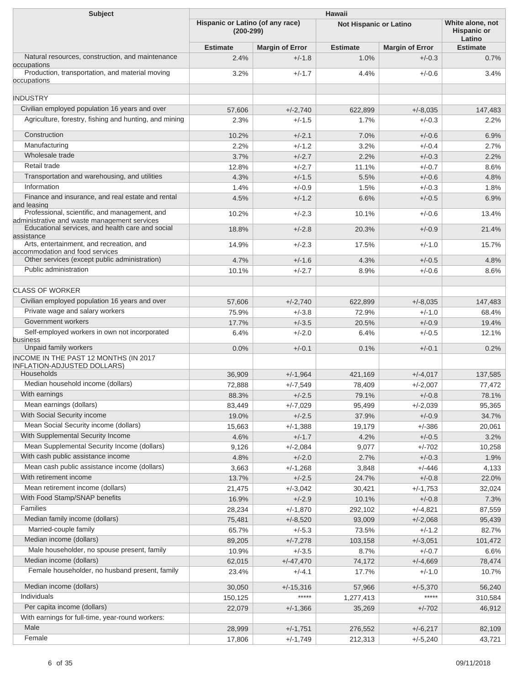| <b>Subject</b>                                                                                |                                                 |                        |                               |                        |                                           |
|-----------------------------------------------------------------------------------------------|-------------------------------------------------|------------------------|-------------------------------|------------------------|-------------------------------------------|
|                                                                                               | Hispanic or Latino (of any race)<br>$(200-299)$ |                        | <b>Not Hispanic or Latino</b> |                        | White alone, not<br>Hispanic or<br>Latino |
|                                                                                               | <b>Estimate</b>                                 | <b>Margin of Error</b> | <b>Estimate</b>               | <b>Margin of Error</b> | <b>Estimate</b>                           |
| Natural resources, construction, and maintenance<br>occupations                               | 2.4%                                            | $+/-1.8$               | 1.0%                          | $+/-0.3$               | 0.7%                                      |
| Production, transportation, and material moving<br>occupations                                | 3.2%                                            | $+/-1.7$               | 4.4%                          | $+/-0.6$               | 3.4%                                      |
| <b>INDUSTRY</b>                                                                               |                                                 |                        |                               |                        |                                           |
| Civilian employed population 16 years and over                                                |                                                 |                        |                               |                        |                                           |
| Agriculture, forestry, fishing and hunting, and mining                                        | 57,606<br>2.3%                                  | $+/-2,740$<br>$+/-1.5$ | 622,899<br>1.7%               | $+/-8,035$<br>$+/-0.3$ | 147,483<br>2.2%                           |
| Construction                                                                                  | 10.2%                                           | $+/-2.1$               | 7.0%                          | $+/-0.6$               | 6.9%                                      |
| Manufacturing                                                                                 | 2.2%                                            | $+/-1.2$               | 3.2%                          | $+/-0.4$               | 2.7%                                      |
| Wholesale trade                                                                               | 3.7%                                            | $+/-2.7$               | 2.2%                          | $+/-0.3$               | 2.2%                                      |
| Retail trade                                                                                  | 12.8%                                           | $+/-2.7$               | 11.1%                         | $+/-0.7$               | 8.6%                                      |
| Transportation and warehousing, and utilities                                                 | 4.3%                                            | $+/-1.5$               | 5.5%                          | $+/-0.6$               | 4.8%                                      |
| Information                                                                                   | 1.4%                                            | $+/-0.9$               | 1.5%                          | $+/-0.3$               | 1.8%                                      |
| Finance and insurance, and real estate and rental                                             | 4.5%                                            | $+/-1.2$               | 6.6%                          | $+/-0.5$               | 6.9%                                      |
| and leasing                                                                                   |                                                 |                        |                               |                        |                                           |
| Professional, scientific, and management, and<br>administrative and waste management services | 10.2%                                           | $+/-2.3$               | 10.1%                         | $+/-0.6$               | 13.4%                                     |
| Educational services, and health care and social<br>assistance                                | 18.8%                                           | $+/-2.8$               | 20.3%                         | $+/-0.9$               | 21.4%                                     |
| Arts, entertainment, and recreation, and<br>accommodation and food services                   | 14.9%                                           | $+/-2.3$               | 17.5%                         | $+/-1.0$               | 15.7%                                     |
| Other services (except public administration)                                                 | 4.7%                                            | $+/-1.6$               | 4.3%                          | $+/-0.5$               | 4.8%                                      |
| Public administration                                                                         | 10.1%                                           | $+/-2.7$               | 8.9%                          | $+/-0.6$               | 8.6%                                      |
| <b>CLASS OF WORKER</b>                                                                        |                                                 |                        |                               |                        |                                           |
| Civilian employed population 16 years and over                                                | 57,606                                          | $+/-2,740$             | 622,899                       | $+/-8,035$             | 147,483                                   |
| Private wage and salary workers                                                               | 75.9%                                           | $+/-3.8$               | 72.9%                         | $+/-1.0$               | 68.4%                                     |
| Government workers                                                                            | 17.7%                                           | $+/-3.5$               | 20.5%                         | $+/-0.9$               | 19.4%                                     |
| Self-employed workers in own not incorporated                                                 | 6.4%                                            | $+/-2.0$               | 6.4%                          | $+/-0.5$               | 12.1%                                     |
| business<br>Unpaid family workers                                                             |                                                 |                        |                               |                        |                                           |
| INCOME IN THE PAST 12 MONTHS (IN 2017                                                         | 0.0%                                            | $+/-0.1$               | 0.1%                          | $+/-0.1$               | 0.2%                                      |
| <b>INFLATION-ADJUSTED DOLLARS)</b><br><b>Households</b>                                       |                                                 |                        |                               |                        |                                           |
| Median household income (dollars)                                                             | 36,909                                          | $+/-1,964$             | 421,169                       | $+/-4,017$             | 137,585                                   |
| With earnings                                                                                 | 72,888                                          | $+/-7,549$             | 78,409                        | $+/-2,007$             | 77,472                                    |
| Mean earnings (dollars)                                                                       | 88.3%                                           | $+/-2.5$               | 79.1%                         | $+/-0.8$               | 78.1%                                     |
| With Social Security income                                                                   | 83,449                                          | $+/-7,029$             | 95,499                        | $+/-2,039$             | 95,365                                    |
| Mean Social Security income (dollars)                                                         | 19.0%                                           | $+/-2.5$               | 37.9%                         | $+/-0.9$               | 34.7%                                     |
| With Supplemental Security Income                                                             | 15,663                                          | $+/-1,388$             | 19,179                        | $+/-386$               | 20,061                                    |
| Mean Supplemental Security Income (dollars)                                                   | 4.6%                                            | $+/-1.7$               | 4.2%                          | $+/-0.5$               | 3.2%                                      |
| With cash public assistance income                                                            | 9,126                                           | $+/-2,084$             | 9,077                         | $+/-702$               | 10,258                                    |
| Mean cash public assistance income (dollars)                                                  | 4.8%                                            | $+/-2.0$               | 2.7%                          | $+/-0.3$               | 1.9%                                      |
| With retirement income                                                                        | 3,663                                           | $+/-1,268$             | 3,848                         | $+/-446$               | 4,133                                     |
|                                                                                               | 13.7%                                           | $+/-2.5$               | 24.7%                         | $+/-0.8$               | 22.0%                                     |
| Mean retirement income (dollars)                                                              | 21,475                                          | $+/-3,042$             | 30,421                        | $+/-1,753$             | 32,024                                    |
| With Food Stamp/SNAP benefits                                                                 | 16.9%                                           | $+/-2.9$               | 10.1%                         | $+/-0.8$               | 7.3%                                      |
| Families                                                                                      | 28,234                                          | $+/-1,870$             | 292,102                       | $+/-4,821$             | 87,559                                    |
| Median family income (dollars)                                                                | 75,481                                          | $+/-8,520$             | 93,009                        | $+/-2,068$             | 95,439                                    |
| Married-couple family                                                                         | 65.7%                                           | $+/-5.3$               | 73.5%                         | $+/-1.2$               | 82.7%                                     |
| Median income (dollars)                                                                       | 89,205                                          | $+/-7,278$             | 103,158                       | $+/-3,051$             | 101,472                                   |
| Male householder, no spouse present, family                                                   | 10.9%                                           | $+/-3.5$               | 8.7%                          | $+/-0.7$               | 6.6%                                      |
| Median income (dollars)                                                                       | 62,015                                          | $+/-47,470$            | 74,172                        | $+/-4,669$             | 78,474                                    |
| Female householder, no husband present, family                                                | 23.4%                                           | $+/-4.1$               | 17.7%                         | $+/-1.0$               | 10.7%                                     |
| Median income (dollars)                                                                       | 30,050                                          | $+/-15,316$            | 57,966                        | $+/-5,370$             | 56,240                                    |
| Individuals                                                                                   | 150,125                                         | $***$ ***              | 1,277,413                     | *****                  | 310,584                                   |
| Per capita income (dollars)<br>With earnings for full-time, year-round workers:               | 22,079                                          | $+/-1,366$             | 35,269                        | $+/-702$               | 46,912                                    |
| Male                                                                                          | 28,999                                          | $+/-1,751$             | 276,552                       | $+/-6,217$             | 82,109                                    |
| Female                                                                                        | 17,806                                          | $+/-1,749$             | 212,313                       | $+/-5,240$             | 43,721                                    |
|                                                                                               |                                                 |                        |                               |                        |                                           |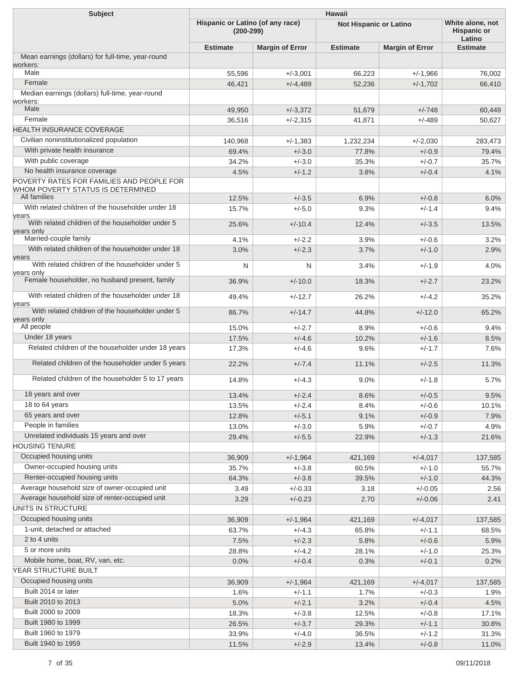| <b>Subject</b>                                                                                 | Hawaii<br>White alone, not                      |                        |                 |                               |                 |  |  |
|------------------------------------------------------------------------------------------------|-------------------------------------------------|------------------------|-----------------|-------------------------------|-----------------|--|--|
|                                                                                                | Hispanic or Latino (of any race)<br>$(200-299)$ |                        |                 | <b>Not Hispanic or Latino</b> |                 |  |  |
|                                                                                                | <b>Estimate</b>                                 | <b>Margin of Error</b> | <b>Estimate</b> | <b>Margin of Error</b>        | <b>Estimate</b> |  |  |
| Mean earnings (dollars) for full-time, year-round                                              |                                                 |                        |                 |                               |                 |  |  |
| workers:<br>Male                                                                               | 55,596                                          | $+/-3,001$             | 66,223          | $+/-1,966$                    | 76,002          |  |  |
| Female                                                                                         | 46,421                                          | $+/-4,489$             | 52,236          | $+/-1,702$                    | 66,410          |  |  |
| Median earnings (dollars) full-time, year-round                                                |                                                 |                        |                 |                               |                 |  |  |
| workers:                                                                                       |                                                 |                        |                 |                               |                 |  |  |
| Male                                                                                           | 49,950                                          | $+/-3,372$             | 51,679          | $+/-748$                      | 60,449          |  |  |
| Female                                                                                         | 36,516                                          | $+/-2,315$             | 41,871          | $+/-489$                      | 50,627          |  |  |
| HEALTH INSURANCE COVERAGE                                                                      |                                                 |                        |                 |                               |                 |  |  |
| Civilian noninstitutionalized population                                                       | 140,968                                         | $+/-1,383$             | 1,232,234       | $+/-2,030$                    | 283,473         |  |  |
| With private health insurance                                                                  | 69.4%                                           | $+/-3.0$               | 77.8%           | $+/-0.9$                      | 79.4%           |  |  |
| With public coverage                                                                           | 34.2%                                           | $+/-3.0$               | 35.3%           | $+/-0.7$                      | 35.7%           |  |  |
| No health insurance coverage                                                                   | 4.5%                                            | $+/-1.2$               | 3.8%            | $+/-0.4$                      | 4.1%            |  |  |
| POVERTY RATES FOR FAMILIES AND PEOPLE FOR<br>WHOM POVERTY STATUS IS DETERMINED<br>All families |                                                 |                        |                 |                               |                 |  |  |
| With related children of the householder under 18                                              | 12.5%                                           | $+/-3.5$               | 6.9%            | $+/-0.8$                      | 6.0%            |  |  |
| vears<br>With related children of the householder under 5                                      | 15.7%<br>25.6%                                  | $+/-5.0$<br>$+/-10.4$  | 9.3%<br>12.4%   | $+/-1.4$<br>$+/-3.5$          | 9.4%<br>13.5%   |  |  |
| vears only                                                                                     |                                                 |                        |                 |                               |                 |  |  |
| Married-couple family                                                                          | 4.1%                                            | $+/-2.2$               | 3.9%            | $+/-0.6$                      | 3.2%            |  |  |
| With related children of the householder under 18<br>vears                                     | 3.0%                                            | $+/-2.3$               | 3.7%            | $+/-1.0$                      | 2.9%            |  |  |
| With related children of the householder under 5<br>vears only                                 | N                                               | N                      | 3.4%            | $+/-1.9$                      | 4.0%            |  |  |
| Female householder, no husband present, family                                                 | 36.9%                                           | $+/-10.0$              | 18.3%           | $+/-2.7$                      | 23.2%           |  |  |
| With related children of the householder under 18                                              | 49.4%                                           | $+/-12.7$              | 26.2%           | $+/-4.2$                      | 35.2%           |  |  |
| vears<br>With related children of the householder under 5<br>vears only                        | 86.7%                                           | $+/-14.7$              | 44.8%           | $+/-12.0$                     | 65.2%           |  |  |
| All people                                                                                     | 15.0%                                           | $+/-2.7$               | 8.9%            | $+/-0.6$                      | 9.4%            |  |  |
| Under 18 years                                                                                 | 17.5%                                           | $+/-4.6$               | 10.2%           | $+/-1.6$                      | 8.5%            |  |  |
| Related children of the householder under 18 years                                             | 17.3%                                           | $+/-4.6$               | 9.6%            | $+/-1.7$                      | 7.6%            |  |  |
| Related children of the householder under 5 years                                              | 22.2%                                           | $+/-7.4$               | 11.1%           | $+/-2.5$                      | 11.3%           |  |  |
| Related children of the householder 5 to 17 years                                              | 14.8%                                           | $+/-4.3$               | 9.0%            | $+/-1.8$                      | 5.7%            |  |  |
| 18 years and over                                                                              | 13.4%                                           | $+/-2.4$               | 8.6%            | $+/-0.5$                      | 9.5%            |  |  |
| 18 to 64 years                                                                                 | 13.5%                                           | $+/-2.4$               | 8.4%            | $+/-0.6$                      | 10.1%           |  |  |
| 65 years and over                                                                              | 12.8%                                           | $+/-5.1$               | 9.1%            | $+/-0.9$                      | 7.9%            |  |  |
| People in families                                                                             | 13.0%                                           | $+/-3.0$               | 5.9%            | $+/-0.7$                      | 4.9%            |  |  |
| Unrelated individuals 15 years and over                                                        | 29.4%                                           | $+/-5.5$               | 22.9%           | $+/-1.3$                      | 21.6%           |  |  |
| <b>HOUSING TENURE</b>                                                                          |                                                 |                        |                 |                               |                 |  |  |
| Occupied housing units                                                                         | 36,909                                          | $+/-1,964$             | 421,169         | $+/-4,017$                    | 137,585         |  |  |
| Owner-occupied housing units                                                                   | 35.7%                                           | $+/-3.8$               | 60.5%           | $+/-1.0$                      | 55.7%           |  |  |
| Renter-occupied housing units                                                                  | 64.3%                                           | $+/-3.8$               | 39.5%           | $+/-1.0$                      | 44.3%           |  |  |
| Average household size of owner-occupied unit                                                  | 3.49                                            | $+/-0.33$              | 3.18            | $+/-0.05$                     | 2.56            |  |  |
| Average household size of renter-occupied unit                                                 | 3.29                                            | $+/-0.23$              | 2.70            | $+/-0.06$                     | 2.41            |  |  |
| UNITS IN STRUCTURE                                                                             |                                                 |                        |                 |                               |                 |  |  |
| Occupied housing units                                                                         | 36,909                                          | $+/-1,964$             | 421,169         | $+/-4,017$                    | 137,585         |  |  |
| 1-unit, detached or attached                                                                   | 63.7%                                           | $+/-4.3$               | 65.8%           | $+/-1.1$                      | 68.5%           |  |  |
| 2 to 4 units                                                                                   | 7.5%                                            | $+/-2.3$               | 5.8%            | $+/-0.6$                      | 5.9%            |  |  |
| 5 or more units                                                                                | 28.8%                                           | $+/-4.2$               | 28.1%           | $+/-1.0$                      | 25.3%           |  |  |
| Mobile home, boat, RV, van, etc.                                                               | 0.0%                                            | $+/-0.4$               | 0.3%            | $+/-0.1$                      | 0.2%            |  |  |
| YEAR STRUCTURE BUILT                                                                           |                                                 |                        |                 |                               |                 |  |  |
| Occupied housing units                                                                         | 36,909                                          | $+/-1,964$             | 421,169         | $+/-4,017$                    | 137,585         |  |  |
| Built 2014 or later                                                                            | 1.6%                                            | $+/-1.1$               | 1.7%            | $+/-0.3$                      | 1.9%            |  |  |
| Built 2010 to 2013                                                                             | 5.0%                                            | $+/-2.1$               | 3.2%            | $+/-0.4$                      | 4.5%            |  |  |
| Built 2000 to 2009                                                                             | 18.3%                                           | $+/-3.8$               | 12.5%           | $+/-0.8$                      | 17.1%           |  |  |
| Built 1980 to 1999                                                                             | 26.5%                                           | $+/-3.7$               | 29.3%           | $+/-1.1$                      | 30.8%           |  |  |
| Built 1960 to 1979                                                                             | 33.9%                                           | $+/-4.0$               | 36.5%           | $+/-1.2$                      | 31.3%           |  |  |
| Built 1940 to 1959                                                                             | 11.5%                                           | $+/-2.9$               | 13.4%           | $+/-0.8$                      | 11.0%           |  |  |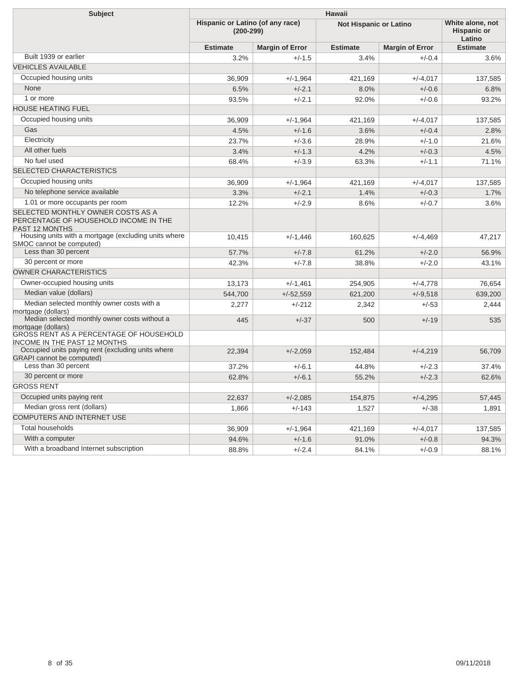| <b>Subject</b>                                                                               | <b>Hawaii</b>                                   |                        |                               |                        |                                                  |  |  |
|----------------------------------------------------------------------------------------------|-------------------------------------------------|------------------------|-------------------------------|------------------------|--------------------------------------------------|--|--|
|                                                                                              | Hispanic or Latino (of any race)<br>$(200-299)$ |                        | <b>Not Hispanic or Latino</b> |                        | White alone, not<br><b>Hispanic or</b><br>Latino |  |  |
|                                                                                              | <b>Estimate</b>                                 | <b>Margin of Error</b> | <b>Estimate</b>               | <b>Margin of Error</b> | <b>Estimate</b>                                  |  |  |
| Built 1939 or earlier                                                                        | 3.2%                                            | $+/-1.5$               | 3.4%                          | $+/-0.4$               | 3.6%                                             |  |  |
| <b>VEHICLES AVAILABLE</b>                                                                    |                                                 |                        |                               |                        |                                                  |  |  |
| Occupied housing units                                                                       | 36,909                                          | $+/-1.964$             | 421,169                       | $+/-4.017$             | 137.585                                          |  |  |
| None                                                                                         | 6.5%                                            | $+/-2.1$               | 8.0%                          | $+/-0.6$               | 6.8%                                             |  |  |
| 1 or more                                                                                    | 93.5%                                           | $+/-2.1$               | 92.0%                         | $+/-0.6$               | 93.2%                                            |  |  |
| <b>HOUSE HEATING FUEL</b>                                                                    |                                                 |                        |                               |                        |                                                  |  |  |
| Occupied housing units                                                                       | 36,909                                          | $+/-1,964$             | 421,169                       | $+/-4,017$             | 137,585                                          |  |  |
| Gas                                                                                          | 4.5%                                            | $+/-1.6$               | 3.6%                          | $+/-0.4$               | 2.8%                                             |  |  |
| Electricity                                                                                  | 23.7%                                           | $+/-3.6$               | 28.9%                         | $+/-1.0$               | 21.6%                                            |  |  |
| All other fuels                                                                              | 3.4%                                            | $+/-1.3$               | 4.2%                          | $+/-0.3$               | 4.5%                                             |  |  |
| No fuel used                                                                                 | 68.4%                                           | $+/-3.9$               | 63.3%                         | $+/-1.1$               | 71.1%                                            |  |  |
| <b>SELECTED CHARACTERISTICS</b>                                                              |                                                 |                        |                               |                        |                                                  |  |  |
| Occupied housing units                                                                       | 36,909                                          | $+/-1.964$             | 421,169                       | $+/-4.017$             | 137,585                                          |  |  |
| No telephone service available                                                               | 3.3%                                            | $+/-2.1$               | 1.4%                          | $+/-0.3$               | 1.7%                                             |  |  |
| 1.01 or more occupants per room                                                              | 12.2%                                           | $+/-2.9$               | 8.6%                          | $+/-0.7$               | 3.6%                                             |  |  |
| SELECTED MONTHLY OWNER COSTS AS A<br>PERCENTAGE OF HOUSEHOLD INCOME IN THE<br>PAST 12 MONTHS |                                                 |                        |                               |                        |                                                  |  |  |
| Housing units with a mortgage (excluding units where<br>SMOC cannot be computed)             | 10,415                                          | $+/-1.446$             | 160,625                       | $+/-4,469$             | 47,217                                           |  |  |
| Less than 30 percent                                                                         | 57.7%                                           | $+/-7.8$               | 61.2%                         | $+/-2.0$               | 56.9%                                            |  |  |
| 30 percent or more                                                                           | 42.3%                                           | $+/-7.8$               | 38.8%                         | $+/-2.0$               | 43.1%                                            |  |  |
| <b>OWNER CHARACTERISTICS</b>                                                                 |                                                 |                        |                               |                        |                                                  |  |  |
| Owner-occupied housing units                                                                 | 13,173                                          | $+/-1,461$             | 254,905                       | $+/-4,778$             | 76,654                                           |  |  |
| Median value (dollars)                                                                       | 544,700                                         | $+/-52,559$            | 621,200                       | $+/-9.518$             | 639,200                                          |  |  |
| Median selected monthly owner costs with a<br>mortgage (dollars)                             | 2,277                                           | $+/-212$               | 2,342                         | $+/-53$                | 2,444                                            |  |  |
| Median selected monthly owner costs without a<br>mortgage (dollars)                          | 445                                             | $+/-37$                | 500                           | $+/-19$                | 535                                              |  |  |
| GROSS RENT AS A PERCENTAGE OF HOUSEHOLD<br><b>INCOME IN THE PAST 12 MONTHS</b>               |                                                 |                        |                               |                        |                                                  |  |  |
| Occupied units paying rent (excluding units where<br><b>GRAPI</b> cannot be computed)        | 22,394                                          | $+/-2,059$             | 152,484                       | $+/-4,219$             | 56,709                                           |  |  |
| Less than 30 percent                                                                         | 37.2%                                           | $+/-6.1$               | 44.8%                         | $+/-2.3$               | 37.4%                                            |  |  |
| 30 percent or more                                                                           | 62.8%                                           | $+/-6.1$               | 55.2%                         | $+/-2.3$               | 62.6%                                            |  |  |
| <b>GROSS RENT</b>                                                                            |                                                 |                        |                               |                        |                                                  |  |  |
| Occupied units paying rent                                                                   | 22,637                                          | $+/-2,085$             | 154,875                       | $+/-4,295$             | 57,445                                           |  |  |
| Median gross rent (dollars)                                                                  | 1,866                                           | $+/-143$               | 1,527                         | $+/-38$                | 1,891                                            |  |  |
| <b>COMPUTERS AND INTERNET USE</b>                                                            |                                                 |                        |                               |                        |                                                  |  |  |
| <b>Total households</b>                                                                      | 36,909                                          | $+/-1.964$             | 421.169                       | $+/-4.017$             | 137,585                                          |  |  |
| With a computer                                                                              | 94.6%                                           | $+/-1.6$               | 91.0%                         | $+/-0.8$               | 94.3%                                            |  |  |
| With a broadband Internet subscription                                                       | 88.8%                                           | $+/-2.4$               | 84.1%                         | $+/-0.9$               | 88.1%                                            |  |  |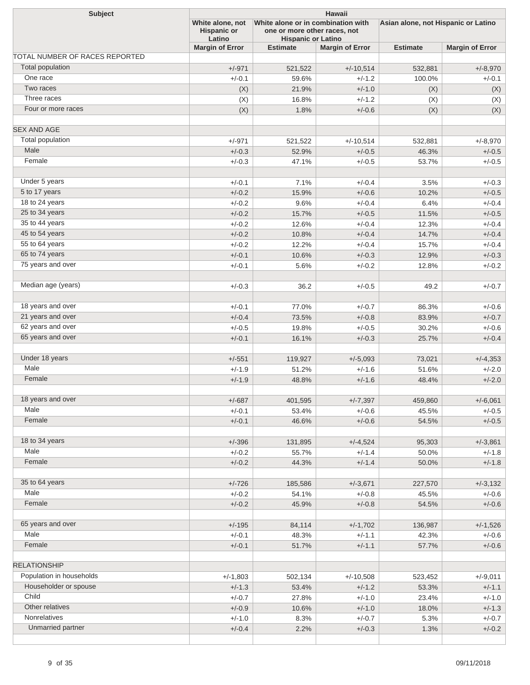| Subject                        | White alone, not<br><b>Hispanic or</b><br>Latino | <b>Hawaii</b><br>White alone or in combination with<br>one or more other races, not<br><b>Hispanic or Latino</b> |                        |                 | Asian alone, not Hispanic or Latino |  |
|--------------------------------|--------------------------------------------------|------------------------------------------------------------------------------------------------------------------|------------------------|-----------------|-------------------------------------|--|
|                                | <b>Margin of Error</b>                           | <b>Estimate</b>                                                                                                  | <b>Margin of Error</b> | <b>Estimate</b> | <b>Margin of Error</b>              |  |
| TOTAL NUMBER OF RACES REPORTED |                                                  |                                                                                                                  |                        |                 |                                     |  |
| <b>Total population</b>        | $+/-971$                                         | 521,522                                                                                                          | $+/-10,514$            | 532,881         | $+/-8,970$                          |  |
| One race                       | $+/-0.1$                                         | 59.6%                                                                                                            | $+/-1.2$               | 100.0%          | $+/-0.1$                            |  |
| Two races                      | (X)                                              | 21.9%                                                                                                            | $+/-1.0$               | (X)             | (X)                                 |  |
| Three races                    | (X)                                              | 16.8%                                                                                                            | $+/-1.2$               | (X)             | (X)                                 |  |
| Four or more races             | (X)                                              | 1.8%                                                                                                             | $+/-0.6$               | (X)             | (X)                                 |  |
| <b>SEX AND AGE</b>             |                                                  |                                                                                                                  |                        |                 |                                     |  |
| Total population               | $+/-971$                                         | 521,522                                                                                                          | $+/-10,514$            | 532,881         | $+/-8,970$                          |  |
| Male                           | $+/-0.3$                                         | 52.9%                                                                                                            | $+/-0.5$               | 46.3%           | $+/-0.5$                            |  |
| Female                         | $+/-0.3$                                         | 47.1%                                                                                                            | $+/-0.5$               | 53.7%           | $+/-0.5$                            |  |
| Under 5 years                  | $+/-0.1$                                         | 7.1%                                                                                                             | $+/-0.4$               | 3.5%            | $+/-0.3$                            |  |
| 5 to 17 years                  | $+/-0.2$                                         | 15.9%                                                                                                            | $+/-0.6$               | 10.2%           | $+/-0.5$                            |  |
| 18 to 24 years                 | $+/-0.2$                                         | 9.6%                                                                                                             | $+/-0.4$               | 6.4%            | $+/-0.4$                            |  |
| 25 to 34 years                 | $+/-0.2$                                         | 15.7%                                                                                                            | $+/-0.5$               | 11.5%           | $+/-0.5$                            |  |
| 35 to 44 years                 | $+/-0.2$                                         | 12.6%                                                                                                            | $+/-0.4$               | 12.3%           | $+/-0.4$                            |  |
| 45 to 54 years                 | $+/-0.2$                                         | 10.8%                                                                                                            | $+/-0.4$               | 14.7%           | $+/-0.4$                            |  |
| 55 to 64 years                 | $+/-0.2$                                         | 12.2%                                                                                                            | $+/-0.4$               | 15.7%           | $+/-0.4$                            |  |
| 65 to 74 years                 | $+/-0.1$                                         | 10.6%                                                                                                            | $+/-0.3$               | 12.9%           | $+/-0.3$                            |  |
| 75 years and over              | $+/-0.1$                                         | 5.6%                                                                                                             | $+/-0.2$               | 12.8%           | $+/-0.2$                            |  |
| Median age (years)             | $+/-0.3$                                         | 36.2                                                                                                             | $+/-0.5$               | 49.2            | $+/-0.7$                            |  |
| 18 years and over              | $+/-0.1$                                         | 77.0%                                                                                                            | $+/-0.7$               | 86.3%           | $+/-0.6$                            |  |
| 21 years and over              | $+/-0.4$                                         | 73.5%                                                                                                            | $+/-0.8$               | 83.9%           | $+/-0.7$                            |  |
| 62 years and over              | $+/-0.5$                                         | 19.8%                                                                                                            | $+/-0.5$               | 30.2%           | $+/-0.6$                            |  |
| 65 years and over              | $+/-0.1$                                         | 16.1%                                                                                                            | $+/-0.3$               | 25.7%           | $+/-0.4$                            |  |
| Under 18 years                 | $+/-551$                                         | 119,927                                                                                                          | $+/-5,093$             | 73,021          | $+/-4,353$                          |  |
| Male                           | $+/-1.9$                                         | 51.2%                                                                                                            | $+/-1.6$               | 51.6%           | $+/-2.0$                            |  |
| Female                         | $+/-1.9$                                         | 48.8%                                                                                                            | $+/-1.6$               | 48.4%           | $+/-2.0$                            |  |
|                                |                                                  |                                                                                                                  |                        |                 |                                     |  |
| 18 years and over              | $+/-687$                                         | 401,595                                                                                                          | $+/-7,397$             | 459,860         | $+/-6,061$                          |  |
| Male                           | $+/-0.1$                                         | 53.4%                                                                                                            | $+/-0.6$               | 45.5%           | $+/-0.5$                            |  |
| Female                         | $+/-0.1$                                         | 46.6%                                                                                                            | $+/-0.6$               | 54.5%           | $+/-0.5$                            |  |
| 18 to 34 years                 | $+/-396$                                         | 131,895                                                                                                          | $+/-4,524$             | 95,303          | $+/-3,861$                          |  |
| Male                           | $+/-0.2$                                         | 55.7%                                                                                                            | $+/-1.4$               | 50.0%           | $+/-1.8$                            |  |
| Female                         | $+/-0.2$                                         | 44.3%                                                                                                            | $+/-1.4$               | 50.0%           | $+/-1.8$                            |  |
| 35 to 64 years                 | $+/-726$                                         | 185,586                                                                                                          | $+/-3,671$             | 227,570         | $+/-3,132$                          |  |
| Male                           | $+/-0.2$                                         | 54.1%                                                                                                            | $+/-0.8$               | 45.5%           | $+/-0.6$                            |  |
| Female                         | $+/-0.2$                                         | 45.9%                                                                                                            | $+/-0.8$               | 54.5%           | $+/-0.6$                            |  |
| 65 years and over              | $+/-195$                                         | 84,114                                                                                                           | $+/-1,702$             | 136,987         | $+/-1,526$                          |  |
| Male                           | $+/-0.1$                                         | 48.3%                                                                                                            | $+/-1.1$               | 42.3%           | $+/-0.6$                            |  |
| Female                         | $+/-0.1$                                         | 51.7%                                                                                                            | $+/-1.1$               | 57.7%           | $+/-0.6$                            |  |
| <b>RELATIONSHIP</b>            |                                                  |                                                                                                                  |                        |                 |                                     |  |
| Population in households       | $+/-1,803$                                       | 502,134                                                                                                          | $+/-10,508$            | 523,452         | $+/-9,011$                          |  |
| Householder or spouse          | $+/-1.3$                                         | 53.4%                                                                                                            | $+/-1.2$               | 53.3%           | $+/-1.1$                            |  |
| Child                          | $+/-0.7$                                         | 27.8%                                                                                                            | $+/-1.0$               | 23.4%           | $+/-1.0$                            |  |
| Other relatives                | $+/-0.9$                                         | 10.6%                                                                                                            | $+/-1.0$               | 18.0%           | $+/-1.3$                            |  |
| Nonrelatives                   | $+/-1.0$                                         | 8.3%                                                                                                             | $+/-0.7$               | 5.3%            | $+/-0.7$                            |  |
| Unmarried partner              | $+/-0.4$                                         | 2.2%                                                                                                             | $+/-0.3$               | 1.3%            | $+/-0.2$                            |  |
|                                |                                                  |                                                                                                                  |                        |                 |                                     |  |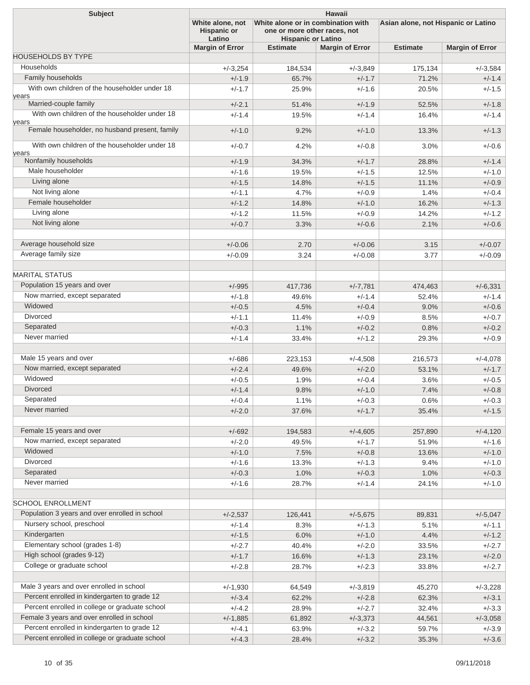| <b>Subject</b>                                          | <b>Hawaii</b>                                                                                                                                       |                 |                        |                                     |                        |  |
|---------------------------------------------------------|-----------------------------------------------------------------------------------------------------------------------------------------------------|-----------------|------------------------|-------------------------------------|------------------------|--|
|                                                         | White alone, not<br>White alone or in combination with<br><b>Hispanic or</b><br>one or more other races, not<br>Latino<br><b>Hispanic or Latino</b> |                 |                        | Asian alone, not Hispanic or Latino |                        |  |
|                                                         | <b>Margin of Error</b>                                                                                                                              | <b>Estimate</b> | <b>Margin of Error</b> | <b>Estimate</b>                     | <b>Margin of Error</b> |  |
| <b>HOUSEHOLDS BY TYPE</b>                               |                                                                                                                                                     |                 |                        |                                     |                        |  |
| Households                                              | $+/-3,254$                                                                                                                                          | 184,534         | $+/-3,849$             | 175,134                             | $+/-3,584$             |  |
| Family households                                       | $+/-1.9$                                                                                                                                            | 65.7%           | $+/-1.7$               | 71.2%                               | $+/-1.4$               |  |
| With own children of the householder under 18<br>years  | $+/-1.7$                                                                                                                                            | 25.9%           | $+/-1.6$               | 20.5%                               | $+/-1.5$               |  |
| Married-couple family                                   | $+/-2.1$                                                                                                                                            | 51.4%           | $+/-1.9$               | 52.5%                               | $+/-1.8$               |  |
| With own children of the householder under 18           | $+/-1.4$                                                                                                                                            | 19.5%           | $+/-1.4$               | 16.4%                               | $+/-1.4$               |  |
| years<br>Female householder, no husband present, family | $+/-1.0$                                                                                                                                            | 9.2%            | $+/-1.0$               | 13.3%                               | $+/-1.3$               |  |
| With own children of the householder under 18           | $+/-0.7$                                                                                                                                            | 4.2%            | $+/-0.8$               | 3.0%                                | $+/-0.6$               |  |
| years<br>Nonfamily households                           | $+/-1.9$                                                                                                                                            | 34.3%           | $+/-1.7$               | 28.8%                               | $+/-1.4$               |  |
| Male householder                                        | $+/-1.6$                                                                                                                                            | 19.5%           | $+/-1.5$               | 12.5%                               | $+/-1.0$               |  |
| Living alone                                            | $+/-1.5$                                                                                                                                            | 14.8%           | $+/-1.5$               | 11.1%                               | $+/-0.9$               |  |
| Not living alone                                        | $+/-1.1$                                                                                                                                            | 4.7%            | $+/-0.9$               | 1.4%                                | $+/-0.4$               |  |
| Female householder                                      | $+/-1.2$                                                                                                                                            | 14.8%           | $+/-1.0$               | 16.2%                               | $+/-1.3$               |  |
| Living alone                                            | $+/-1.2$                                                                                                                                            | 11.5%           | $+/-0.9$               | 14.2%                               | $+/-1.2$               |  |
| Not living alone                                        | $+/-0.7$                                                                                                                                            |                 | $+/-0.6$               |                                     | $+/-0.6$               |  |
|                                                         |                                                                                                                                                     | 3.3%            |                        | 2.1%                                |                        |  |
| Average household size                                  | $+/-0.06$                                                                                                                                           | 2.70            | $+/-0.06$              | 3.15                                | $+/-0.07$              |  |
| Average family size                                     | $+/-0.09$                                                                                                                                           | 3.24            | $+/-0.08$              | 3.77                                | $+/-0.09$              |  |
|                                                         |                                                                                                                                                     |                 |                        |                                     |                        |  |
| <b>MARITAL STATUS</b>                                   |                                                                                                                                                     |                 |                        |                                     |                        |  |
| Population 15 years and over                            | $+/-995$                                                                                                                                            | 417,736         | $+/-7,781$             | 474,463                             | $+/-6,331$             |  |
| Now married, except separated                           | $+/-1.8$                                                                                                                                            | 49.6%           | $+/-1.4$               | 52.4%                               | $+/-1.4$               |  |
| Widowed                                                 | $+/-0.5$                                                                                                                                            | 4.5%            | $+/-0.4$               | 9.0%                                | $+/-0.6$               |  |
| <b>Divorced</b>                                         | $+/-1.1$                                                                                                                                            | 11.4%           | $+/-0.9$               | 8.5%                                | $+/-0.7$               |  |
| Separated                                               | $+/-0.3$                                                                                                                                            | 1.1%            | $+/-0.2$               | 0.8%                                | $+/-0.2$               |  |
| Never married                                           | $+/-1.4$                                                                                                                                            | 33.4%           | $+/-1.2$               | 29.3%                               | $+/-0.9$               |  |
| Male 15 years and over                                  | $+/-686$                                                                                                                                            | 223,153         | $+/-4,508$             | 216,573                             | $+/-4,078$             |  |
| Now married, except separated                           | $+/-2.4$                                                                                                                                            | 49.6%           | $+/-2.0$               | 53.1%                               | $+/-1.7$               |  |
| Widowed                                                 | $+/-0.5$                                                                                                                                            | 1.9%            | $+/-0.4$               | 3.6%                                | $+/-0.5$               |  |
| <b>Divorced</b>                                         | $+/-1.4$                                                                                                                                            | 9.8%            | $+/-1.0$               | 7.4%                                | $+/-0.8$               |  |
| Separated                                               | $+/-0.4$                                                                                                                                            | 1.1%            | $+/-0.3$               | 0.6%                                | $+/-0.3$               |  |
| Never married                                           | $+/-2.0$                                                                                                                                            | 37.6%           | $+/-1.7$               | 35.4%                               | $+/-1.5$               |  |
|                                                         |                                                                                                                                                     |                 |                        |                                     |                        |  |
| Female 15 years and over                                | $+/-692$                                                                                                                                            | 194,583         | $+/-4,605$             | 257,890                             | $+/-4,120$             |  |
| Now married, except separated                           | $+/-2.0$                                                                                                                                            | 49.5%           | $+/-1.7$               | 51.9%                               | $+/-1.6$               |  |
| Widowed                                                 | $+/-1.0$                                                                                                                                            | 7.5%            | $+/-0.8$               | 13.6%                               | $+/-1.0$               |  |
| Divorced                                                | $+/-1.6$                                                                                                                                            | 13.3%           | $+/-1.3$               | 9.4%                                | $+/-1.0$               |  |
| Separated                                               | $+/-0.3$                                                                                                                                            | 1.0%            | $+/-0.3$               | 1.0%                                | $+/-0.3$               |  |
| Never married                                           | $+/-1.6$                                                                                                                                            | 28.7%           | $+/-1.4$               | 24.1%                               | $+/-1.0$               |  |
| <b>SCHOOL ENROLLMENT</b>                                |                                                                                                                                                     |                 |                        |                                     |                        |  |
| Population 3 years and over enrolled in school          | $+/-2,537$                                                                                                                                          | 126,441         | $+/-5,675$             | 89,831                              | $+/-5,047$             |  |
| Nursery school, preschool                               | $+/-1.4$                                                                                                                                            | 8.3%            | $+/-1.3$               | 5.1%                                | $+/-1.1$               |  |
| Kindergarten                                            | $+/-1.5$                                                                                                                                            | 6.0%            | $+/-1.0$               | 4.4%                                | $+/-1.2$               |  |
| Elementary school (grades 1-8)                          | $+/-2.7$                                                                                                                                            | 40.4%           | $+/-2.0$               | 33.5%                               | $+/-2.7$               |  |
| High school (grades 9-12)                               | $+/-1.7$                                                                                                                                            | 16.6%           | $+/-1.3$               | 23.1%                               | $+/-2.0$               |  |
| College or graduate school                              |                                                                                                                                                     |                 |                        |                                     |                        |  |
|                                                         | $+/-2.8$                                                                                                                                            | 28.7%           | $+/-2.3$               | 33.8%                               | $+/-2.7$               |  |
| Male 3 years and over enrolled in school                | $+/-1,930$                                                                                                                                          | 64,549          | $+/-3,819$             | 45,270                              | $+/-3,228$             |  |
| Percent enrolled in kindergarten to grade 12            | $+/-3.4$                                                                                                                                            | 62.2%           | $+/-2.8$               | 62.3%                               | $+/-3.1$               |  |
| Percent enrolled in college or graduate school          | $+/-4.2$                                                                                                                                            | 28.9%           | $+/-2.7$               | 32.4%                               | $+/-3.3$               |  |
| Female 3 years and over enrolled in school              | $+/-1,885$                                                                                                                                          | 61,892          | $+/-3,373$             | 44,561                              | $+/-3,058$             |  |
| Percent enrolled in kindergarten to grade 12            | $+/-4.1$                                                                                                                                            | 63.9%           | $+/-3.2$               | 59.7%                               | $+/-3.9$               |  |
| Percent enrolled in college or graduate school          | $+/-4.3$                                                                                                                                            | 28.4%           | $+/-3.2$               | 35.3%                               | $+/-3.6$               |  |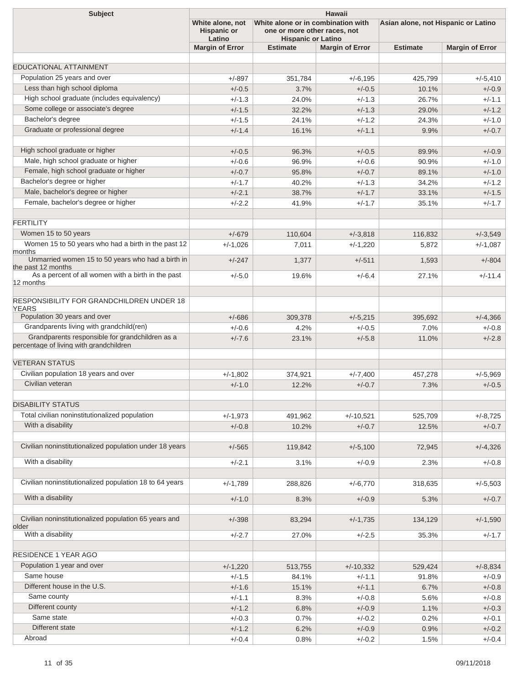| <b>Subject</b>                                                                             | <b>Hawaii</b>                                                                                                                                       |                 |                        |                                     |                        |  |  |
|--------------------------------------------------------------------------------------------|-----------------------------------------------------------------------------------------------------------------------------------------------------|-----------------|------------------------|-------------------------------------|------------------------|--|--|
|                                                                                            | White alone or in combination with<br>White alone, not<br><b>Hispanic or</b><br>one or more other races, not<br>Latino<br><b>Hispanic or Latino</b> |                 |                        | Asian alone, not Hispanic or Latino |                        |  |  |
|                                                                                            | <b>Margin of Error</b>                                                                                                                              | <b>Estimate</b> | <b>Margin of Error</b> | <b>Estimate</b>                     | <b>Margin of Error</b> |  |  |
|                                                                                            |                                                                                                                                                     |                 |                        |                                     |                        |  |  |
| <b>EDUCATIONAL ATTAINMENT</b>                                                              |                                                                                                                                                     |                 |                        |                                     |                        |  |  |
| Population 25 years and over                                                               | $+/-897$                                                                                                                                            | 351,784         | $+/-6,195$             | 425,799                             | $+/-5,410$             |  |  |
| Less than high school diploma                                                              | $+/-0.5$                                                                                                                                            | 3.7%            | $+/-0.5$               | 10.1%                               | $+/-0.9$               |  |  |
| High school graduate (includes equivalency)                                                | $+/-1.3$                                                                                                                                            | 24.0%           | $+/-1.3$               | 26.7%                               | $+/-1.1$               |  |  |
| Some college or associate's degree                                                         | $+/-1.5$                                                                                                                                            | 32.2%           | $+/-1.3$               | 29.0%                               | $+/-1.2$               |  |  |
| Bachelor's degree                                                                          | $+/-1.5$                                                                                                                                            | 24.1%           | $+/-1.2$               | 24.3%                               | $+/-1.0$               |  |  |
| Graduate or professional degree                                                            | $+/-1.4$                                                                                                                                            | 16.1%           | $+/-1.1$               | 9.9%                                | $+/-0.7$               |  |  |
| High school graduate or higher                                                             | $+/-0.5$                                                                                                                                            | 96.3%           | $+/-0.5$               | 89.9%                               | $+/-0.9$               |  |  |
| Male, high school graduate or higher                                                       | $+/-0.6$                                                                                                                                            | 96.9%           | $+/-0.6$               | 90.9%                               | $+/-1.0$               |  |  |
| Female, high school graduate or higher                                                     | $+/-0.7$                                                                                                                                            | 95.8%           | $+/-0.7$               | 89.1%                               | $+/-1.0$               |  |  |
| Bachelor's degree or higher                                                                | $+/-1.7$                                                                                                                                            | 40.2%           | $+/-1.3$               | 34.2%                               | $+/-1.2$               |  |  |
| Male, bachelor's degree or higher                                                          | $+/-2.1$                                                                                                                                            | 38.7%           | $+/-1.7$               | 33.1%                               | $+/-1.5$               |  |  |
| Female, bachelor's degree or higher                                                        | $+/-2.2$                                                                                                                                            | 41.9%           | $+/-1.7$               | 35.1%                               | $+/-1.7$               |  |  |
| <b>FERTILITY</b>                                                                           |                                                                                                                                                     |                 |                        |                                     |                        |  |  |
| Women 15 to 50 years                                                                       | $+/-679$                                                                                                                                            | 110,604         | $+/-3,818$             | 116,832                             | $+/-3,549$             |  |  |
| Women 15 to 50 years who had a birth in the past 12                                        | $+/-1,026$                                                                                                                                          | 7,011           | $+/-1,220$             | 5,872                               | $+/-1,087$             |  |  |
| months<br>Unmarried women 15 to 50 years who had a birth in                                | $+/-247$                                                                                                                                            | 1,377           | $+/-511$               | 1,593                               | $+/-804$               |  |  |
| the past 12 months                                                                         |                                                                                                                                                     |                 |                        |                                     |                        |  |  |
| As a percent of all women with a birth in the past<br>12 months                            | $+/-5.0$                                                                                                                                            | 19.6%           | $+/-6.4$               | 27.1%                               | $+/-11.4$              |  |  |
| <b>RESPONSIBILITY FOR GRANDCHILDREN UNDER 18</b><br><b>YEARS</b>                           |                                                                                                                                                     |                 |                        |                                     |                        |  |  |
| Population 30 years and over                                                               | $+/-686$                                                                                                                                            | 309,378         | $+/-5,215$             | 395,692                             | $+/-4,366$             |  |  |
| Grandparents living with grandchild(ren)                                                   | $+/-0.6$                                                                                                                                            | 4.2%            | $+/-0.5$               | 7.0%                                | $+/-0.8$               |  |  |
| Grandparents responsible for grandchildren as a<br>percentage of living with grandchildren | $+/-7.6$                                                                                                                                            | 23.1%           | $+/-5.8$               | 11.0%                               | $+/-2.8$               |  |  |
| <b>VETERAN STATUS</b>                                                                      |                                                                                                                                                     |                 |                        |                                     |                        |  |  |
| Civilian population 18 years and over                                                      | $+/-1.802$                                                                                                                                          | 374,921         | $+/-7.400$             | 457,278                             | $+/-5.969$             |  |  |
| Civilian veteran                                                                           | $+/-1.0$                                                                                                                                            | 12.2%           | $+/-0.7$               | 7.3%                                | $+/-0.5$               |  |  |
| <b>DISABILITY STATUS</b>                                                                   |                                                                                                                                                     |                 |                        |                                     |                        |  |  |
| Total civilian noninstitutionalized population                                             | $+/-1,973$                                                                                                                                          | 491,962         | $+/-10,521$            | 525,709                             | $+/-8,725$             |  |  |
| With a disability                                                                          | $+/-0.8$                                                                                                                                            | 10.2%           | $+/-0.7$               | 12.5%                               | $+/-0.7$               |  |  |
| Civilian noninstitutionalized population under 18 years                                    | $+/-565$                                                                                                                                            | 119,842         | $+/-5,100$             | 72,945                              | $+/-4,326$             |  |  |
| With a disability                                                                          | $+/-2.1$                                                                                                                                            | 3.1%            | $+/-0.9$               | 2.3%                                | $+/-0.8$               |  |  |
| Civilian noninstitutionalized population 18 to 64 years                                    | $+/-1,789$                                                                                                                                          | 288,826         | $+/-6,770$             | 318,635                             | $+/-5,503$             |  |  |
| With a disability                                                                          | $+/-1.0$                                                                                                                                            | 8.3%            | $+/-0.9$               | 5.3%                                | $+/-0.7$               |  |  |
|                                                                                            |                                                                                                                                                     |                 |                        |                                     |                        |  |  |
| Civilian noninstitutionalized population 65 years and<br>older                             | $+/-398$                                                                                                                                            | 83,294          | $+/-1,735$             | 134,129                             | $+/-1,590$             |  |  |
| With a disability                                                                          | $+/-2.7$                                                                                                                                            | 27.0%           | $+/-2.5$               | 35.3%                               | $+/-1.7$               |  |  |
| <b>RESIDENCE 1 YEAR AGO</b>                                                                |                                                                                                                                                     |                 |                        |                                     |                        |  |  |
| Population 1 year and over                                                                 | $+/-1,220$                                                                                                                                          | 513,755         | $+/-10,332$            | 529,424                             | $+/-8,834$             |  |  |
| Same house                                                                                 | $+/-1.5$                                                                                                                                            | 84.1%           | $+/-1.1$               | 91.8%                               | $+/-0.9$               |  |  |
| Different house in the U.S.                                                                | $+/-1.6$                                                                                                                                            | 15.1%           | $+/-1.1$               | 6.7%                                | $+/-0.8$               |  |  |
| Same county                                                                                | $+/-1.1$                                                                                                                                            | 8.3%            | $+/-0.8$               | 5.6%                                | $+/-0.8$               |  |  |
| Different county                                                                           | $+/-1.2$                                                                                                                                            | 6.8%            | $+/-0.9$               | 1.1%                                | $+/-0.3$               |  |  |
| Same state                                                                                 | $+/-0.3$                                                                                                                                            | 0.7%            | $+/-0.2$               | 0.2%                                | $+/-0.1$               |  |  |
| Different state                                                                            | $+/-1.2$                                                                                                                                            | 6.2%            | $+/-0.9$               | 0.9%                                | $+/-0.2$               |  |  |
| Abroad                                                                                     | $+/-0.4$                                                                                                                                            | 0.8%            | $+/-0.2$               | 1.5%                                | $+/-0.4$               |  |  |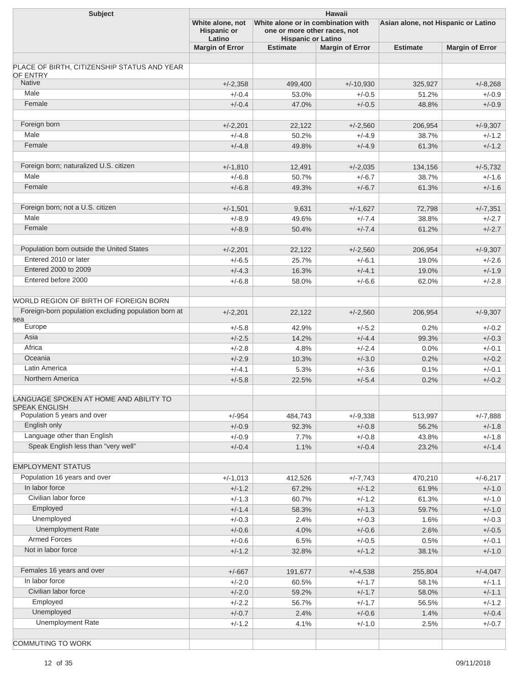| <b>Subject</b>                                       | <b>Hawaii</b>                          |                                                                    |                        |                                     |                        |  |  |
|------------------------------------------------------|----------------------------------------|--------------------------------------------------------------------|------------------------|-------------------------------------|------------------------|--|--|
|                                                      | White alone, not<br><b>Hispanic or</b> | White alone or in combination with<br>one or more other races, not |                        | Asian alone, not Hispanic or Latino |                        |  |  |
|                                                      | Latino<br><b>Margin of Error</b>       | <b>Hispanic or Latino</b><br><b>Estimate</b>                       | <b>Margin of Error</b> | <b>Estimate</b>                     | <b>Margin of Error</b> |  |  |
|                                                      |                                        |                                                                    |                        |                                     |                        |  |  |
| PLACE OF BIRTH, CITIZENSHIP STATUS AND YEAR          |                                        |                                                                    |                        |                                     |                        |  |  |
| <b>OF ENTRY</b>                                      |                                        |                                                                    |                        |                                     |                        |  |  |
| <b>Native</b>                                        | $+/-2,358$                             | 499,400                                                            | $+/-10,930$            | 325,927                             | $+/-8,268$             |  |  |
| Male                                                 | $+/-0.4$                               | 53.0%                                                              | $+/-0.5$               | 51.2%                               | $+/-0.9$               |  |  |
| Female                                               | $+/-0.4$                               | 47.0%                                                              | $+/-0.5$               | 48.8%                               | $+/-0.9$               |  |  |
|                                                      |                                        |                                                                    |                        |                                     |                        |  |  |
| Foreign born                                         | $+/-2.201$                             | 22,122                                                             | $+/-2,560$             | 206,954                             | $+/-9,307$             |  |  |
| Male                                                 | $+/-4.8$                               | 50.2%                                                              | $+/-4.9$               | 38.7%                               | $+/-1.2$               |  |  |
| Female                                               | $+/-4.8$                               | 49.8%                                                              | $+/-4.9$               | 61.3%                               | $+/-1.2$               |  |  |
|                                                      |                                        |                                                                    |                        |                                     |                        |  |  |
| Foreign born; naturalized U.S. citizen               | $+/-1,810$                             | 12,491                                                             | $+/-2,035$             | 134,156                             | $+/-5,732$             |  |  |
| Male                                                 | $+/-6.8$                               | 50.7%                                                              | $+/-6.7$               | 38.7%                               | $+/-1.6$               |  |  |
| Female                                               | $+/-6.8$                               | 49.3%                                                              | $+/-6.7$               | 61.3%                               | $+/-1.6$               |  |  |
|                                                      |                                        |                                                                    |                        |                                     |                        |  |  |
| Foreign born; not a U.S. citizen                     | $+/-1,501$                             | 9,631                                                              | $+/-1,627$             | 72,798                              | $+/-7,351$             |  |  |
| Male                                                 | $+/-8.9$                               | 49.6%                                                              | $+/-7.4$               | 38.8%                               | $+/-2.7$               |  |  |
| Female                                               | $+/-8.9$                               | 50.4%                                                              | $+/-7.4$               | 61.2%                               | $+/-2.7$               |  |  |
|                                                      |                                        |                                                                    |                        |                                     |                        |  |  |
| Population born outside the United States            | $+/-2,201$                             | 22,122                                                             | $+/-2.560$             | 206,954                             | $+/-9,307$             |  |  |
| Entered 2010 or later                                | $+/-6.5$                               | 25.7%                                                              | $+/-6.1$               | 19.0%                               | $+/-2.6$               |  |  |
| Entered 2000 to 2009                                 | $+/-4.3$                               | 16.3%                                                              | $+/-4.1$               | 19.0%                               | $+/-1.9$               |  |  |
| Entered before 2000                                  | $+/-6.8$                               | 58.0%                                                              | $+/-6.6$               | 62.0%                               | $+/-2.8$               |  |  |
|                                                      |                                        |                                                                    |                        |                                     |                        |  |  |
| WORLD REGION OF BIRTH OF FOREIGN BORN                |                                        |                                                                    |                        |                                     |                        |  |  |
| Foreign-born population excluding population born at | $+/-2,201$                             | 22,122                                                             | $+/-2,560$             | 206,954                             | $+/-9,307$             |  |  |
| sea<br>Europe                                        | $+/-5.8$                               | 42.9%                                                              | $+/-5.2$               | 0.2%                                | $+/-0.2$               |  |  |
| Asia                                                 | $+/-2.5$                               | 14.2%                                                              | $+/-4.4$               | 99.3%                               | $+/-0.3$               |  |  |
| Africa                                               | $+/-2.8$                               | 4.8%                                                               | $+/-2.4$               | 0.0%                                | $+/-0.1$               |  |  |
| Oceania                                              | $+/-2.9$                               | 10.3%                                                              | $+/-3.0$               | 0.2%                                | $+/-0.2$               |  |  |
| Latin America                                        | $+/-4.1$                               | 5.3%                                                               | $+/-3.6$               | 0.1%                                | $+/-0.1$               |  |  |
| Northern America                                     | $+/-5.8$                               | 22.5%                                                              | $+/-5.4$               | 0.2%                                | $+/-0.2$               |  |  |
|                                                      |                                        |                                                                    |                        |                                     |                        |  |  |
| LANGUAGE SPOKEN AT HOME AND ABILITY TO               |                                        |                                                                    |                        |                                     |                        |  |  |
| <b>SPEAK ENGLISH</b>                                 |                                        |                                                                    |                        |                                     |                        |  |  |
| Population 5 years and over                          | $+/-954$                               | 484,743                                                            | $+/-9,338$             | 513,997                             | $+/-7,888$             |  |  |
| English only                                         | $+/-0.9$                               | 92.3%                                                              | $+/-0.8$               | 56.2%                               | $+/-1.8$               |  |  |
| Language other than English                          | $+/-0.9$                               | 7.7%                                                               | $+/-0.8$               | 43.8%                               | $+/-1.8$               |  |  |
| Speak English less than "very well"                  | $+/-0.4$                               | 1.1%                                                               | $+/-0.4$               | 23.2%                               | $+/-1.4$               |  |  |
|                                                      |                                        |                                                                    |                        |                                     |                        |  |  |
| <b>EMPLOYMENT STATUS</b>                             |                                        |                                                                    |                        |                                     |                        |  |  |
| Population 16 years and over                         | $+/-1,013$                             | 412,526                                                            | $+/-7,743$             | 470,210                             | $+/-6,217$             |  |  |
| In labor force                                       | $+/-1.2$                               | 67.2%                                                              | $+/-1.2$               | 61.9%                               | $+/-1.0$               |  |  |
| Civilian labor force                                 | $+/-1.3$                               | 60.7%                                                              | $+/-1.2$               | 61.3%                               | $+/-1.0$               |  |  |
| Employed                                             | $+/-1.4$                               | 58.3%                                                              | $+/-1.3$               | 59.7%                               | $+/-1.0$               |  |  |
| Unemployed                                           | $+/-0.3$                               | 2.4%                                                               | $+/-0.3$               | 1.6%                                | $+/-0.3$               |  |  |
| <b>Unemployment Rate</b>                             | $+/-0.6$                               | 4.0%                                                               | $+/-0.6$               | 2.6%                                | $+/-0.5$               |  |  |
| <b>Armed Forces</b>                                  | $+/-0.6$                               | 6.5%                                                               | $+/-0.5$               | 0.5%                                | $+/-0.1$               |  |  |
| Not in labor force                                   | $+/-1.2$                               | 32.8%                                                              | $+/-1.2$               | 38.1%                               | $+/-1.0$               |  |  |
|                                                      |                                        |                                                                    |                        |                                     |                        |  |  |
| Females 16 years and over                            | $+/-667$                               | 191,677                                                            | $+/-4,538$             | 255,804                             | $+/-4,047$             |  |  |
| In labor force                                       | $+/-2.0$                               | 60.5%                                                              | $+/-1.7$               | 58.1%                               | $+/-1.1$               |  |  |
| Civilian labor force                                 | $+/-2.0$                               | 59.2%                                                              | $+/-1.7$               | 58.0%                               | $+/-1.1$               |  |  |
| Employed                                             | $+/-2.2$                               | 56.7%                                                              | $+/-1.7$               | 56.5%                               | $+/-1.2$               |  |  |
| Unemployed                                           | $+/-0.7$                               | 2.4%                                                               | $+/-0.6$               | 1.4%                                | $+/-0.4$               |  |  |
| <b>Unemployment Rate</b>                             | $+/-1.2$                               | 4.1%                                                               | $+/-1.0$               | 2.5%                                | $+/-0.7$               |  |  |
|                                                      |                                        |                                                                    |                        |                                     |                        |  |  |
| <b>COMMUTING TO WORK</b>                             |                                        |                                                                    |                        |                                     |                        |  |  |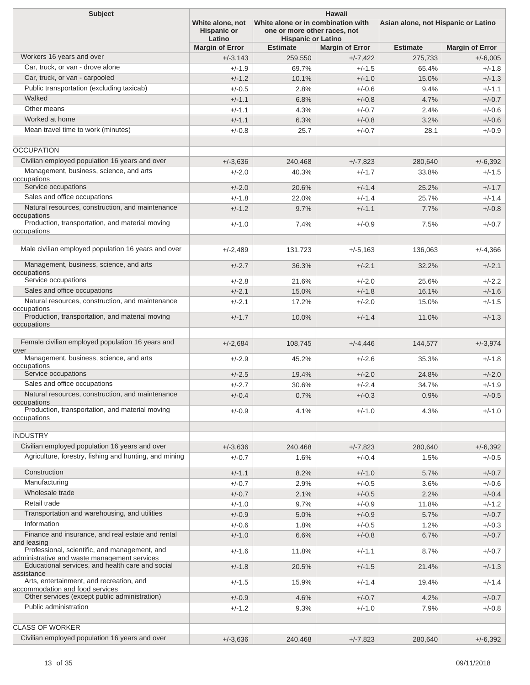| <b>Subject</b>                                                                                | <b>Hawaii</b><br>White alone, not<br>White alone or in combination with<br>one or more other races, not |                           |                        |                 | Asian alone, not Hispanic or Latino |  |
|-----------------------------------------------------------------------------------------------|---------------------------------------------------------------------------------------------------------|---------------------------|------------------------|-----------------|-------------------------------------|--|
|                                                                                               | <b>Hispanic or</b><br>Latino                                                                            | <b>Hispanic or Latino</b> |                        |                 |                                     |  |
|                                                                                               | <b>Margin of Error</b>                                                                                  | <b>Estimate</b>           | <b>Margin of Error</b> | <b>Estimate</b> | <b>Margin of Error</b>              |  |
| Workers 16 years and over                                                                     | $+/-3,143$                                                                                              | 259,550                   | $+/-7,422$             | 275,733         | $+/-6,005$                          |  |
| Car, truck, or van - drove alone                                                              | $+/-1.9$                                                                                                | 69.7%                     | $+/-1.5$               | 65.4%           | $+/-1.8$                            |  |
| Car, truck, or van - carpooled                                                                | $+/-1.2$                                                                                                | 10.1%                     | $+/-1.0$               | 15.0%           | $+/-1.3$                            |  |
| Public transportation (excluding taxicab)                                                     | $+/-0.5$                                                                                                | 2.8%                      | $+/-0.6$               | 9.4%            | $+/-1.1$                            |  |
| Walked                                                                                        | $+/-1.1$                                                                                                | 6.8%                      | $+/-0.8$               | 4.7%            | $+/-0.7$                            |  |
| Other means                                                                                   | $+/-1.1$                                                                                                | 4.3%                      | $+/-0.7$               | 2.4%            | $+/-0.6$                            |  |
| Worked at home                                                                                | $+/-1.1$                                                                                                | 6.3%                      | $+/-0.8$               | 3.2%            | $+/-0.6$                            |  |
| Mean travel time to work (minutes)                                                            | $+/-0.8$                                                                                                | 25.7                      | $+/-0.7$               | 28.1            | $+/-0.9$                            |  |
|                                                                                               |                                                                                                         |                           |                        |                 |                                     |  |
| <b>OCCUPATION</b>                                                                             |                                                                                                         |                           |                        |                 |                                     |  |
| Civilian employed population 16 years and over                                                | $+/-3.636$                                                                                              | 240,468                   | $+/-7,823$             | 280,640         | $+/-6,392$                          |  |
| Management, business, science, and arts                                                       | $+/-2.0$                                                                                                | 40.3%                     | $+/-1.7$               | 33.8%           | $+/-1.5$                            |  |
| occupations                                                                                   |                                                                                                         |                           |                        |                 |                                     |  |
| Service occupations                                                                           | $+/-2.0$                                                                                                | 20.6%                     | $+/-1.4$               | 25.2%           | $+/-1.7$                            |  |
| Sales and office occupations                                                                  | $+/-1.8$                                                                                                | 22.0%                     | $+/-1.4$               | 25.7%           | $+/-1.4$                            |  |
| Natural resources, construction, and maintenance                                              | $+/-1.2$                                                                                                | 9.7%                      | $+/-1.1$               | 7.7%            | $+/-0.8$                            |  |
| occupations                                                                                   |                                                                                                         |                           |                        |                 |                                     |  |
| Production, transportation, and material moving<br>occupations                                | $+/-1.0$                                                                                                | 7.4%                      | $+/-0.9$               | 7.5%            | $+/-0.7$                            |  |
|                                                                                               |                                                                                                         |                           |                        |                 |                                     |  |
| Male civilian employed population 16 years and over                                           | $+/-2,489$                                                                                              | 131,723                   | $+/-5,163$             | 136.063         | $+/-4.366$                          |  |
|                                                                                               |                                                                                                         |                           |                        |                 |                                     |  |
| Management, business, science, and arts<br>occupations                                        | $+/-2.7$                                                                                                | 36.3%                     | $+/-2.1$               | 32.2%           | $+/-2.1$                            |  |
| Service occupations                                                                           | $+/-2.8$                                                                                                | 21.6%                     | $+/-2.0$               | 25.6%           | $+/-2.2$                            |  |
| Sales and office occupations                                                                  | $+/-2.1$                                                                                                | 15.0%                     | $+/-1.8$               | 16.1%           | $+/-1.6$                            |  |
| Natural resources, construction, and maintenance                                              | $+/-2.1$                                                                                                | 17.2%                     | $+/-2.0$               | 15.0%           | $+/-1.5$                            |  |
| occupations                                                                                   |                                                                                                         |                           |                        |                 |                                     |  |
| Production, transportation, and material moving                                               | $+/-1.7$                                                                                                | 10.0%                     | $+/-1.4$               | 11.0%           | $+/-1.3$                            |  |
| occupations                                                                                   |                                                                                                         |                           |                        |                 |                                     |  |
| Female civilian employed population 16 years and                                              | $+/-2,684$                                                                                              | 108,745                   | $+/-4,446$             | 144.577         | $+/-3,974$                          |  |
| over<br>Management, business, science, and arts                                               | $+/-2.9$                                                                                                | 45.2%                     | $+/-2.6$               | 35.3%           | $+/-1.8$                            |  |
| occupations                                                                                   |                                                                                                         |                           |                        |                 |                                     |  |
| Service occupations                                                                           | $+/-2.5$                                                                                                | 19.4%                     | $+/-2.0$               | 24.8%           | $+/-2.0$                            |  |
| Sales and office occupations                                                                  | $+/-2.7$                                                                                                | 30.6%                     | $+/-2.4$               | 34.7%           | $+/-1.9$                            |  |
| Natural resources, construction, and maintenance                                              | $+/-0.4$                                                                                                | 0.7%                      | $+/-0.3$               | 0.9%            | $+/-0.5$                            |  |
| occupations<br>Production, transportation, and material moving                                |                                                                                                         |                           |                        |                 |                                     |  |
| occupations                                                                                   | $+/-0.9$                                                                                                | 4.1%                      | $+/-1.0$               | 4.3%            | $+/-1.0$                            |  |
|                                                                                               |                                                                                                         |                           |                        |                 |                                     |  |
| <b>INDUSTRY</b>                                                                               |                                                                                                         |                           |                        |                 |                                     |  |
| Civilian employed population 16 years and over                                                | $+/-3,636$                                                                                              | 240,468                   | $+/-7,823$             | 280,640         | $+/-6,392$                          |  |
| Agriculture, forestry, fishing and hunting, and mining                                        | $+/-0.7$                                                                                                | 1.6%                      | $+/-0.4$               | 1.5%            | $+/-0.5$                            |  |
|                                                                                               |                                                                                                         |                           |                        |                 |                                     |  |
| Construction                                                                                  | $+/-1.1$                                                                                                | 8.2%                      | $+/-1.0$               | 5.7%            | $+/-0.7$                            |  |
| Manufacturing                                                                                 | $+/-0.7$                                                                                                | 2.9%                      | $+/-0.5$               | 3.6%            | $+/-0.6$                            |  |
| Wholesale trade                                                                               | $+/-0.7$                                                                                                | 2.1%                      | $+/-0.5$               | 2.2%            | $+/-0.4$                            |  |
| Retail trade                                                                                  | $+/-1.0$                                                                                                | 9.7%                      | $+/-0.9$               | 11.8%           | $+/-1.2$                            |  |
| Transportation and warehousing, and utilities                                                 | $+/-0.9$                                                                                                | 5.0%                      | $+/-0.9$               | 5.7%            | $+/-0.7$                            |  |
| Information                                                                                   | $+/-0.6$                                                                                                | 1.8%                      | $+/-0.5$               | 1.2%            | $+/-0.3$                            |  |
| Finance and insurance, and real estate and rental                                             | $+/-1.0$                                                                                                | 6.6%                      | $+/-0.8$               | 6.7%            | $+/-0.7$                            |  |
| and leasing                                                                                   |                                                                                                         |                           |                        |                 |                                     |  |
| Professional, scientific, and management, and<br>administrative and waste management services | $+/-1.6$                                                                                                | 11.8%                     | $+/-1.1$               | 8.7%            | $+/-0.7$                            |  |
| Educational services, and health care and social                                              | $+/-1.8$                                                                                                | 20.5%                     | $+/-1.5$               | 21.4%           | $+/-1.3$                            |  |
| assistance                                                                                    |                                                                                                         |                           |                        |                 |                                     |  |
| Arts, entertainment, and recreation, and<br>accommodation and food services                   | $+/-1.5$                                                                                                | 15.9%                     | $+/-1.4$               | 19.4%           | $+/-1.4$                            |  |
| Other services (except public administration)                                                 | $+/-0.9$                                                                                                | 4.6%                      | $+/-0.7$               | 4.2%            | $+/-0.7$                            |  |
| Public administration                                                                         | $+/-1.2$                                                                                                | 9.3%                      | $+/-1.0$               | 7.9%            | $+/-0.8$                            |  |
|                                                                                               |                                                                                                         |                           |                        |                 |                                     |  |
| <b>CLASS OF WORKER</b>                                                                        |                                                                                                         |                           |                        |                 |                                     |  |
| Civilian employed population 16 years and over                                                | $+/-3,636$                                                                                              | 240,468                   | $+/-7,823$             | 280,640         | $+/-6,392$                          |  |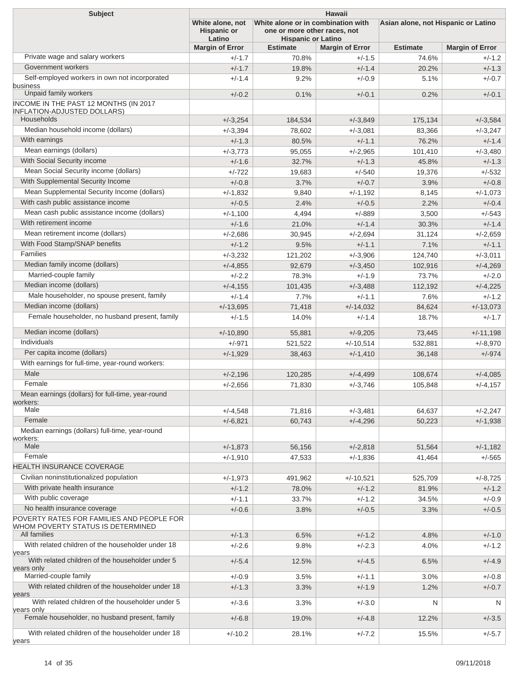| <b>Subject</b>                                                                                 | <b>Hawaii</b><br>Asian alone, not Hispanic or Latino |                                                                                                 |                        |                 |                        |  |
|------------------------------------------------------------------------------------------------|------------------------------------------------------|-------------------------------------------------------------------------------------------------|------------------------|-----------------|------------------------|--|
|                                                                                                | White alone, not<br><b>Hispanic or</b><br>Latino     | White alone or in combination with<br>one or more other races, not<br><b>Hispanic or Latino</b> |                        |                 |                        |  |
|                                                                                                | <b>Margin of Error</b>                               | <b>Estimate</b>                                                                                 | <b>Margin of Error</b> | <b>Estimate</b> | <b>Margin of Error</b> |  |
| Private wage and salary workers                                                                | $+/-1.7$                                             | 70.8%                                                                                           | $+/-1.5$               | 74.6%           | $+/-1.2$               |  |
| Government workers                                                                             | $+/-1.7$                                             | 19.8%                                                                                           | $+/-1.4$               | 20.2%           | $+/-1.3$               |  |
| Self-employed workers in own not incorporated<br>business                                      | $+/-1.4$                                             | 9.2%                                                                                            | $+/-0.9$               | 5.1%            | $+/-0.7$               |  |
| Unpaid family workers                                                                          | $+/-0.2$                                             | 0.1%                                                                                            | $+/-0.1$               | 0.2%            | $+/-0.1$               |  |
| INCOME IN THE PAST 12 MONTHS (IN 2017<br>INFLATION-ADJUSTED DOLLARS)                           |                                                      |                                                                                                 |                        |                 |                        |  |
| Households                                                                                     | $+/-3,254$                                           | 184,534                                                                                         | $+/-3,849$             | 175,134         | $+/-3,584$             |  |
| Median household income (dollars)                                                              | $+/-3,394$                                           | 78,602                                                                                          | $+/-3.081$             | 83,366          | $+/-3,247$             |  |
| With earnings                                                                                  | $+/-1.3$                                             | 80.5%                                                                                           | $+/-1.1$               | 76.2%           | $+/-1.4$               |  |
| Mean earnings (dollars)                                                                        | $+/-3,773$                                           | 95,055                                                                                          | $+/-2,965$             | 101,410         | $+/-3,480$             |  |
| With Social Security income                                                                    | $+/-1.6$                                             | 32.7%                                                                                           | $+/-1.3$               | 45.8%           | $+/-1.3$               |  |
| Mean Social Security income (dollars)                                                          | $+/-722$                                             | 19,683                                                                                          | $+/-540$               | 19,376          | $+/-532$               |  |
| With Supplemental Security Income                                                              | $+/-0.8$                                             | 3.7%                                                                                            | $+/-0.7$               | 3.9%            | $+/-0.8$               |  |
| Mean Supplemental Security Income (dollars)                                                    | $+/-1.832$                                           | 9,840                                                                                           | $+/-1,192$             | 8,145           | $+/-1,073$             |  |
| With cash public assistance income                                                             | $+/-0.5$                                             | 2.4%                                                                                            | $+/-0.5$               | 2.2%            | $+/-0.4$               |  |
| Mean cash public assistance income (dollars)                                                   | $+/-1,100$                                           | 4,494                                                                                           | $+/-889$               | 3,500           | $+/-543$               |  |
| With retirement income                                                                         | $+/-1.6$                                             | 21.0%                                                                                           | $+/-1.4$               | 30.3%           | $+/-1.4$               |  |
| Mean retirement income (dollars)                                                               | $+/-2,686$                                           | 30,945                                                                                          | $+/-2,694$             | 31,124          | $+/-2,659$             |  |
| With Food Stamp/SNAP benefits                                                                  | $+/-1.2$                                             | 9.5%                                                                                            | $+/-1.1$               | 7.1%            | $+/-1.1$               |  |
| <b>Families</b>                                                                                | $+/-3,232$                                           | 121,202                                                                                         | $+/-3,906$             | 124,740         | $+/-3,011$             |  |
| Median family income (dollars)                                                                 | $+/-4,855$                                           | 92,679                                                                                          | $+/-3,450$             | 102,916         | $+/-4,269$             |  |
| Married-couple family                                                                          | $+/-2.2$                                             | 78.3%                                                                                           | $+/-1.9$               | 73.7%           | $+/-2.0$               |  |
| Median income (dollars)                                                                        | $+/-4,155$                                           | 101,435                                                                                         | $+/-3,488$             | 112,192         | $+/-4,225$             |  |
| Male householder, no spouse present, family                                                    | $+/-1.4$                                             | 7.7%                                                                                            | $+/-1.1$               | 7.6%            | $+/-1.2$               |  |
| Median income (dollars)                                                                        | $+/-13,695$                                          | 71,418                                                                                          | $+/-14,032$            | 84,624          | $+/-13,073$            |  |
| Female householder, no husband present, family                                                 | $+/-1.5$                                             | 14.0%                                                                                           | $+/-1.4$               | 18.7%           | $+/-1.7$               |  |
| Median income (dollars)                                                                        | $+/-10,890$                                          | 55,881                                                                                          | $+/-9,205$             | 73,445          | $+/-11,198$            |  |
| Individuals                                                                                    | $+/-971$                                             | 521,522                                                                                         | $+/-10,514$            | 532,881         | $+/-8,970$             |  |
| Per capita income (dollars)                                                                    | $+/-1,929$                                           | 38,463                                                                                          | $+/-1,410$             | 36,148          | $+/-974$               |  |
| With earnings for full-time, year-round workers:                                               |                                                      |                                                                                                 |                        |                 |                        |  |
| Male                                                                                           | $+/-2,196$                                           | 120,285                                                                                         | $+/-4,499$             | 108,674         | $+/-4,085$             |  |
| Female                                                                                         | $+/-2,656$                                           | 71,830                                                                                          | $+/-3,746$             | 105,848         | $+/-4.157$             |  |
| Mean earnings (dollars) for full-time, year-round<br>workers:                                  |                                                      |                                                                                                 |                        |                 |                        |  |
| Male                                                                                           | $+/-4,548$                                           | 71,816                                                                                          | $+/-3,481$             | 64,637          | $+/-2,247$             |  |
| Female                                                                                         | $+/-6,821$                                           | 60,743                                                                                          | $+/-4,296$             | 50,223          | $+/-1,938$             |  |
| Median earnings (dollars) full-time, year-round<br>workers:                                    |                                                      |                                                                                                 |                        |                 |                        |  |
| Male<br>Female                                                                                 | $+/-1,873$                                           | 56,156                                                                                          | $+/-2,818$             | 51,564          | $+/-1,182$             |  |
| HEALTH INSURANCE COVERAGE                                                                      | $+/-1,910$                                           | 47,533                                                                                          | $+/-1,836$             | 41,464          | $+/-565$               |  |
|                                                                                                |                                                      |                                                                                                 |                        |                 |                        |  |
| Civilian noninstitutionalized population                                                       | $+/-1,973$                                           | 491,962                                                                                         | $+/-10,521$            | 525,709         | $+/-8,725$             |  |
| With private health insurance                                                                  | $+/-1.2$                                             | 78.0%                                                                                           | $+/-1.2$               | 81.9%           | $+/-1.2$               |  |
| With public coverage                                                                           | $+/-1.1$                                             | 33.7%                                                                                           | $+/-1.2$               | 34.5%           | $+/-0.9$               |  |
| No health insurance coverage                                                                   | $+/-0.6$                                             | 3.8%                                                                                            | $+/-0.5$               | 3.3%            | $+/-0.5$               |  |
| POVERTY RATES FOR FAMILIES AND PEOPLE FOR<br>WHOM POVERTY STATUS IS DETERMINED<br>All families |                                                      |                                                                                                 |                        |                 |                        |  |
| With related children of the householder under 18                                              | $+/-1.3$                                             | 6.5%                                                                                            | $+/-1.2$               | 4.8%            | $+/-1.0$               |  |
| years<br>With related children of the householder under 5                                      | $+/-2.6$                                             | 9.8%                                                                                            | $+/-2.3$               | 4.0%            | $+/-1.2$               |  |
| years only                                                                                     | $+/-5.4$                                             | 12.5%                                                                                           | $+/-4.5$               | 6.5%            | $+/-4.9$               |  |
| Married-couple family                                                                          | $+/-0.9$                                             | 3.5%                                                                                            | $+/-1.1$               | 3.0%            | $+/-0.8$               |  |
| With related children of the householder under 18<br>years                                     | $+/-1.3$                                             | 3.3%                                                                                            | $+/-1.9$               | 1.2%            | $+/-0.7$               |  |
| With related children of the householder under 5<br>years only                                 | $+/-3.6$                                             | 3.3%                                                                                            | $+/-3.0$               | N               | N                      |  |
| Female householder, no husband present, family                                                 | $+/-6.8$                                             | 19.0%                                                                                           | $+/-4.8$               | 12.2%           | $+/-3.5$               |  |
| With related children of the householder under 18<br>years                                     | $+/-10.2$                                            | 28.1%                                                                                           | $+/-7.2$               | 15.5%           | $+/-5.7$               |  |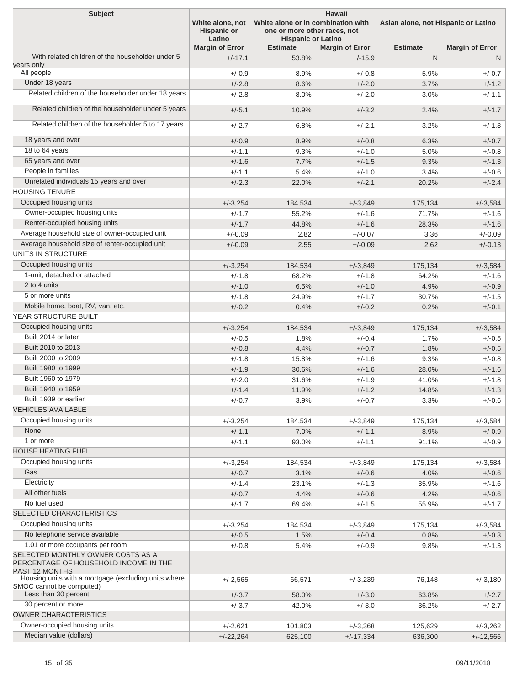| <b>Subject</b>                                                                                      | <b>Hawaii</b>                                    |                                                                                                 |                        |                 |                                     |  |  |
|-----------------------------------------------------------------------------------------------------|--------------------------------------------------|-------------------------------------------------------------------------------------------------|------------------------|-----------------|-------------------------------------|--|--|
|                                                                                                     | White alone, not<br><b>Hispanic or</b><br>Latino | White alone or in combination with<br>one or more other races, not<br><b>Hispanic or Latino</b> |                        |                 | Asian alone, not Hispanic or Latino |  |  |
|                                                                                                     | <b>Margin of Error</b>                           | <b>Estimate</b>                                                                                 | <b>Margin of Error</b> | <b>Estimate</b> | <b>Margin of Error</b>              |  |  |
| With related children of the householder under 5<br>years only                                      | $+/-17.1$                                        | 53.8%                                                                                           | $+/-15.9$              | N.              | N                                   |  |  |
| All people                                                                                          | $+/-0.9$                                         | 8.9%                                                                                            | $+/-0.8$               | 5.9%            | $+/-0.7$                            |  |  |
| Under 18 years                                                                                      | $+/-2.8$                                         | 8.6%                                                                                            | $+/-2.0$               | 3.7%            | $+/-1.2$                            |  |  |
| Related children of the householder under 18 years                                                  | $+/-2.8$                                         | 8.0%                                                                                            | $+/-2.0$               | 3.0%            | $+/-1.1$                            |  |  |
| Related children of the householder under 5 years                                                   | $+/-5.1$                                         | 10.9%                                                                                           | $+/-3.2$               | 2.4%            | $+/-1.7$                            |  |  |
| Related children of the householder 5 to 17 years                                                   | $+/-2.7$                                         | 6.8%                                                                                            | $+/-2.1$               | 3.2%            | $+/-1.3$                            |  |  |
|                                                                                                     |                                                  |                                                                                                 |                        |                 |                                     |  |  |
| 18 years and over                                                                                   | $+/-0.9$                                         | 8.9%                                                                                            | $+/-0.8$               | 6.3%            | $+/-0.7$                            |  |  |
| 18 to 64 years                                                                                      | $+/-1.1$                                         | 9.3%                                                                                            | $+/-1.0$               | 5.0%            | $+/-0.8$                            |  |  |
| 65 years and over                                                                                   | $+/-1.6$                                         | 7.7%                                                                                            | $+/-1.5$               | 9.3%            | $+/-1.3$                            |  |  |
| People in families                                                                                  | $+/-1.1$                                         | 5.4%                                                                                            | $+/-1.0$               | 3.4%            | $+/-0.6$                            |  |  |
| Unrelated individuals 15 years and over<br><b>HOUSING TENURE</b>                                    | $+/-2.3$                                         | 22.0%                                                                                           | $+/-2.1$               | 20.2%           | $+/-2.4$                            |  |  |
| Occupied housing units                                                                              | $+/-3,254$                                       | 184,534                                                                                         | $+/-3,849$             | 175,134         | $+/-3,584$                          |  |  |
| Owner-occupied housing units                                                                        | $+/-1.7$                                         | 55.2%                                                                                           | $+/-1.6$               | 71.7%           | $+/-1.6$                            |  |  |
| Renter-occupied housing units                                                                       | $+/-1.7$                                         | 44.8%                                                                                           | $+/-1.6$               | 28.3%           | $+/-1.6$                            |  |  |
| Average household size of owner-occupied unit                                                       | $+/-0.09$                                        | 2.82                                                                                            | $+/-0.07$              |                 | $+/-0.09$                           |  |  |
| Average household size of renter-occupied unit                                                      |                                                  |                                                                                                 |                        | 3.36            |                                     |  |  |
| UNITS IN STRUCTURE                                                                                  | $+/-0.09$                                        | 2.55                                                                                            | $+/-0.09$              | 2.62            | $+/-0.13$                           |  |  |
|                                                                                                     |                                                  |                                                                                                 |                        |                 |                                     |  |  |
| Occupied housing units                                                                              | $+/-3,254$                                       | 184,534                                                                                         | $+/-3,849$             | 175,134         | $+/-3,584$                          |  |  |
| 1-unit, detached or attached                                                                        | $+/-1.8$                                         | 68.2%                                                                                           | $+/-1.8$               | 64.2%           | $+/-1.6$                            |  |  |
| 2 to 4 units                                                                                        | $+/-1.0$                                         | 6.5%                                                                                            | $+/-1.0$               | 4.9%            | $+/-0.9$                            |  |  |
| 5 or more units                                                                                     | $+/-1.8$                                         | 24.9%                                                                                           | $+/-1.7$               | 30.7%           | $+/-1.5$                            |  |  |
| Mobile home, boat, RV, van, etc.                                                                    | $+/-0.2$                                         | 0.4%                                                                                            | $+/-0.2$               | 0.2%            | $+/-0.1$                            |  |  |
| YEAR STRUCTURE BUILT                                                                                |                                                  |                                                                                                 |                        |                 |                                     |  |  |
| Occupied housing units                                                                              | $+/-3,254$                                       | 184,534                                                                                         | $+/-3,849$             | 175,134         | $+/-3,584$                          |  |  |
| Built 2014 or later                                                                                 | $+/-0.5$                                         | 1.8%                                                                                            | $+/-0.4$               | 1.7%            | $+/-0.5$                            |  |  |
| Built 2010 to 2013                                                                                  | $+/-0.8$                                         | 4.4%                                                                                            | $+/-0.7$               | 1.8%            | $+/-0.5$                            |  |  |
| Built 2000 to 2009                                                                                  | $+/-1.8$                                         | 15.8%                                                                                           | $+/-1.6$               | 9.3%            | $+/-0.8$                            |  |  |
| Built 1980 to 1999                                                                                  | $+/-1.9$                                         | 30.6%                                                                                           | $+/-1.6$               | 28.0%           | $+/-1.6$                            |  |  |
| Built 1960 to 1979                                                                                  | $+/-2.0$                                         | 31.6%                                                                                           | $+/-1.9$               | 41.0%           | $+/-1.8$                            |  |  |
| Built 1940 to 1959                                                                                  | $+/-1.4$                                         | 11.9%                                                                                           | $+/-1.2$               | 14.8%           | $+/-1.3$                            |  |  |
| Built 1939 or earlier                                                                               | $+/-0.7$                                         | 3.9%                                                                                            | $+/-0.7$               | 3.3%            | $+/-0.6$                            |  |  |
| <b>VEHICLES AVAILABLE</b>                                                                           |                                                  |                                                                                                 |                        |                 |                                     |  |  |
| Occupied housing units                                                                              | $+/-3,254$                                       | 184,534                                                                                         | $+/-3,849$             | 175,134         | $+/-3,584$                          |  |  |
| None                                                                                                | $+/-1.1$                                         | 7.0%                                                                                            | $+/-1.1$               | 8.9%            | $+/-0.9$                            |  |  |
| 1 or more                                                                                           | $+/-1.1$                                         | 93.0%                                                                                           | $+/-1.1$               | 91.1%           | $+/-0.9$                            |  |  |
| <b>HOUSE HEATING FUEL</b>                                                                           |                                                  |                                                                                                 |                        |                 |                                     |  |  |
| Occupied housing units                                                                              | $+/-3,254$                                       | 184,534                                                                                         | $+/-3,849$             | 175,134         | $+/-3,584$                          |  |  |
| Gas                                                                                                 | $+/-0.7$                                         | 3.1%                                                                                            | $+/-0.6$               | 4.0%            | $+/-0.6$                            |  |  |
| Electricity                                                                                         | $+/-1.4$                                         | 23.1%                                                                                           | $+/-1.3$               | 35.9%           | $+/-1.6$                            |  |  |
| All other fuels                                                                                     | $+/-0.7$                                         | 4.4%                                                                                            | $+/-0.6$               | 4.2%            | $+/-0.6$                            |  |  |
| No fuel used                                                                                        | $+/-1.7$                                         | 69.4%                                                                                           | $+/-1.5$               | 55.9%           | $+/-1.7$                            |  |  |
| SELECTED CHARACTERISTICS                                                                            |                                                  |                                                                                                 |                        |                 |                                     |  |  |
| Occupied housing units                                                                              | $+/-3,254$                                       | 184,534                                                                                         | $+/-3,849$             | 175,134         | $+/-3,584$                          |  |  |
| No telephone service available                                                                      | $+/-0.5$                                         | 1.5%                                                                                            | $+/-0.4$               | 0.8%            | $+/-0.3$                            |  |  |
| 1.01 or more occupants per room                                                                     | $+/-0.8$                                         | 5.4%                                                                                            | $+/-0.9$               | 9.8%            | $+/-1.3$                            |  |  |
| SELECTED MONTHLY OWNER COSTS AS A<br>PERCENTAGE OF HOUSEHOLD INCOME IN THE<br><b>PAST 12 MONTHS</b> |                                                  |                                                                                                 |                        |                 |                                     |  |  |
| Housing units with a mortgage (excluding units where<br>SMOC cannot be computed)                    | $+/-2,565$                                       | 66,571                                                                                          | $+/-3,239$             | 76,148          | $+/-3,180$                          |  |  |
| Less than 30 percent                                                                                | $+/-3.7$                                         | 58.0%                                                                                           | $+/-3.0$               | 63.8%           | $+/-2.7$                            |  |  |
| 30 percent or more                                                                                  | $+/-3.7$                                         | 42.0%                                                                                           | $+/-3.0$               | 36.2%           | $+/-2.7$                            |  |  |
| OWNER CHARACTERISTICS                                                                               |                                                  |                                                                                                 |                        |                 |                                     |  |  |
| Owner-occupied housing units                                                                        | $+/-2,621$                                       | 101,803                                                                                         | $+/-3,368$             | 125,629         | $+/-3,262$                          |  |  |
| Median value (dollars)                                                                              | $+/-22,264$                                      | 625,100                                                                                         | $+/-17,334$            | 636,300         | $+/-12,566$                         |  |  |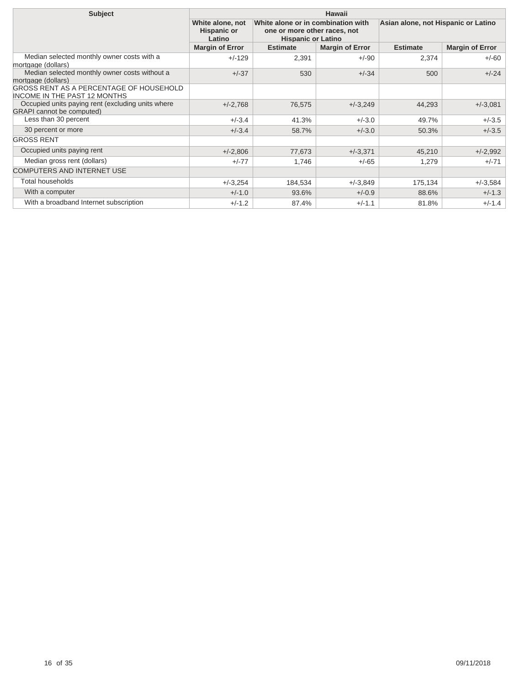| <b>Subject</b>                                                                        | Hawaii                                           |                                                                                                 |                        |                                     |                        |  |
|---------------------------------------------------------------------------------------|--------------------------------------------------|-------------------------------------------------------------------------------------------------|------------------------|-------------------------------------|------------------------|--|
|                                                                                       | White alone, not<br><b>Hispanic or</b><br>Latino | White alone or in combination with<br>one or more other races, not<br><b>Hispanic or Latino</b> |                        | Asian alone, not Hispanic or Latino |                        |  |
|                                                                                       | <b>Margin of Error</b>                           | <b>Estimate</b>                                                                                 | <b>Margin of Error</b> | <b>Estimate</b>                     | <b>Margin of Error</b> |  |
| Median selected monthly owner costs with a<br>mortgage (dollars)                      | $+/-129$                                         | 2,391                                                                                           | $+/-90$                | 2,374                               | $+/-60$                |  |
| Median selected monthly owner costs without a<br>mortgage (dollars)                   | $+/-37$                                          | 530                                                                                             | $+/-34$                | 500                                 | $+/-24$                |  |
| <b>GROSS RENT AS A PERCENTAGE OF HOUSEHOLD</b><br><b>INCOME IN THE PAST 12 MONTHS</b> |                                                  |                                                                                                 |                        |                                     |                        |  |
| Occupied units paying rent (excluding units where<br><b>GRAPI</b> cannot be computed) | $+/-2,768$                                       | 76,575                                                                                          | $+/-3,249$             | 44,293                              | $+/-3.081$             |  |
| Less than 30 percent                                                                  | $+/-3.4$                                         | 41.3%                                                                                           | $+/-3.0$               | 49.7%                               | $+/-3.5$               |  |
| 30 percent or more                                                                    | $+/-3.4$                                         | 58.7%                                                                                           | $+/-3.0$               | 50.3%                               | $+/-3.5$               |  |
| <b>GROSS RENT</b>                                                                     |                                                  |                                                                                                 |                        |                                     |                        |  |
| Occupied units paying rent                                                            | $+/-2,806$                                       | 77,673                                                                                          | $+/-3,371$             | 45,210                              | $+/-2,992$             |  |
| Median gross rent (dollars)                                                           | $+/-77$                                          | 1,746                                                                                           | $+/-65$                | 1,279                               | $+/-71$                |  |
| <b>COMPUTERS AND INTERNET USE</b>                                                     |                                                  |                                                                                                 |                        |                                     |                        |  |
| Total households                                                                      | $+/-3,254$                                       | 184.534                                                                                         | $+/-3.849$             | 175,134                             | $+/-3,584$             |  |
| With a computer                                                                       | $+/-1.0$                                         | 93.6%                                                                                           | $+/-0.9$               | 88.6%                               | $+/-1.3$               |  |
| With a broadband Internet subscription                                                | $+/-1.2$                                         | 87.4%                                                                                           | $+/-1.1$               | 81.8%                               | $+/-1.4$               |  |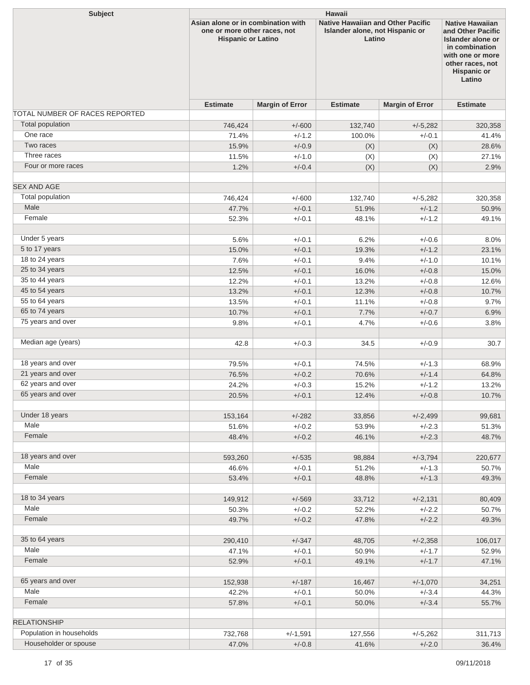| <b>Subject</b>                 | <b>Hawaii</b>                                                                                   |                        |                                                                                       |                        |                                                                                                                                                            |  |  |
|--------------------------------|-------------------------------------------------------------------------------------------------|------------------------|---------------------------------------------------------------------------------------|------------------------|------------------------------------------------------------------------------------------------------------------------------------------------------------|--|--|
|                                | Asian alone or in combination with<br>one or more other races, not<br><b>Hispanic or Latino</b> |                        | <b>Native Hawaiian and Other Pacific</b><br>Islander alone, not Hispanic or<br>Latino |                        | <b>Native Hawaiian</b><br>and Other Pacific<br>Islander alone or<br>in combination<br>with one or more<br>other races, not<br><b>Hispanic or</b><br>Latino |  |  |
|                                | <b>Estimate</b>                                                                                 | <b>Margin of Error</b> | <b>Estimate</b>                                                                       | <b>Margin of Error</b> | <b>Estimate</b>                                                                                                                                            |  |  |
| TOTAL NUMBER OF RACES REPORTED |                                                                                                 |                        |                                                                                       |                        |                                                                                                                                                            |  |  |
| Total population               | 746,424                                                                                         | $+/-600$               | 132,740                                                                               | $+/-5,282$             | 320,358                                                                                                                                                    |  |  |
| One race                       | 71.4%                                                                                           | $+/-1.2$               | 100.0%                                                                                | $+/-0.1$               | 41.4%                                                                                                                                                      |  |  |
| Two races                      | 15.9%                                                                                           | $+/-0.9$               | (X)                                                                                   | (X)                    | 28.6%                                                                                                                                                      |  |  |
| Three races                    | 11.5%                                                                                           | $+/-1.0$               | (X)                                                                                   | (X)                    | 27.1%                                                                                                                                                      |  |  |
| Four or more races             | 1.2%                                                                                            | $+/-0.4$               | (X)                                                                                   | (X)                    | 2.9%                                                                                                                                                       |  |  |
| <b>SEX AND AGE</b>             |                                                                                                 |                        |                                                                                       |                        |                                                                                                                                                            |  |  |
| Total population               | 746,424                                                                                         | $+/-600$               | 132,740                                                                               | $+/-5,282$             | 320,358                                                                                                                                                    |  |  |
| Male                           | 47.7%                                                                                           | $+/-0.1$               | 51.9%                                                                                 | $+/-1.2$               | 50.9%                                                                                                                                                      |  |  |
| Female                         | 52.3%                                                                                           | $+/-0.1$               | 48.1%                                                                                 | $+/-1.2$               | 49.1%                                                                                                                                                      |  |  |
|                                |                                                                                                 |                        |                                                                                       |                        |                                                                                                                                                            |  |  |
| Under 5 years                  | 5.6%                                                                                            | $+/-0.1$               | 6.2%                                                                                  | $+/-0.6$               | 8.0%                                                                                                                                                       |  |  |
| 5 to 17 years                  | 15.0%                                                                                           | $+/-0.1$               | 19.3%                                                                                 | $+/-1.2$               | 23.1%                                                                                                                                                      |  |  |
| 18 to 24 years                 | 7.6%                                                                                            | $+/-0.1$               | 9.4%                                                                                  | $+/-1.0$               | 10.1%                                                                                                                                                      |  |  |
| 25 to 34 years                 | 12.5%                                                                                           | $+/-0.1$               | 16.0%                                                                                 | $+/-0.8$               | 15.0%                                                                                                                                                      |  |  |
| 35 to 44 years                 | 12.2%                                                                                           | $+/-0.1$               | 13.2%                                                                                 | $+/-0.8$               | 12.6%                                                                                                                                                      |  |  |
| 45 to 54 years                 | 13.2%                                                                                           | $+/-0.1$               | 12.3%                                                                                 | $+/-0.8$               | 10.7%                                                                                                                                                      |  |  |
| 55 to 64 years                 | 13.5%                                                                                           | $+/-0.1$               | 11.1%                                                                                 | $+/-0.8$               | 9.7%                                                                                                                                                       |  |  |
| 65 to 74 years                 | 10.7%                                                                                           | $+/-0.1$               | 7.7%                                                                                  | $+/-0.7$               | 6.9%                                                                                                                                                       |  |  |
| 75 years and over              | 9.8%                                                                                            | $+/-0.1$               | 4.7%                                                                                  | $+/-0.6$               | 3.8%                                                                                                                                                       |  |  |
|                                |                                                                                                 |                        |                                                                                       |                        |                                                                                                                                                            |  |  |
| Median age (years)             | 42.8                                                                                            | $+/-0.3$               | 34.5                                                                                  | $+/-0.9$               | 30.7                                                                                                                                                       |  |  |
| 18 years and over              | 79.5%                                                                                           | $+/-0.1$               | 74.5%                                                                                 | $+/-1.3$               | 68.9%                                                                                                                                                      |  |  |
| 21 years and over              | 76.5%                                                                                           | $+/-0.2$               | 70.6%                                                                                 | $+/-1.4$               | 64.8%                                                                                                                                                      |  |  |
| 62 years and over              | 24.2%                                                                                           | $+/-0.3$               | 15.2%                                                                                 | $+/-1.2$               | 13.2%                                                                                                                                                      |  |  |
| 65 years and over              | 20.5%                                                                                           | $+/-0.1$               | 12.4%                                                                                 | $+/-0.8$               | 10.7%                                                                                                                                                      |  |  |
| Under 18 years                 | 153,164                                                                                         | $+/-282$               | 33,856                                                                                | $+/-2,499$             | 99,681                                                                                                                                                     |  |  |
| Male                           | 51.6%                                                                                           | $+/-0.2$               | 53.9%                                                                                 | $+/-2.3$               | 51.3%                                                                                                                                                      |  |  |
| Female                         | 48.4%                                                                                           | $+/-0.2$               | 46.1%                                                                                 | $+/-2.3$               | 48.7%                                                                                                                                                      |  |  |
|                                |                                                                                                 |                        |                                                                                       |                        |                                                                                                                                                            |  |  |
| 18 years and over              | 593,260                                                                                         | $+/-535$               | 98,884                                                                                | $+/-3,794$             | 220,677                                                                                                                                                    |  |  |
| Male                           | 46.6%                                                                                           | $+/-0.1$               | 51.2%                                                                                 | $+/-1.3$               | 50.7%                                                                                                                                                      |  |  |
| Female                         | 53.4%                                                                                           | $+/-0.1$               | 48.8%                                                                                 | $+/-1.3$               | 49.3%                                                                                                                                                      |  |  |
|                                |                                                                                                 |                        |                                                                                       |                        |                                                                                                                                                            |  |  |
| 18 to 34 years                 | 149,912                                                                                         | $+/-569$               | 33,712                                                                                | $+/-2,131$             | 80,409                                                                                                                                                     |  |  |
| Male                           | 50.3%                                                                                           | $+/-0.2$               | 52.2%                                                                                 | $+/-2.2$               | 50.7%                                                                                                                                                      |  |  |
| Female                         | 49.7%                                                                                           | $+/-0.2$               | 47.8%                                                                                 | $+/-2.2$               | 49.3%                                                                                                                                                      |  |  |
|                                |                                                                                                 |                        |                                                                                       |                        |                                                                                                                                                            |  |  |
| 35 to 64 years                 | 290,410                                                                                         | $+/-347$               | 48,705                                                                                | $+/-2,358$             | 106,017                                                                                                                                                    |  |  |
| Male                           | 47.1%                                                                                           | $+/-0.1$               | 50.9%                                                                                 | $+/-1.7$               | 52.9%                                                                                                                                                      |  |  |
| Female                         | 52.9%                                                                                           | $+/-0.1$               | 49.1%                                                                                 | $+/-1.7$               | 47.1%                                                                                                                                                      |  |  |
|                                |                                                                                                 |                        |                                                                                       |                        |                                                                                                                                                            |  |  |
| 65 years and over              | 152,938                                                                                         | $+/-187$               | 16,467                                                                                | $+/-1,070$             | 34,251                                                                                                                                                     |  |  |
| Male                           | 42.2%                                                                                           | $+/-0.1$               | 50.0%                                                                                 | $+/-3.4$               | 44.3%                                                                                                                                                      |  |  |
| Female                         | 57.8%                                                                                           | $+/-0.1$               | 50.0%                                                                                 | $+/-3.4$               | 55.7%                                                                                                                                                      |  |  |
| <b>RELATIONSHIP</b>            |                                                                                                 |                        |                                                                                       |                        |                                                                                                                                                            |  |  |
| Population in households       | 732,768                                                                                         | $+/-1,591$             | 127,556                                                                               | $+/-5,262$             | 311,713                                                                                                                                                    |  |  |
| Householder or spouse          | 47.0%                                                                                           | $+/-0.8$               | 41.6%                                                                                 | $+/-2.0$               | 36.4%                                                                                                                                                      |  |  |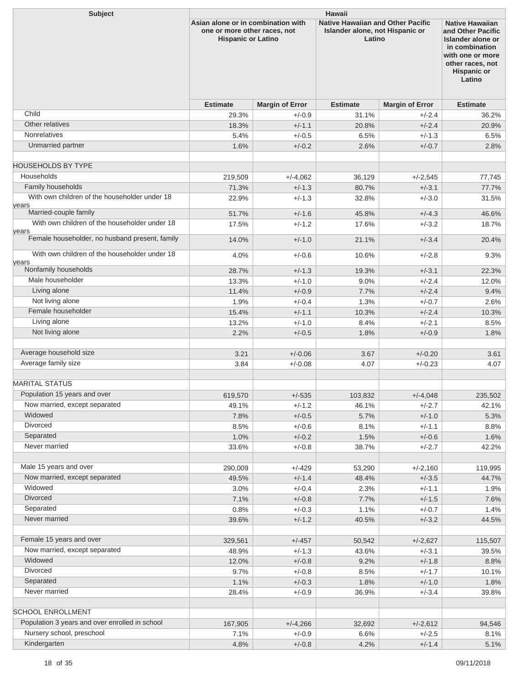| <b>Subject</b>                                          | <b>Hawaii</b>                                                                                   |                        |                                                                                       |                        |                                                                                                                                                            |  |  |
|---------------------------------------------------------|-------------------------------------------------------------------------------------------------|------------------------|---------------------------------------------------------------------------------------|------------------------|------------------------------------------------------------------------------------------------------------------------------------------------------------|--|--|
|                                                         | Asian alone or in combination with<br>one or more other races, not<br><b>Hispanic or Latino</b> |                        | <b>Native Hawaiian and Other Pacific</b><br>Islander alone, not Hispanic or<br>Latino |                        | <b>Native Hawaiian</b><br>and Other Pacific<br>Islander alone or<br>in combination<br>with one or more<br>other races, not<br><b>Hispanic or</b><br>Latino |  |  |
|                                                         | <b>Estimate</b>                                                                                 | <b>Margin of Error</b> | <b>Estimate</b>                                                                       | <b>Margin of Error</b> | <b>Estimate</b>                                                                                                                                            |  |  |
| Child                                                   | 29.3%                                                                                           | $+/-0.9$               | 31.1%                                                                                 | $+/-2.4$               | 36.2%                                                                                                                                                      |  |  |
| Other relatives                                         | 18.3%                                                                                           | $+/-1.1$               | 20.8%                                                                                 | $+/-2.4$               | 20.9%                                                                                                                                                      |  |  |
| <b>Nonrelatives</b>                                     | 5.4%                                                                                            | $+/-0.5$               | 6.5%                                                                                  | $+/-1.3$               | 6.5%                                                                                                                                                       |  |  |
| Unmarried partner                                       | 1.6%                                                                                            | $+/-0.2$               | 2.6%                                                                                  | $+/-0.7$               | 2.8%                                                                                                                                                       |  |  |
|                                                         |                                                                                                 |                        |                                                                                       |                        |                                                                                                                                                            |  |  |
| <b>HOUSEHOLDS BY TYPE</b>                               |                                                                                                 |                        |                                                                                       |                        |                                                                                                                                                            |  |  |
| Households                                              | 219,509                                                                                         | $+/-4,062$             | 36,129                                                                                | $+/-2,545$             | 77,745                                                                                                                                                     |  |  |
| Family households                                       | 71.3%                                                                                           | $+/-1.3$               | 80.7%                                                                                 | $+/-3.1$               | 77.7%                                                                                                                                                      |  |  |
| With own children of the householder under 18<br>years  | 22.9%                                                                                           | $+/-1.3$               | 32.8%                                                                                 | $+/-3.0$               | 31.5%                                                                                                                                                      |  |  |
| Married-couple family                                   | 51.7%                                                                                           | $+/-1.6$               | 45.8%                                                                                 | $+/-4.3$               | 46.6%                                                                                                                                                      |  |  |
| With own children of the householder under 18           | 17.5%                                                                                           | $+/-1.2$               | 17.6%                                                                                 | $+/-3.2$               | 18.7%                                                                                                                                                      |  |  |
| years<br>Female householder, no husband present, family | 14.0%                                                                                           | $+/-1.0$               | 21.1%                                                                                 | $+/-3.4$               | 20.4%                                                                                                                                                      |  |  |
| With own children of the householder under 18           | 4.0%                                                                                            | $+/-0.6$               | 10.6%                                                                                 | $+/-2.8$               | 9.3%                                                                                                                                                       |  |  |
| years<br>Nonfamily households                           | 28.7%                                                                                           | $+/-1.3$               | 19.3%                                                                                 | $+/-3.1$               | 22.3%                                                                                                                                                      |  |  |
| Male householder                                        | 13.3%                                                                                           | $+/-1.0$               | 9.0%                                                                                  | $+/-2.4$               | 12.0%                                                                                                                                                      |  |  |
| Living alone                                            | 11.4%                                                                                           | $+/-0.9$               | 7.7%                                                                                  | $+/-2.4$               | 9.4%                                                                                                                                                       |  |  |
| Not living alone                                        | 1.9%                                                                                            | $+/-0.4$               | 1.3%                                                                                  | $+/-0.7$               | 2.6%                                                                                                                                                       |  |  |
| Female householder                                      | 15.4%                                                                                           | $+/-1.1$               | 10.3%                                                                                 | $+/-2.4$               | 10.3%                                                                                                                                                      |  |  |
| Living alone                                            | 13.2%                                                                                           | $+/-1.0$               | 8.4%                                                                                  | $+/-2.1$               | 8.5%                                                                                                                                                       |  |  |
| Not living alone                                        | 2.2%                                                                                            | $+/-0.5$               | 1.8%                                                                                  | $+/-0.9$               | 1.8%                                                                                                                                                       |  |  |
|                                                         |                                                                                                 |                        |                                                                                       |                        |                                                                                                                                                            |  |  |
| Average household size                                  | 3.21                                                                                            | $+/-0.06$              | 3.67                                                                                  | $+/-0.20$              | 3.61                                                                                                                                                       |  |  |
| Average family size                                     | 3.84                                                                                            | $+/-0.08$              | 4.07                                                                                  | $+/-0.23$              | 4.07                                                                                                                                                       |  |  |
|                                                         |                                                                                                 |                        |                                                                                       |                        |                                                                                                                                                            |  |  |
| <b>MARITAL STATUS</b>                                   |                                                                                                 |                        |                                                                                       |                        |                                                                                                                                                            |  |  |
| Population 15 years and over                            | 619,570                                                                                         | $+/-535$               | 103,832                                                                               | $+/-4,048$             | 235,502                                                                                                                                                    |  |  |
| Now married, except separated                           | 49.1%                                                                                           | $+/-1.2$               | 46.1%                                                                                 | $+/-2.7$               | 42.1%                                                                                                                                                      |  |  |
| Widowed                                                 | 7.8%                                                                                            | $+/-0.5$               | 5.7%                                                                                  | $+/-1.0$               | 5.3%                                                                                                                                                       |  |  |
| Divorced                                                | 8.5%                                                                                            | $+/-0.6$               | 8.1%                                                                                  | $+/-1.1$               | 8.8%                                                                                                                                                       |  |  |
| Separated                                               | 1.0%                                                                                            | $+/-0.2$               | 1.5%                                                                                  | $+/-0.6$               | 1.6%                                                                                                                                                       |  |  |
| Never married                                           | 33.6%                                                                                           | $+/-0.8$               | 38.7%                                                                                 | $+/-2.7$               | 42.2%                                                                                                                                                      |  |  |
|                                                         |                                                                                                 |                        |                                                                                       |                        |                                                                                                                                                            |  |  |
| Male 15 years and over                                  | 290,009                                                                                         | $+/-429$               | 53,290                                                                                | $+/-2,160$             | 119,995                                                                                                                                                    |  |  |
| Now married, except separated<br>Widowed                | 49.5%                                                                                           | $+/-1.4$               | 48.4%                                                                                 | $+/-3.5$               | 44.7%                                                                                                                                                      |  |  |
| Divorced                                                | 3.0%                                                                                            | $+/-0.4$               | 2.3%                                                                                  | $+/-1.1$               | 1.9%                                                                                                                                                       |  |  |
|                                                         | 7.1%                                                                                            | $+/-0.8$               | 7.7%                                                                                  | $+/-1.5$               | 7.6%                                                                                                                                                       |  |  |
| Separated                                               | 0.8%                                                                                            | $+/-0.3$               | 1.1%                                                                                  | $+/-0.7$               | 1.4%                                                                                                                                                       |  |  |
| Never married                                           | 39.6%                                                                                           | $+/-1.2$               | 40.5%                                                                                 | $+/-3.2$               | 44.5%                                                                                                                                                      |  |  |
| Female 15 years and over                                | 329,561                                                                                         | $+/-457$               | 50,542                                                                                | $+/-2,627$             | 115,507                                                                                                                                                    |  |  |
| Now married, except separated                           | 48.9%                                                                                           | $+/-1.3$               | 43.6%                                                                                 | $+/-3.1$               | 39.5%                                                                                                                                                      |  |  |
| Widowed                                                 | 12.0%                                                                                           | $+/-0.8$               | 9.2%                                                                                  | $+/-1.8$               | 8.8%                                                                                                                                                       |  |  |
| Divorced                                                | 9.7%                                                                                            | $+/-0.8$               | 8.5%                                                                                  | $+/-1.7$               | 10.1%                                                                                                                                                      |  |  |
| Separated                                               | 1.1%                                                                                            | $+/-0.3$               | 1.8%                                                                                  | $+/-1.0$               | 1.8%                                                                                                                                                       |  |  |
| Never married                                           | 28.4%                                                                                           | $+/-0.9$               | 36.9%                                                                                 | $+/-3.4$               | 39.8%                                                                                                                                                      |  |  |
|                                                         |                                                                                                 |                        |                                                                                       |                        |                                                                                                                                                            |  |  |
| <b>SCHOOL ENROLLMENT</b>                                |                                                                                                 |                        |                                                                                       |                        |                                                                                                                                                            |  |  |
| Population 3 years and over enrolled in school          | 167,905                                                                                         | $+/-4,266$             | 32,692                                                                                | $+/-2,612$             | 94,546                                                                                                                                                     |  |  |
| Nursery school, preschool                               | 7.1%                                                                                            | $+/-0.9$               | 6.6%                                                                                  | $+/-2.5$               | 8.1%                                                                                                                                                       |  |  |
| Kindergarten                                            | 4.8%                                                                                            | $+/-0.8$               | 4.2%                                                                                  | $+/-1.4$               | 5.1%                                                                                                                                                       |  |  |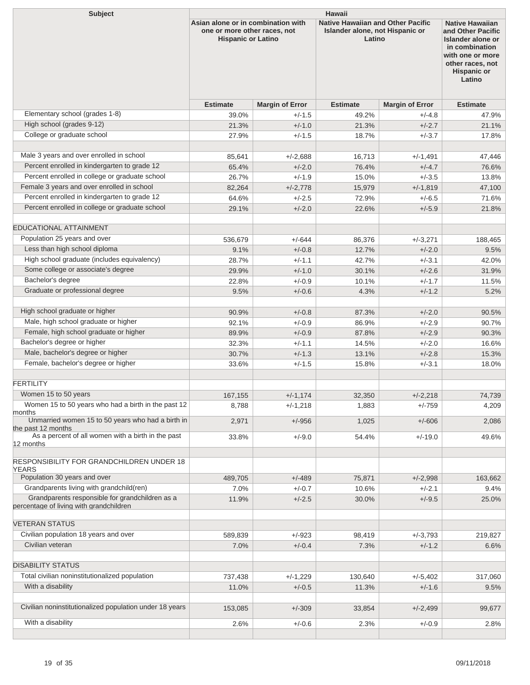| <b>Subject</b>                                                  | <b>Hawaii</b>                                                                                   |                        |                                                                                       |                        |                                                                                                                                                            |  |  |
|-----------------------------------------------------------------|-------------------------------------------------------------------------------------------------|------------------------|---------------------------------------------------------------------------------------|------------------------|------------------------------------------------------------------------------------------------------------------------------------------------------------|--|--|
|                                                                 | Asian alone or in combination with<br>one or more other races, not<br><b>Hispanic or Latino</b> |                        | <b>Native Hawaiian and Other Pacific</b><br>Islander alone, not Hispanic or<br>Latino |                        | <b>Native Hawaiian</b><br>and Other Pacific<br>Islander alone or<br>in combination<br>with one or more<br>other races, not<br><b>Hispanic or</b><br>Latino |  |  |
|                                                                 | <b>Estimate</b>                                                                                 | <b>Margin of Error</b> | <b>Estimate</b>                                                                       | <b>Margin of Error</b> | <b>Estimate</b>                                                                                                                                            |  |  |
| Elementary school (grades 1-8)                                  | 39.0%                                                                                           | $+/-1.5$               | 49.2%                                                                                 | $+/-4.8$               | 47.9%                                                                                                                                                      |  |  |
| High school (grades 9-12)                                       | 21.3%                                                                                           | $+/-1.0$               | 21.3%                                                                                 | $+/-2.7$               | 21.1%                                                                                                                                                      |  |  |
| College or graduate school                                      | 27.9%                                                                                           | $+/-1.5$               | 18.7%                                                                                 | $+/-3.7$               | 17.8%                                                                                                                                                      |  |  |
| Male 3 years and over enrolled in school                        | 85,641                                                                                          | $+/-2.688$             | 16,713                                                                                |                        | 47,446                                                                                                                                                     |  |  |
| Percent enrolled in kindergarten to grade 12                    |                                                                                                 |                        |                                                                                       | $+/-1,491$             |                                                                                                                                                            |  |  |
| Percent enrolled in college or graduate school                  | 65.4%                                                                                           | $+/-2.0$               | 76.4%                                                                                 | $+/-4.7$               | 76.6%                                                                                                                                                      |  |  |
|                                                                 | 26.7%                                                                                           | $+/-1.9$               | 15.0%                                                                                 | $+/-3.5$               | 13.8%                                                                                                                                                      |  |  |
| Female 3 years and over enrolled in school                      | 82,264                                                                                          | $+/-2,778$             | 15,979                                                                                | $+/-1,819$             | 47,100                                                                                                                                                     |  |  |
| Percent enrolled in kindergarten to grade 12                    | 64.6%                                                                                           | $+/-2.5$               | 72.9%                                                                                 | $+/-6.5$               | 71.6%                                                                                                                                                      |  |  |
| Percent enrolled in college or graduate school                  | 29.1%                                                                                           | $+/-2.0$               | 22.6%                                                                                 | $+/-5.9$               | 21.8%                                                                                                                                                      |  |  |
| <b>EDUCATIONAL ATTAINMENT</b>                                   |                                                                                                 |                        |                                                                                       |                        |                                                                                                                                                            |  |  |
| Population 25 years and over                                    | 536,679                                                                                         | $+/-644$               | 86,376                                                                                | $+/-3,271$             | 188,465                                                                                                                                                    |  |  |
| Less than high school diploma                                   | 9.1%                                                                                            | $+/-0.8$               | 12.7%                                                                                 | $+/-2.0$               | 9.5%                                                                                                                                                       |  |  |
| High school graduate (includes equivalency)                     | 28.7%                                                                                           | $+/-1.1$               | 42.7%                                                                                 | $+/-3.1$               | 42.0%                                                                                                                                                      |  |  |
| Some college or associate's degree                              | 29.9%                                                                                           | $+/-1.0$               | 30.1%                                                                                 | $+/-2.6$               | 31.9%                                                                                                                                                      |  |  |
| Bachelor's degree                                               | 22.8%                                                                                           | $+/-0.9$               |                                                                                       | $+/-1.7$               |                                                                                                                                                            |  |  |
| Graduate or professional degree                                 |                                                                                                 |                        | 10.1%                                                                                 |                        | 11.5%                                                                                                                                                      |  |  |
|                                                                 | 9.5%                                                                                            | $+/-0.6$               | 4.3%                                                                                  | $+/-1.2$               | 5.2%                                                                                                                                                       |  |  |
| High school graduate or higher                                  | 90.9%                                                                                           | $+/-0.8$               | 87.3%                                                                                 | $+/-2.0$               | 90.5%                                                                                                                                                      |  |  |
| Male, high school graduate or higher                            | 92.1%                                                                                           | $+/-0.9$               | 86.9%                                                                                 | $+/-2.9$               | 90.7%                                                                                                                                                      |  |  |
| Female, high school graduate or higher                          | 89.9%                                                                                           | $+/-0.9$               | 87.8%                                                                                 | $+/-2.9$               | 90.3%                                                                                                                                                      |  |  |
| Bachelor's degree or higher                                     | 32.3%                                                                                           | $+/-1.1$               | 14.5%                                                                                 | $+/-2.0$               | 16.6%                                                                                                                                                      |  |  |
| Male, bachelor's degree or higher                               | 30.7%                                                                                           | $+/-1.3$               | 13.1%                                                                                 | $+/-2.8$               | 15.3%                                                                                                                                                      |  |  |
| Female, bachelor's degree or higher                             | 33.6%                                                                                           | $+/-1.5$               | 15.8%                                                                                 | $+/-3.1$               | 18.0%                                                                                                                                                      |  |  |
|                                                                 |                                                                                                 |                        |                                                                                       |                        |                                                                                                                                                            |  |  |
| FERTILITY                                                       |                                                                                                 |                        |                                                                                       |                        |                                                                                                                                                            |  |  |
| Women 15 to 50 years                                            | 167,155                                                                                         | $+/-1,174$             | 32,350                                                                                | $+/-2,218$             | 74,739                                                                                                                                                     |  |  |
| Women 15 to 50 years who had a birth in the past 12             | 8,788                                                                                           | $+/-1,218$             | 1,883                                                                                 | $+/-759$               | 4,209                                                                                                                                                      |  |  |
| months<br>Unmarried women 15 to 50 years who had a birth in     | 2,971                                                                                           | $+/-956$               | 1,025                                                                                 | $+/-606$               | 2,086                                                                                                                                                      |  |  |
| the past 12 months                                              |                                                                                                 |                        |                                                                                       |                        |                                                                                                                                                            |  |  |
| As a percent of all women with a birth in the past<br>12 months | 33.8%                                                                                           | $+/-9.0$               | 54.4%                                                                                 | $+/-19.0$              | 49.6%                                                                                                                                                      |  |  |
|                                                                 |                                                                                                 |                        |                                                                                       |                        |                                                                                                                                                            |  |  |
| <b>RESPONSIBILITY FOR GRANDCHILDREN UNDER 18</b><br>YEARS       |                                                                                                 |                        |                                                                                       |                        |                                                                                                                                                            |  |  |
| Population 30 years and over                                    | 489,705                                                                                         | $+/-489$               | 75,871                                                                                | $+/-2,998$             | 163,662                                                                                                                                                    |  |  |
| Grandparents living with grandchild(ren)                        | 7.0%                                                                                            | $+/-0.7$               | 10.6%                                                                                 | $+/-2.1$               | 9.4%                                                                                                                                                       |  |  |
| Grandparents responsible for grandchildren as a                 | 11.9%                                                                                           | $+/-2.5$               | 30.0%                                                                                 | $+/-9.5$               | 25.0%                                                                                                                                                      |  |  |
| percentage of living with grandchildren                         |                                                                                                 |                        |                                                                                       |                        |                                                                                                                                                            |  |  |
| <b>VETERAN STATUS</b>                                           |                                                                                                 |                        |                                                                                       |                        |                                                                                                                                                            |  |  |
| Civilian population 18 years and over                           | 589,839                                                                                         | $+/-923$               | 98,419                                                                                | $+/-3,793$             | 219,827                                                                                                                                                    |  |  |
| Civilian veteran                                                | 7.0%                                                                                            | $+/-0.4$               | 7.3%                                                                                  | $+/-1.2$               | 6.6%                                                                                                                                                       |  |  |
|                                                                 |                                                                                                 |                        |                                                                                       |                        |                                                                                                                                                            |  |  |
| <b>DISABILITY STATUS</b>                                        |                                                                                                 |                        |                                                                                       |                        |                                                                                                                                                            |  |  |
| Total civilian noninstitutionalized population                  | 737,438                                                                                         | +/-1,229               | 130,640                                                                               | $+/-5,402$             | 317,060                                                                                                                                                    |  |  |
| With a disability                                               | 11.0%                                                                                           | $+/-0.5$               | 11.3%                                                                                 | $+/-1.6$               | 9.5%                                                                                                                                                       |  |  |
| Civilian noninstitutionalized population under 18 years         |                                                                                                 |                        |                                                                                       |                        |                                                                                                                                                            |  |  |
|                                                                 | 153,085                                                                                         | $+/-309$               | 33,854                                                                                | $+/-2,499$             | 99,677                                                                                                                                                     |  |  |
| With a disability                                               | 2.6%                                                                                            | $+/-0.6$               | 2.3%                                                                                  | $+/-0.9$               | 2.8%                                                                                                                                                       |  |  |
|                                                                 |                                                                                                 |                        |                                                                                       |                        |                                                                                                                                                            |  |  |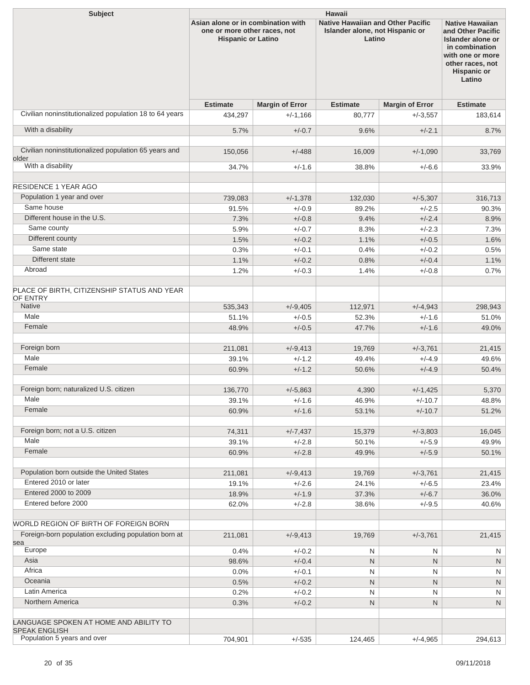| <b>Subject</b>                                                 | Hawaii                                                                                          |                        |                                                                                       |                        |                                                                                                                                                            |  |  |
|----------------------------------------------------------------|-------------------------------------------------------------------------------------------------|------------------------|---------------------------------------------------------------------------------------|------------------------|------------------------------------------------------------------------------------------------------------------------------------------------------------|--|--|
|                                                                | Asian alone or in combination with<br>one or more other races, not<br><b>Hispanic or Latino</b> |                        | <b>Native Hawaiian and Other Pacific</b><br>Islander alone, not Hispanic or<br>Latino |                        | <b>Native Hawaiian</b><br>and Other Pacific<br>Islander alone or<br>in combination<br>with one or more<br>other races, not<br><b>Hispanic or</b><br>Latino |  |  |
|                                                                | <b>Estimate</b>                                                                                 | <b>Margin of Error</b> | <b>Estimate</b>                                                                       | <b>Margin of Error</b> | <b>Estimate</b>                                                                                                                                            |  |  |
| Civilian noninstitutionalized population 18 to 64 years        | 434,297                                                                                         | $+/-1,166$             | 80,777                                                                                | $+/-3,557$             | 183,614                                                                                                                                                    |  |  |
| With a disability                                              | 5.7%                                                                                            | $+/-0.7$               | 9.6%                                                                                  | $+/-2.1$               | 8.7%                                                                                                                                                       |  |  |
|                                                                |                                                                                                 |                        |                                                                                       |                        |                                                                                                                                                            |  |  |
| Civilian noninstitutionalized population 65 years and<br>older | 150,056                                                                                         | $+/-488$               | 16,009                                                                                | $+/-1,090$             | 33,769                                                                                                                                                     |  |  |
| With a disability                                              | 34.7%                                                                                           | $+/-1.6$               | 38.8%                                                                                 | $+/-6.6$               | 33.9%                                                                                                                                                      |  |  |
|                                                                |                                                                                                 |                        |                                                                                       |                        |                                                                                                                                                            |  |  |
| <b>RESIDENCE 1 YEAR AGO</b>                                    |                                                                                                 |                        |                                                                                       |                        |                                                                                                                                                            |  |  |
| Population 1 year and over                                     | 739,083                                                                                         | $+/-1,378$             | 132,030                                                                               | $+/-5,307$             | 316,713                                                                                                                                                    |  |  |
| Same house                                                     | 91.5%                                                                                           | $+/-0.9$               | 89.2%                                                                                 | $+/-2.5$               | 90.3%                                                                                                                                                      |  |  |
| Different house in the U.S.                                    | 7.3%                                                                                            | $+/-0.8$               | 9.4%                                                                                  | $+/-2.4$               | 8.9%                                                                                                                                                       |  |  |
| Same county                                                    | 5.9%                                                                                            | $+/-0.7$               | 8.3%                                                                                  | $+/-2.3$               | 7.3%                                                                                                                                                       |  |  |
| Different county                                               | 1.5%                                                                                            | $+/-0.2$               | 1.1%                                                                                  | $+/-0.5$               | 1.6%                                                                                                                                                       |  |  |
| Same state                                                     | 0.3%                                                                                            | $+/-0.1$               | 0.4%                                                                                  | $+/-0.2$               | 0.5%                                                                                                                                                       |  |  |
| Different state                                                | 1.1%                                                                                            | $+/-0.2$               | 0.8%                                                                                  | $+/-0.4$               | 1.1%                                                                                                                                                       |  |  |
| Abroad                                                         | 1.2%                                                                                            | $+/-0.3$               | 1.4%                                                                                  | $+/-0.8$               | 0.7%                                                                                                                                                       |  |  |
| PLACE OF BIRTH, CITIZENSHIP STATUS AND YEAR<br>OF ENTRY        |                                                                                                 |                        |                                                                                       |                        |                                                                                                                                                            |  |  |
| <b>Native</b>                                                  | 535,343                                                                                         | $+/-9,405$             | 112,971                                                                               | $+/-4,943$             | 298,943                                                                                                                                                    |  |  |
| Male                                                           | 51.1%                                                                                           | $+/-0.5$               | 52.3%                                                                                 | $+/-1.6$               | 51.0%                                                                                                                                                      |  |  |
| Female                                                         | 48.9%                                                                                           | $+/-0.5$               | 47.7%                                                                                 | $+/-1.6$               | 49.0%                                                                                                                                                      |  |  |
| Foreign born                                                   | 211,081                                                                                         | $+/-9,413$             | 19,769                                                                                | $+/-3,761$             | 21,415                                                                                                                                                     |  |  |
| Male                                                           | 39.1%                                                                                           | $+/-1.2$               | 49.4%                                                                                 | $+/-4.9$               | 49.6%                                                                                                                                                      |  |  |
| Female                                                         | 60.9%                                                                                           | $+/-1.2$               | 50.6%                                                                                 | $+/-4.9$               | 50.4%                                                                                                                                                      |  |  |
|                                                                |                                                                                                 |                        |                                                                                       |                        |                                                                                                                                                            |  |  |
| Foreign born; naturalized U.S. citizen                         | 136,770                                                                                         | $+/-5,863$             | 4,390                                                                                 | $+/-1,425$             | 5,370                                                                                                                                                      |  |  |
| Male                                                           | 39.1%                                                                                           | $+/-1.6$               | 46.9%                                                                                 | $+/-10.7$              | 48.8%                                                                                                                                                      |  |  |
| Female                                                         | 60.9%                                                                                           | $+/-1.6$               | 53.1%                                                                                 | $+/-10.7$              | 51.2%                                                                                                                                                      |  |  |
|                                                                |                                                                                                 |                        |                                                                                       |                        |                                                                                                                                                            |  |  |
| Foreign born; not a U.S. citizen                               | 74,311                                                                                          | $+/-7,437$             | 15,379                                                                                | $+/-3,803$             | 16,045                                                                                                                                                     |  |  |
| Male                                                           | 39.1%                                                                                           | $+/-2.8$               | 50.1%                                                                                 | $+/-5.9$               | 49.9%                                                                                                                                                      |  |  |
| Female                                                         | 60.9%                                                                                           | $+/-2.8$               | 49.9%                                                                                 | $+/-5.9$               | 50.1%                                                                                                                                                      |  |  |
| Population born outside the United States                      | 211,081                                                                                         | $+/-9,413$             | 19,769                                                                                | $+/-3,761$             | 21,415                                                                                                                                                     |  |  |
| Entered 2010 or later                                          | 19.1%                                                                                           | $+/-2.6$               | 24.1%                                                                                 | $+/-6.5$               | 23.4%                                                                                                                                                      |  |  |
| Entered 2000 to 2009                                           | 18.9%                                                                                           | $+/-1.9$               | 37.3%                                                                                 | $+/-6.7$               | 36.0%                                                                                                                                                      |  |  |
| Entered before 2000                                            | 62.0%                                                                                           | $+/-2.8$               | 38.6%                                                                                 | $+/-9.5$               | 40.6%                                                                                                                                                      |  |  |
|                                                                |                                                                                                 |                        |                                                                                       |                        |                                                                                                                                                            |  |  |
| WORLD REGION OF BIRTH OF FOREIGN BORN                          |                                                                                                 |                        |                                                                                       |                        |                                                                                                                                                            |  |  |
| Foreign-born population excluding population born at<br>sea    | 211,081                                                                                         | $+/-9,413$             | 19,769                                                                                | $+/-3,761$             | 21,415                                                                                                                                                     |  |  |
| Europe                                                         | 0.4%                                                                                            | $+/-0.2$               | N                                                                                     | Ν                      | N                                                                                                                                                          |  |  |
| Asia                                                           | 98.6%                                                                                           | $+/-0.4$               | $\mathsf{N}$                                                                          | N                      | ${\sf N}$                                                                                                                                                  |  |  |
| Africa                                                         | 0.0%                                                                                            | $+/-0.1$               | N                                                                                     | Ν                      | N                                                                                                                                                          |  |  |
| Oceania                                                        | 0.5%                                                                                            | $+/-0.2$               | $\mathsf{N}$                                                                          | N                      | ${\sf N}$                                                                                                                                                  |  |  |
| Latin America                                                  | 0.2%                                                                                            | $+/-0.2$               | $\mathsf{N}$                                                                          | Ν                      | N                                                                                                                                                          |  |  |
| Northern America                                               | 0.3%                                                                                            | $+/-0.2$               | $\mathsf{N}$                                                                          | Ν                      | ${\sf N}$                                                                                                                                                  |  |  |
| LANGUAGE SPOKEN AT HOME AND ABILITY TO                         |                                                                                                 |                        |                                                                                       |                        |                                                                                                                                                            |  |  |
| <b>SPEAK ENGLISH</b><br>Population 5 years and over            |                                                                                                 |                        |                                                                                       |                        |                                                                                                                                                            |  |  |
|                                                                | 704,901                                                                                         | $+/-535$               | 124,465                                                                               | $+/-4,965$             | 294,613                                                                                                                                                    |  |  |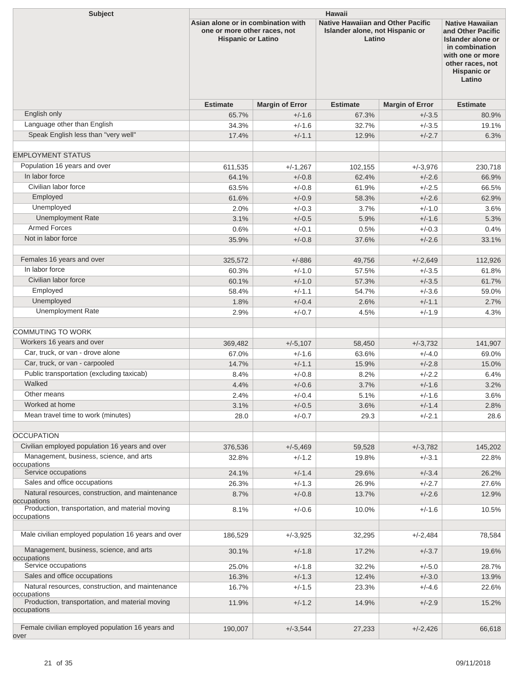| <b>Subject</b>                                                 | <b>Hawaii</b>                                                                                   |                        |                                                                                       |                        |                                                                                                                                                            |  |  |
|----------------------------------------------------------------|-------------------------------------------------------------------------------------------------|------------------------|---------------------------------------------------------------------------------------|------------------------|------------------------------------------------------------------------------------------------------------------------------------------------------------|--|--|
|                                                                | Asian alone or in combination with<br>one or more other races, not<br><b>Hispanic or Latino</b> |                        | <b>Native Hawaiian and Other Pacific</b><br>Islander alone, not Hispanic or<br>Latino |                        | <b>Native Hawaiian</b><br>and Other Pacific<br>Islander alone or<br>in combination<br>with one or more<br>other races, not<br><b>Hispanic or</b><br>Latino |  |  |
|                                                                | <b>Estimate</b>                                                                                 | <b>Margin of Error</b> | <b>Estimate</b>                                                                       | <b>Margin of Error</b> | <b>Estimate</b>                                                                                                                                            |  |  |
| English only                                                   | 65.7%                                                                                           | $+/-1.6$               | 67.3%                                                                                 | $+/-3.5$               | 80.9%                                                                                                                                                      |  |  |
| Language other than English                                    | 34.3%                                                                                           | $+/-1.6$               | 32.7%                                                                                 | $+/-3.5$               | 19.1%                                                                                                                                                      |  |  |
| Speak English less than "very well"                            | 17.4%                                                                                           | $+/-1.1$               | 12.9%                                                                                 | $+/-2.7$               | 6.3%                                                                                                                                                       |  |  |
|                                                                |                                                                                                 |                        |                                                                                       |                        |                                                                                                                                                            |  |  |
| <b>EMPLOYMENT STATUS</b>                                       |                                                                                                 |                        |                                                                                       |                        |                                                                                                                                                            |  |  |
| Population 16 years and over<br>In labor force                 | 611,535                                                                                         | $+/-1,267$             | 102,155                                                                               | $+/-3.976$             | 230,718                                                                                                                                                    |  |  |
| Civilian labor force                                           | 64.1%                                                                                           | $+/-0.8$               | 62.4%                                                                                 | $+/-2.6$               | 66.9%                                                                                                                                                      |  |  |
| Employed                                                       | 63.5%                                                                                           | $+/-0.8$               | 61.9%                                                                                 | $+/-2.5$               | 66.5%                                                                                                                                                      |  |  |
| Unemployed                                                     | 61.6%                                                                                           | $+/-0.9$               | 58.3%                                                                                 | $+/-2.6$               | 62.9%                                                                                                                                                      |  |  |
| <b>Unemployment Rate</b>                                       | 2.0%                                                                                            | $+/-0.3$               | 3.7%                                                                                  | $+/-1.0$               | $3.6\%$                                                                                                                                                    |  |  |
| <b>Armed Forces</b>                                            | 3.1%                                                                                            | $+/-0.5$               | 5.9%                                                                                  | $+/-1.6$<br>$+/-0.3$   | 5.3%                                                                                                                                                       |  |  |
| Not in labor force                                             | 0.6%                                                                                            | $+/-0.1$               | 0.5%                                                                                  |                        | 0.4%                                                                                                                                                       |  |  |
|                                                                | 35.9%                                                                                           | $+/-0.8$               | 37.6%                                                                                 | $+/-2.6$               | 33.1%                                                                                                                                                      |  |  |
| Females 16 years and over                                      | 325,572                                                                                         | $+/-886$               | 49,756                                                                                | $+/-2,649$             | 112,926                                                                                                                                                    |  |  |
| In labor force                                                 | 60.3%                                                                                           | $+/-1.0$               | 57.5%                                                                                 | $+/-3.5$               | 61.8%                                                                                                                                                      |  |  |
| Civilian labor force                                           | 60.1%                                                                                           | $+/-1.0$               | 57.3%                                                                                 | $+/-3.5$               | 61.7%                                                                                                                                                      |  |  |
| Employed                                                       | 58.4%                                                                                           | $+/-1.1$               | 54.7%                                                                                 | $+/-3.6$               | 59.0%                                                                                                                                                      |  |  |
| Unemployed                                                     | 1.8%                                                                                            | $+/-0.4$               | 2.6%                                                                                  | $+/-1.1$               | 2.7%                                                                                                                                                       |  |  |
| <b>Unemployment Rate</b>                                       | 2.9%                                                                                            | $+/-0.7$               | 4.5%                                                                                  | $+/-1.9$               | 4.3%                                                                                                                                                       |  |  |
|                                                                |                                                                                                 |                        |                                                                                       |                        |                                                                                                                                                            |  |  |
| <b>COMMUTING TO WORK</b>                                       |                                                                                                 |                        |                                                                                       |                        |                                                                                                                                                            |  |  |
| Workers 16 years and over                                      | 369,482                                                                                         | $+/-5,107$             | 58,450                                                                                | $+/-3.732$             | 141,907                                                                                                                                                    |  |  |
| Car, truck, or van - drove alone                               | 67.0%                                                                                           | $+/-1.6$               | 63.6%                                                                                 | $+/-4.0$               | 69.0%                                                                                                                                                      |  |  |
| Car, truck, or van - carpooled                                 | 14.7%                                                                                           | $+/-1.1$               | 15.9%                                                                                 | $+/-2.8$               | 15.0%                                                                                                                                                      |  |  |
| Public transportation (excluding taxicab)                      | 8.4%                                                                                            | $+/-0.8$               | 8.2%                                                                                  | $+/-2.2$               | $6.4\%$                                                                                                                                                    |  |  |
| Walked                                                         | 4.4%                                                                                            | $+/-0.6$               | 3.7%                                                                                  | $+/-1.6$               | 3.2%                                                                                                                                                       |  |  |
| Other means                                                    | 2.4%                                                                                            | $+/-0.4$               | 5.1%                                                                                  | $+/-1.6$               | 3.6%                                                                                                                                                       |  |  |
| Worked at home                                                 | 3.1%                                                                                            | $+/-0.5$               | 3.6%                                                                                  | $+/-1.4$               | 2.8%                                                                                                                                                       |  |  |
| Mean travel time to work (minutes)                             | 28.0                                                                                            | $+/-0.7$               | 29.3                                                                                  | $+/-2.1$               | 28.6                                                                                                                                                       |  |  |
|                                                                |                                                                                                 |                        |                                                                                       |                        |                                                                                                                                                            |  |  |
| <b>OCCUPATION</b>                                              |                                                                                                 |                        |                                                                                       |                        |                                                                                                                                                            |  |  |
| Civilian employed population 16 years and over                 | 376,536                                                                                         | $+/-5,469$             | 59,528                                                                                | $+/-3,782$             | 145,202                                                                                                                                                    |  |  |
| Management, business, science, and arts<br>occupations         | 32.8%                                                                                           | $+/-1.2$               | 19.8%                                                                                 | $+/-3.1$               | 22.8%                                                                                                                                                      |  |  |
| Service occupations                                            | 24.1%                                                                                           | $+/-1.4$               | 29.6%                                                                                 | $+/-3.4$               | 26.2%                                                                                                                                                      |  |  |
| Sales and office occupations                                   | 26.3%                                                                                           | $+/-1.3$               | 26.9%                                                                                 | $+/-2.7$               | 27.6%                                                                                                                                                      |  |  |
| Natural resources, construction, and maintenance               | 8.7%                                                                                            | $+/-0.8$               | 13.7%                                                                                 | $+/-2.6$               | 12.9%                                                                                                                                                      |  |  |
| occupations                                                    |                                                                                                 |                        |                                                                                       |                        |                                                                                                                                                            |  |  |
| Production, transportation, and material moving<br>occupations | 8.1%                                                                                            | $+/-0.6$               | 10.0%                                                                                 | $+/-1.6$               | 10.5%                                                                                                                                                      |  |  |
|                                                                |                                                                                                 |                        |                                                                                       |                        |                                                                                                                                                            |  |  |
| Male civilian employed population 16 years and over            | 186,529                                                                                         | $+/-3,925$             | 32,295                                                                                | $+/-2,484$             | 78,584                                                                                                                                                     |  |  |
| Management, business, science, and arts                        |                                                                                                 |                        |                                                                                       |                        |                                                                                                                                                            |  |  |
| occupations                                                    | 30.1%                                                                                           | $+/-1.8$               | 17.2%                                                                                 | $+/-3.7$               | 19.6%                                                                                                                                                      |  |  |
| Service occupations                                            | 25.0%                                                                                           | $+/-1.8$               | 32.2%                                                                                 | $+/-5.0$               | 28.7%                                                                                                                                                      |  |  |
| Sales and office occupations                                   | 16.3%                                                                                           | $+/-1.3$               | 12.4%                                                                                 | $+/-3.0$               | 13.9%                                                                                                                                                      |  |  |
| Natural resources, construction, and maintenance               | 16.7%                                                                                           | $+/-1.5$               | 23.3%                                                                                 | $+/-4.6$               | 22.6%                                                                                                                                                      |  |  |
| occupations<br>Production, transportation, and material moving | 11.9%                                                                                           | $+/-1.2$               | 14.9%                                                                                 | $+/-2.9$               | 15.2%                                                                                                                                                      |  |  |
| occupations                                                    |                                                                                                 |                        |                                                                                       |                        |                                                                                                                                                            |  |  |
|                                                                |                                                                                                 |                        |                                                                                       |                        |                                                                                                                                                            |  |  |
| Female civilian employed population 16 years and<br>over       | 190,007                                                                                         | $+/-3,544$             | 27,233                                                                                | $+/-2,426$             | 66,618                                                                                                                                                     |  |  |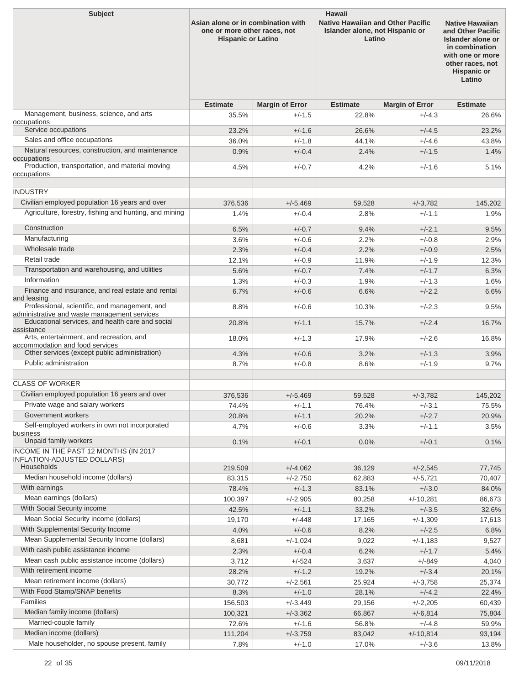| <b>Subject</b>                                                                                | <b>Hawaii</b>                                                                                   |                        |                                                                                       |                         |                                                                                                                                                            |  |  |
|-----------------------------------------------------------------------------------------------|-------------------------------------------------------------------------------------------------|------------------------|---------------------------------------------------------------------------------------|-------------------------|------------------------------------------------------------------------------------------------------------------------------------------------------------|--|--|
|                                                                                               | Asian alone or in combination with<br>one or more other races, not<br><b>Hispanic or Latino</b> |                        | <b>Native Hawaiian and Other Pacific</b><br>Islander alone, not Hispanic or<br>Latino |                         | <b>Native Hawaiian</b><br>and Other Pacific<br>Islander alone or<br>in combination<br>with one or more<br>other races, not<br><b>Hispanic or</b><br>Latino |  |  |
|                                                                                               | <b>Estimate</b>                                                                                 | <b>Margin of Error</b> | <b>Estimate</b>                                                                       | <b>Margin of Error</b>  | <b>Estimate</b>                                                                                                                                            |  |  |
| Management, business, science, and arts<br>occupations                                        | 35.5%                                                                                           | $+/-1.5$               | 22.8%                                                                                 | $+/-4.3$                | 26.6%                                                                                                                                                      |  |  |
| Service occupations                                                                           | 23.2%                                                                                           | $+/-1.6$               | 26.6%                                                                                 | $+/-4.5$                | 23.2%                                                                                                                                                      |  |  |
| Sales and office occupations                                                                  | 36.0%                                                                                           | $+/-1.8$               | 44.1%                                                                                 | $+/-4.6$                | 43.8%                                                                                                                                                      |  |  |
| Natural resources, construction, and maintenance                                              | 0.9%                                                                                            | $+/-0.4$               | 2.4%                                                                                  | $+/-1.5$                | 1.4%                                                                                                                                                       |  |  |
| occupations<br>Production, transportation, and material moving<br>occupations                 | 4.5%                                                                                            | $+/-0.7$               | 4.2%                                                                                  | $+/-1.6$                | 5.1%                                                                                                                                                       |  |  |
| <b>INDUSTRY</b>                                                                               |                                                                                                 |                        |                                                                                       |                         |                                                                                                                                                            |  |  |
| Civilian employed population 16 years and over                                                | 376.536                                                                                         | $+/-5,469$             | 59,528                                                                                | $+/-3.782$              | 145,202                                                                                                                                                    |  |  |
| Agriculture, forestry, fishing and hunting, and mining                                        | 1.4%                                                                                            | $+/-0.4$               | 2.8%                                                                                  | $+/-1.1$                | 1.9%                                                                                                                                                       |  |  |
| Construction                                                                                  | 6.5%                                                                                            | $+/-0.7$               | 9.4%                                                                                  | $+/-2.1$                | 9.5%                                                                                                                                                       |  |  |
| Manufacturing                                                                                 | 3.6%                                                                                            | $+/-0.6$               | 2.2%                                                                                  | $+/-0.8$                | 2.9%                                                                                                                                                       |  |  |
| Wholesale trade                                                                               | 2.3%                                                                                            | $+/-0.4$               | 2.2%                                                                                  | $+/-0.9$                | 2.5%                                                                                                                                                       |  |  |
| Retail trade                                                                                  | 12.1%                                                                                           | $+/-0.9$               | 11.9%                                                                                 | $+/-1.9$                | 12.3%                                                                                                                                                      |  |  |
| Transportation and warehousing, and utilities                                                 | 5.6%                                                                                            | $+/-0.7$               | 7.4%                                                                                  | $+/-1.7$                | 6.3%                                                                                                                                                       |  |  |
| Information                                                                                   | 1.3%                                                                                            | $+/-0.3$               | 1.9%                                                                                  | $+/-1.3$                | 1.6%                                                                                                                                                       |  |  |
| Finance and insurance, and real estate and rental<br>and leasing                              | 6.7%                                                                                            | $+/-0.6$               | 6.6%                                                                                  | $+/-2.2$                | 6.6%                                                                                                                                                       |  |  |
| Professional, scientific, and management, and<br>administrative and waste management services | 8.8%                                                                                            | $+/-0.6$               | 10.3%                                                                                 | $+/-2.3$                | 9.5%                                                                                                                                                       |  |  |
| Educational services, and health care and social                                              | 20.8%                                                                                           | $+/-1.1$               | 15.7%                                                                                 | $+/-2.4$                | 16.7%                                                                                                                                                      |  |  |
| assistance<br>Arts, entertainment, and recreation, and                                        | 18.0%                                                                                           | $+/-1.3$               | 17.9%                                                                                 | $+/-2.6$                | 16.8%                                                                                                                                                      |  |  |
| accommodation and food services<br>Other services (except public administration)              | 4.3%                                                                                            | $+/-0.6$               | 3.2%                                                                                  | $+/-1.3$                | 3.9%                                                                                                                                                       |  |  |
| Public administration                                                                         | 8.7%                                                                                            | $+/-0.8$               | 8.6%                                                                                  | $+/-1.9$                | 9.7%                                                                                                                                                       |  |  |
|                                                                                               |                                                                                                 |                        |                                                                                       |                         |                                                                                                                                                            |  |  |
| <b>CLASS OF WORKER</b>                                                                        |                                                                                                 |                        |                                                                                       |                         |                                                                                                                                                            |  |  |
| Civilian employed population 16 years and over                                                | 376,536                                                                                         | $+/-5,469$             | 59,528                                                                                | $+/-3,782$              | 145,202                                                                                                                                                    |  |  |
| Private wage and salary workers                                                               | 74.4%                                                                                           | $+/-1.1$               | 76.4%                                                                                 | $+/-3.1$                | 75.5%                                                                                                                                                      |  |  |
| Government workers                                                                            | 20.8%                                                                                           | $+/-1.1$               | 20.2%                                                                                 | $+/-2.7$                | 20.9%                                                                                                                                                      |  |  |
| Self-employed workers in own not incorporated<br>business                                     | 4.7%                                                                                            | $+/-0.6$               | 3.3%                                                                                  | $+/-1.1$                | 3.5%                                                                                                                                                       |  |  |
| Unpaid family workers                                                                         | 0.1%                                                                                            | $+/-0.1$               | 0.0%                                                                                  | $+/-0.1$                | 0.1%                                                                                                                                                       |  |  |
| INCOME IN THE PAST 12 MONTHS (IN 2017<br><b>INFLATION-ADJUSTED DOLLARS)</b>                   |                                                                                                 |                        |                                                                                       |                         |                                                                                                                                                            |  |  |
| Households                                                                                    | 219,509                                                                                         | $+/-4,062$             | 36,129                                                                                | $+/-2,545$              | 77,745                                                                                                                                                     |  |  |
| Median household income (dollars)                                                             | 83,315                                                                                          | $+/-2,750$             | 62,883                                                                                | $+/-5,721$              | 70,407                                                                                                                                                     |  |  |
| With earnings                                                                                 | 78.4%                                                                                           | $+/-1.3$               | 83.1%                                                                                 | $+/-3.0$                | 84.0%                                                                                                                                                      |  |  |
| Mean earnings (dollars)                                                                       | 100,397                                                                                         | $+/-2,905$             | 80,258                                                                                | $+/-10,281$             | 86,673                                                                                                                                                     |  |  |
| With Social Security income                                                                   | 42.5%                                                                                           | $+/-1.1$               | 33.2%                                                                                 | $+/-3.5$                | 32.6%                                                                                                                                                      |  |  |
| Mean Social Security income (dollars)                                                         | 19,170                                                                                          | $+/-448$               | 17,165                                                                                | $+/-1,309$              | 17,613                                                                                                                                                     |  |  |
| With Supplemental Security Income                                                             | 4.0%                                                                                            | $+/-0.6$               | 8.2%                                                                                  | $+/-2.5$                | 6.8%                                                                                                                                                       |  |  |
| Mean Supplemental Security Income (dollars)                                                   | 8,681                                                                                           | +/-1,024               | 9,022                                                                                 | $+/-1,183$              | 9,527                                                                                                                                                      |  |  |
| With cash public assistance income                                                            | 2.3%                                                                                            | $+/-0.4$               | 6.2%                                                                                  | $+/-1.7$                | 5.4%                                                                                                                                                       |  |  |
| Mean cash public assistance income (dollars)                                                  | 3,712                                                                                           | $+/-524$               | 3,637                                                                                 | $+/-849$                | 4,040                                                                                                                                                      |  |  |
| With retirement income                                                                        | 28.2%                                                                                           | $+/-1.2$               | 19.2%                                                                                 | $+/-3.4$                | 20.1%                                                                                                                                                      |  |  |
| Mean retirement income (dollars)<br>With Food Stamp/SNAP benefits                             | 30,772                                                                                          | $+/-2,561$             | 25,924                                                                                | $+/-3,758$              | 25,374                                                                                                                                                     |  |  |
| Families                                                                                      | 8.3%                                                                                            | $+/-1.0$               | 28.1%                                                                                 | $+/-4.2$                | 22.4%                                                                                                                                                      |  |  |
| Median family income (dollars)                                                                | 156,503                                                                                         | $+/-3,449$             | 29,156                                                                                | $+/-2,205$              | 60,439                                                                                                                                                     |  |  |
| Married-couple family                                                                         | 100,321                                                                                         | $+/-3,362$             | 66,867                                                                                | $+/-6,814$              | 75,804                                                                                                                                                     |  |  |
| Median income (dollars)                                                                       | 72.6%<br>111,204                                                                                | $+/-1.6$<br>$+/-3,759$ | 56.8%<br>83,042                                                                       | $+/-4.8$<br>$+/-10,814$ | 59.9%<br>93,194                                                                                                                                            |  |  |
| Male householder, no spouse present, family                                                   | 7.8%                                                                                            | $+/-1.0$               | 17.0%                                                                                 | $+/-3.6$                | 13.8%                                                                                                                                                      |  |  |
|                                                                                               |                                                                                                 |                        |                                                                                       |                         |                                                                                                                                                            |  |  |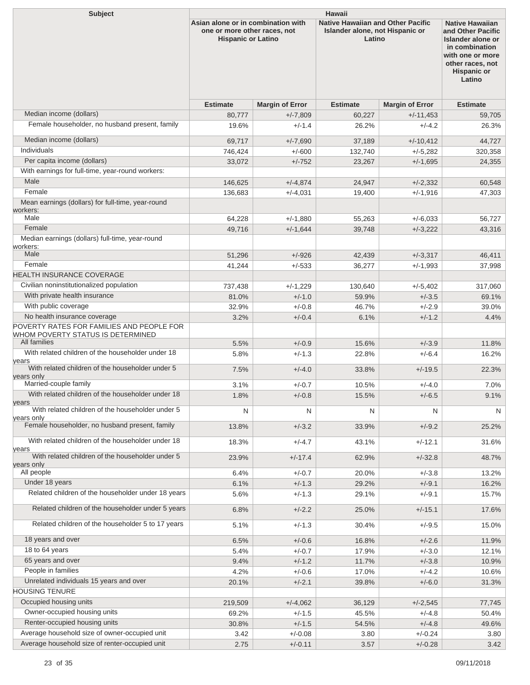| <b>Subject</b>                                                                 | <b>Hawaii</b>                                                                                   |                        |                                                                                       |                          |                                                                                                                                                                   |  |  |
|--------------------------------------------------------------------------------|-------------------------------------------------------------------------------------------------|------------------------|---------------------------------------------------------------------------------------|--------------------------|-------------------------------------------------------------------------------------------------------------------------------------------------------------------|--|--|
|                                                                                | Asian alone or in combination with<br>one or more other races, not<br><b>Hispanic or Latino</b> |                        | <b>Native Hawaiian and Other Pacific</b><br>Islander alone, not Hispanic or<br>Latino |                          | <b>Native Hawaiian</b><br>and Other Pacific<br><b>Islander alone or</b><br>in combination<br>with one or more<br>other races, not<br><b>Hispanic or</b><br>Latino |  |  |
|                                                                                | <b>Estimate</b>                                                                                 | <b>Margin of Error</b> | <b>Estimate</b>                                                                       | <b>Margin of Error</b>   | <b>Estimate</b>                                                                                                                                                   |  |  |
| Median income (dollars)                                                        | 80,777                                                                                          | $+/-7,809$             | 60,227                                                                                | $+/-11,453$              | 59,705                                                                                                                                                            |  |  |
| Female householder, no husband present, family                                 | 19.6%                                                                                           | $+/-1.4$               | 26.2%                                                                                 | $+/-4.2$                 | 26.3%                                                                                                                                                             |  |  |
| Median income (dollars)                                                        | 69,717                                                                                          | $+/-7,690$             | 37,189                                                                                | $+/-10,412$              | 44,727                                                                                                                                                            |  |  |
| Individuals                                                                    | 746,424                                                                                         | $+/-600$               | 132,740                                                                               | $+/-5,282$               | 320,358                                                                                                                                                           |  |  |
| Per capita income (dollars)                                                    | 33,072                                                                                          | $+/-752$               | 23,267                                                                                | $+/-1,695$               | 24,355                                                                                                                                                            |  |  |
| With earnings for full-time, year-round workers:                               |                                                                                                 |                        |                                                                                       |                          |                                                                                                                                                                   |  |  |
| Male                                                                           | 146,625                                                                                         | $+/-4,874$             | 24,947                                                                                | $+/-2,332$               | 60,548                                                                                                                                                            |  |  |
| Female                                                                         | 136,683                                                                                         | $+/-4.031$             | 19,400                                                                                | $+/-1,916$               | 47,303                                                                                                                                                            |  |  |
| Mean earnings (dollars) for full-time, year-round                              |                                                                                                 |                        |                                                                                       |                          |                                                                                                                                                                   |  |  |
| workers:<br>Male                                                               |                                                                                                 |                        |                                                                                       |                          |                                                                                                                                                                   |  |  |
| Female                                                                         | 64,228                                                                                          | $+/-1,880$             | 55,263                                                                                | $+/-6,033$<br>$+/-3.222$ | 56,727                                                                                                                                                            |  |  |
| Median earnings (dollars) full-time, year-round<br>workers:                    | 49,716                                                                                          | $+/-1,644$             | 39,748                                                                                |                          | 43,316                                                                                                                                                            |  |  |
| Male                                                                           | 51,296                                                                                          | $+/-926$               | 42,439                                                                                | $+/-3,317$               | 46,411                                                                                                                                                            |  |  |
| Female                                                                         | 41,244                                                                                          | $+/-533$               | 36,277                                                                                | $+/-1,993$               | 37,998                                                                                                                                                            |  |  |
| <b>HEALTH INSURANCE COVERAGE</b>                                               |                                                                                                 |                        |                                                                                       |                          |                                                                                                                                                                   |  |  |
| Civilian noninstitutionalized population                                       | 737,438                                                                                         | $+/-1,229$             | 130,640                                                                               | $+/-5,402$               | 317,060                                                                                                                                                           |  |  |
| With private health insurance                                                  | 81.0%                                                                                           | $+/-1.0$               | 59.9%                                                                                 | $+/-3.5$                 | 69.1%                                                                                                                                                             |  |  |
| With public coverage                                                           | 32.9%                                                                                           | $+/-0.8$               | 46.7%                                                                                 | $+/-2.9$                 | 39.0%                                                                                                                                                             |  |  |
| No health insurance coverage                                                   | 3.2%                                                                                            | $+/-0.4$               | 6.1%                                                                                  | $+/-1.2$                 | 4.4%                                                                                                                                                              |  |  |
| POVERTY RATES FOR FAMILIES AND PEOPLE FOR<br>WHOM POVERTY STATUS IS DETERMINED |                                                                                                 |                        |                                                                                       |                          |                                                                                                                                                                   |  |  |
| All families                                                                   | 5.5%                                                                                            | $+/-0.9$               | 15.6%                                                                                 | $+/-3.9$                 | 11.8%                                                                                                                                                             |  |  |
| With related children of the householder under 18<br>years                     | 5.8%                                                                                            | $+/-1.3$               | 22.8%                                                                                 | $+/-6.4$                 | 16.2%                                                                                                                                                             |  |  |
| With related children of the householder under 5<br>years only                 | 7.5%                                                                                            | $+/-4.0$               | 33.8%                                                                                 | $+/-19.5$                | 22.3%                                                                                                                                                             |  |  |
| Married-couple family                                                          | 3.1%                                                                                            | $+/-0.7$               | 10.5%                                                                                 | $+/-4.0$                 | 7.0%                                                                                                                                                              |  |  |
| With related children of the householder under 18<br>years                     | 1.8%                                                                                            | $+/-0.8$               | 15.5%                                                                                 | $+/-6.5$                 | 9.1%                                                                                                                                                              |  |  |
| With related children of the householder under 5                               | N                                                                                               | N                      | N                                                                                     | N                        | N                                                                                                                                                                 |  |  |
| years only<br>Female householder, no husband present, family                   | 13.8%                                                                                           | $+/-3.2$               | 33.9%                                                                                 | $+/-9.2$                 | 25.2%                                                                                                                                                             |  |  |
| With related children of the householder under 18                              | 18.3%                                                                                           | $+/-4.7$               | 43.1%                                                                                 | $+/-12.1$                | 31.6%                                                                                                                                                             |  |  |
| years<br>With related children of the householder under 5                      | 23.9%                                                                                           | $+/-17.4$              | 62.9%                                                                                 | $+/-32.8$                | 48.7%                                                                                                                                                             |  |  |
| years only<br>All people                                                       |                                                                                                 | $+/-0.7$               | 20.0%                                                                                 |                          |                                                                                                                                                                   |  |  |
| Under 18 years                                                                 | 6.4%                                                                                            | $+/-1.3$               | 29.2%                                                                                 | $+/-3.8$<br>$+/-9.1$     | 13.2%<br>16.2%                                                                                                                                                    |  |  |
| Related children of the householder under 18 years                             | 6.1%<br>5.6%                                                                                    | $+/-1.3$               | 29.1%                                                                                 | $+/-9.1$                 | 15.7%                                                                                                                                                             |  |  |
| Related children of the householder under 5 years                              | 6.8%                                                                                            | $+/-2.2$               | 25.0%                                                                                 | $+/-15.1$                | 17.6%                                                                                                                                                             |  |  |
| Related children of the householder 5 to 17 years                              | 5.1%                                                                                            | $+/-1.3$               | 30.4%                                                                                 | $+/-9.5$                 | 15.0%                                                                                                                                                             |  |  |
| 18 years and over                                                              | 6.5%                                                                                            | $+/-0.6$               | 16.8%                                                                                 | $+/-2.6$                 | 11.9%                                                                                                                                                             |  |  |
| 18 to 64 years                                                                 | 5.4%                                                                                            | $+/-0.7$               | 17.9%                                                                                 | $+/-3.0$                 | 12.1%                                                                                                                                                             |  |  |
| 65 years and over                                                              | 9.4%                                                                                            | $+/-1.2$               | 11.7%                                                                                 | $+/-3.8$                 | 10.9%                                                                                                                                                             |  |  |
| People in families                                                             | 4.2%                                                                                            | $+/-0.6$               | 17.0%                                                                                 | $+/-4.2$                 | 10.6%                                                                                                                                                             |  |  |
| Unrelated individuals 15 years and over                                        | 20.1%                                                                                           | $+/-2.1$               | 39.8%                                                                                 | $+/-6.0$                 | 31.3%                                                                                                                                                             |  |  |
| <b>HOUSING TENURE</b>                                                          |                                                                                                 |                        |                                                                                       |                          |                                                                                                                                                                   |  |  |
| Occupied housing units                                                         | 219,509                                                                                         | $+/-4,062$             | 36,129                                                                                | $+/-2,545$               | 77,745                                                                                                                                                            |  |  |
| Owner-occupied housing units                                                   | 69.2%                                                                                           | $+/-1.5$               | 45.5%                                                                                 | $+/-4.8$                 | 50.4%                                                                                                                                                             |  |  |
| Renter-occupied housing units                                                  | 30.8%                                                                                           | $+/-1.5$               | 54.5%                                                                                 | $+/-4.8$                 | 49.6%                                                                                                                                                             |  |  |
| Average household size of owner-occupied unit                                  | 3.42                                                                                            | $+/-0.08$              | 3.80                                                                                  | $+/-0.24$                | 3.80                                                                                                                                                              |  |  |
| Average household size of renter-occupied unit                                 | 2.75                                                                                            | $+/-0.11$              | $3.57\,$                                                                              | $+/-0.28$                | 3.42                                                                                                                                                              |  |  |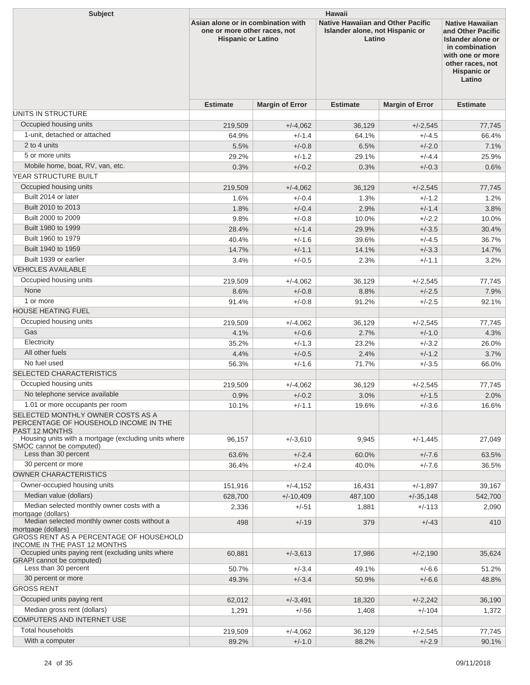| <b>Subject</b>                                                                                                                  | <b>Hawaii</b>                                                                                   |                        |                                                                                       |                        |                                                                                                                                                            |  |
|---------------------------------------------------------------------------------------------------------------------------------|-------------------------------------------------------------------------------------------------|------------------------|---------------------------------------------------------------------------------------|------------------------|------------------------------------------------------------------------------------------------------------------------------------------------------------|--|
|                                                                                                                                 | Asian alone or in combination with<br>one or more other races, not<br><b>Hispanic or Latino</b> |                        | <b>Native Hawaiian and Other Pacific</b><br>Islander alone, not Hispanic or<br>Latino |                        | <b>Native Hawaiian</b><br>and Other Pacific<br>Islander alone or<br>in combination<br>with one or more<br>other races, not<br><b>Hispanic or</b><br>Latino |  |
|                                                                                                                                 | <b>Estimate</b>                                                                                 | <b>Margin of Error</b> | <b>Estimate</b>                                                                       | <b>Margin of Error</b> | <b>Estimate</b>                                                                                                                                            |  |
| UNITS IN STRUCTURE                                                                                                              |                                                                                                 |                        |                                                                                       |                        |                                                                                                                                                            |  |
| Occupied housing units                                                                                                          | 219,509                                                                                         | $+/-4,062$             | 36,129                                                                                | $+/-2,545$             | 77,745                                                                                                                                                     |  |
| 1-unit, detached or attached                                                                                                    | 64.9%                                                                                           | $+/-1.4$               | 64.1%                                                                                 | $+/-4.5$               | 66.4%                                                                                                                                                      |  |
| 2 to 4 units                                                                                                                    | 5.5%                                                                                            | $+/-0.8$               | 6.5%                                                                                  | $+/-2.0$               | 7.1%                                                                                                                                                       |  |
| 5 or more units                                                                                                                 | 29.2%                                                                                           | $+/-1.2$               | 29.1%                                                                                 | $+/-4.4$               | 25.9%                                                                                                                                                      |  |
| Mobile home, boat, RV, van, etc.                                                                                                | 0.3%                                                                                            | $+/-0.2$               | 0.3%                                                                                  | $+/-0.3$               | 0.6%                                                                                                                                                       |  |
| <b>YEAR STRUCTURE BUILT</b>                                                                                                     |                                                                                                 |                        |                                                                                       |                        |                                                                                                                                                            |  |
| Occupied housing units                                                                                                          | 219,509                                                                                         | $+/-4,062$             | 36,129                                                                                | $+/-2,545$             | 77,745                                                                                                                                                     |  |
| Built 2014 or later                                                                                                             | 1.6%                                                                                            | $+/-0.4$               | 1.3%                                                                                  | $+/-1.2$               | 1.2%                                                                                                                                                       |  |
| Built 2010 to 2013                                                                                                              | 1.8%                                                                                            | $+/-0.4$               | 2.9%                                                                                  | $+/-1.4$               | 3.8%                                                                                                                                                       |  |
| Built 2000 to 2009                                                                                                              | 9.8%                                                                                            | $+/-0.8$               | 10.0%                                                                                 | $+/-2.2$               | 10.0%                                                                                                                                                      |  |
| Built 1980 to 1999                                                                                                              | 28.4%                                                                                           | $+/-1.4$               | 29.9%                                                                                 | $+/-3.5$               | 30.4%                                                                                                                                                      |  |
| Built 1960 to 1979                                                                                                              | 40.4%                                                                                           | $+/-1.6$               | 39.6%                                                                                 | $+/-4.5$               | 36.7%                                                                                                                                                      |  |
| Built 1940 to 1959                                                                                                              | 14.7%                                                                                           | $+/-1.1$               | 14.1%                                                                                 | $+/-3.3$               | 14.7%                                                                                                                                                      |  |
| Built 1939 or earlier                                                                                                           | 3.4%                                                                                            | $+/-0.5$               | 2.3%                                                                                  | $+/-1.1$               | 3.2%                                                                                                                                                       |  |
| <b>VEHICLES AVAILABLE</b>                                                                                                       |                                                                                                 |                        |                                                                                       |                        |                                                                                                                                                            |  |
| Occupied housing units                                                                                                          | 219,509                                                                                         | $+/-4,062$             | 36,129                                                                                | $+/-2,545$             | 77,745                                                                                                                                                     |  |
| None                                                                                                                            | 8.6%                                                                                            | $+/-0.8$               | 8.8%                                                                                  | $+/-2.5$               | 7.9%                                                                                                                                                       |  |
| 1 or more                                                                                                                       | 91.4%                                                                                           | $+/-0.8$               | 91.2%                                                                                 | $+/-2.5$               | 92.1%                                                                                                                                                      |  |
| <b>HOUSE HEATING FUEL</b>                                                                                                       |                                                                                                 |                        |                                                                                       |                        |                                                                                                                                                            |  |
| Occupied housing units                                                                                                          | 219,509                                                                                         | $+/-4,062$             | 36,129                                                                                | $+/-2,545$             | 77,745                                                                                                                                                     |  |
| Gas                                                                                                                             | 4.1%                                                                                            | $+/-0.6$               | 2.7%                                                                                  | $+/-1.0$               | 4.3%                                                                                                                                                       |  |
| Electricity                                                                                                                     | 35.2%                                                                                           | $+/-1.3$               | 23.2%                                                                                 | $+/-3.2$               | 26.0%                                                                                                                                                      |  |
| All other fuels                                                                                                                 | 4.4%                                                                                            | $+/-0.5$               | 2.4%                                                                                  | $+/-1.2$               | 3.7%                                                                                                                                                       |  |
| No fuel used                                                                                                                    | 56.3%                                                                                           | $+/-1.6$               | 71.7%                                                                                 | $+/-3.5$               | 66.0%                                                                                                                                                      |  |
| SELECTED CHARACTERISTICS                                                                                                        |                                                                                                 |                        |                                                                                       |                        |                                                                                                                                                            |  |
| Occupied housing units                                                                                                          | 219,509                                                                                         | $+/-4,062$             | 36,129                                                                                | $+/-2,545$             | 77,745                                                                                                                                                     |  |
| No telephone service available                                                                                                  | 0.9%                                                                                            | $+/-0.2$               | 3.0%                                                                                  | $+/-1.5$               | 2.0%                                                                                                                                                       |  |
| 1.01 or more occupants per room<br>SELECTED MONTHLY OWNER COSTS AS A<br>PERCENTAGE OF HOUSEHOLD INCOME IN THE<br>PAST 12 MONTHS | 10.1%                                                                                           | $+/-1.1$               | 19.6%                                                                                 | $+/-3.6$               | 16.6%                                                                                                                                                      |  |
| Housing units with a mortgage (excluding units where                                                                            | 96,157                                                                                          | $+/-3,610$             | 9,945                                                                                 | $+/-1,445$             | 27,049                                                                                                                                                     |  |
| SMOC cannot be computed)<br>Less than 30 percent                                                                                | 63.6%                                                                                           | $+/-2.4$               | 60.0%                                                                                 | $+/-7.6$               | 63.5%                                                                                                                                                      |  |
| 30 percent or more                                                                                                              | 36.4%                                                                                           | $+/-2.4$               | 40.0%                                                                                 | $+/-7.6$               | 36.5%                                                                                                                                                      |  |
| <b>OWNER CHARACTERISTICS</b>                                                                                                    |                                                                                                 |                        |                                                                                       |                        |                                                                                                                                                            |  |
| Owner-occupied housing units                                                                                                    | 151,916                                                                                         | $+/-4,152$             | 16,431                                                                                | $+/-1,897$             | 39,167                                                                                                                                                     |  |
| Median value (dollars)                                                                                                          | 628,700                                                                                         | $+/-10,409$            | 487,100                                                                               | $+/-35,148$            | 542,700                                                                                                                                                    |  |
| Median selected monthly owner costs with a                                                                                      | 2,336                                                                                           | $+/-51$                | 1,881                                                                                 | $+/-113$               | 2,090                                                                                                                                                      |  |
| mortgage (dollars)<br>Median selected monthly owner costs without a                                                             |                                                                                                 |                        |                                                                                       |                        |                                                                                                                                                            |  |
| mortgage (dollars)<br>GROSS RENT AS A PERCENTAGE OF HOUSEHOLD                                                                   | 498                                                                                             | $+/-19$                | 379                                                                                   | $+/-43$                | 410                                                                                                                                                        |  |
| <b>INCOME IN THE PAST 12 MONTHS</b><br>Occupied units paying rent (excluding units where<br><b>GRAPI</b> cannot be computed)    | 60,881                                                                                          | $+/-3,613$             | 17,986                                                                                | $+/-2,190$             | 35,624                                                                                                                                                     |  |
| Less than 30 percent                                                                                                            | 50.7%                                                                                           | $+/-3.4$               | 49.1%                                                                                 | $+/-6.6$               | 51.2%                                                                                                                                                      |  |
| 30 percent or more                                                                                                              | 49.3%                                                                                           | $+/-3.4$               | 50.9%                                                                                 | $+/-6.6$               | 48.8%                                                                                                                                                      |  |
| <b>GROSS RENT</b>                                                                                                               |                                                                                                 |                        |                                                                                       |                        |                                                                                                                                                            |  |
| Occupied units paying rent                                                                                                      | 62,012                                                                                          | $+/-3,491$             | 18,320                                                                                | $+/-2,242$             | 36,190                                                                                                                                                     |  |
| Median gross rent (dollars)<br>COMPUTERS AND INTERNET USE                                                                       | 1,291                                                                                           | $+/-56$                | 1,408                                                                                 | $+/-104$               | 1,372                                                                                                                                                      |  |
| Total households                                                                                                                |                                                                                                 |                        |                                                                                       |                        |                                                                                                                                                            |  |
| With a computer                                                                                                                 | 219,509<br>89.2%                                                                                | $+/-4,062$<br>$+/-1.0$ | 36,129<br>88.2%                                                                       | $+/-2,545$<br>$+/-2.9$ | 77,745<br>90.1%                                                                                                                                            |  |
|                                                                                                                                 |                                                                                                 |                        |                                                                                       |                        |                                                                                                                                                            |  |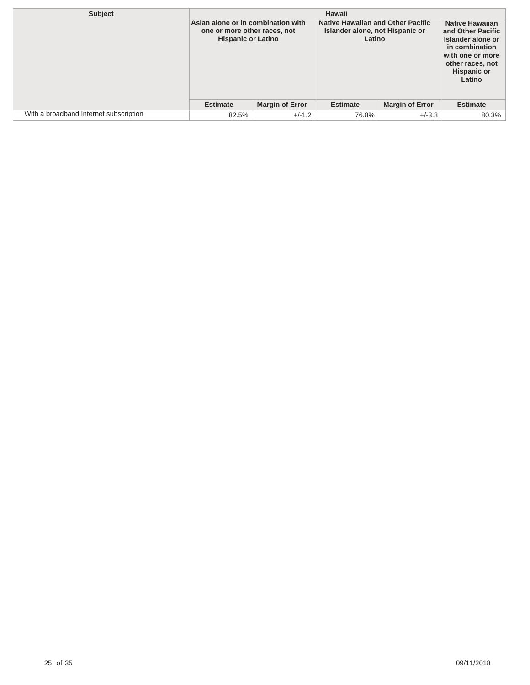| Subject                                | Hawaii                                                                                          |                        |                                                                                       |                        |                                                                                                                                                            |
|----------------------------------------|-------------------------------------------------------------------------------------------------|------------------------|---------------------------------------------------------------------------------------|------------------------|------------------------------------------------------------------------------------------------------------------------------------------------------------|
|                                        | Asian alone or in combination with<br>one or more other races, not<br><b>Hispanic or Latino</b> |                        | <b>Native Hawaiian and Other Pacific</b><br>Islander alone, not Hispanic or<br>Latino |                        | <b>Native Hawaiian</b><br>and Other Pacific<br>Islander alone or<br>in combination<br>with one or more<br>other races, not<br><b>Hispanic or</b><br>Latino |
|                                        | <b>Estimate</b>                                                                                 | <b>Margin of Error</b> | <b>Estimate</b>                                                                       | <b>Margin of Error</b> | <b>Estimate</b>                                                                                                                                            |
| With a broadband Internet subscription | 82.5%                                                                                           | $+/-1.2$               | 76.8%                                                                                 | $+/-3.8$               | 80.3%                                                                                                                                                      |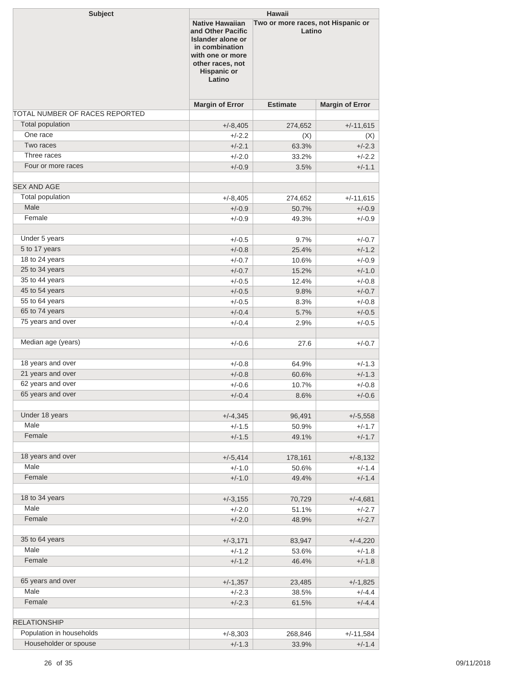| <b>Subject</b>                 | Hawaii                                                                                                                                                                                                     |                 |                        |  |
|--------------------------------|------------------------------------------------------------------------------------------------------------------------------------------------------------------------------------------------------------|-----------------|------------------------|--|
|                                | <b>Native Hawaiian</b><br>Two or more races, not Hispanic or<br>Latino<br>and Other Pacific<br>Islander alone or<br>in combination<br>with one or more<br>other races, not<br><b>Hispanic or</b><br>Latino |                 |                        |  |
|                                | <b>Margin of Error</b>                                                                                                                                                                                     | <b>Estimate</b> | <b>Margin of Error</b> |  |
| TOTAL NUMBER OF RACES REPORTED |                                                                                                                                                                                                            |                 |                        |  |
| <b>Total population</b>        | $+/-8,405$                                                                                                                                                                                                 | 274,652         | $+/-11,615$            |  |
| One race                       | $+/-2.2$                                                                                                                                                                                                   | (X)             | (X)                    |  |
| Two races                      | $+/-2.1$                                                                                                                                                                                                   | 63.3%           | $+/-2.3$               |  |
| Three races                    | $+/-2.0$                                                                                                                                                                                                   | 33.2%           | $+/-2.2$               |  |
| Four or more races             | $+/-0.9$                                                                                                                                                                                                   | 3.5%            | $+/-1.1$               |  |
| <b>SEX AND AGE</b>             |                                                                                                                                                                                                            |                 |                        |  |
| Total population               | $+/-8,405$                                                                                                                                                                                                 | 274,652         | $+/-11,615$            |  |
| Male                           | $+/-0.9$                                                                                                                                                                                                   | 50.7%           | $+/-0.9$               |  |
| Female                         | $+/-0.9$                                                                                                                                                                                                   | 49.3%           | $+/-0.9$               |  |
| Under 5 years                  | $+/-0.5$                                                                                                                                                                                                   | 9.7%            | $+/-0.7$               |  |
| 5 to 17 years                  | $+/-0.8$                                                                                                                                                                                                   | 25.4%           | $+/-1.2$               |  |
| 18 to 24 years                 | $+/-0.7$                                                                                                                                                                                                   | 10.6%           | $+/-0.9$               |  |
| 25 to 34 years                 | $+/-0.7$                                                                                                                                                                                                   | 15.2%           | $+/-1.0$               |  |
| 35 to 44 years                 | $+/-0.5$                                                                                                                                                                                                   | 12.4%           | $+/-0.8$               |  |
| 45 to 54 years                 | $+/-0.5$                                                                                                                                                                                                   | 9.8%            | $+/-0.7$               |  |
| 55 to 64 years                 | $+/-0.5$                                                                                                                                                                                                   | 8.3%            | $+/-0.8$               |  |
| 65 to 74 years                 | $+/-0.4$                                                                                                                                                                                                   | 5.7%            | $+/-0.5$               |  |
| 75 years and over              | $+/-0.4$                                                                                                                                                                                                   | 2.9%            | $+/-0.5$               |  |
| Median age (years)             | $+/-0.6$                                                                                                                                                                                                   | 27.6            | $+/-0.7$               |  |
|                                |                                                                                                                                                                                                            |                 |                        |  |
| 18 years and over              | $+/-0.8$                                                                                                                                                                                                   | 64.9%           | $+/-1.3$               |  |
| 21 years and over              | $+/-0.8$                                                                                                                                                                                                   | 60.6%           | $+/-1.3$               |  |
| 62 years and over              | $+/-0.6$                                                                                                                                                                                                   | 10.7%           | $+/-0.8$               |  |
| 65 years and over              | $+/-0.4$                                                                                                                                                                                                   | 8.6%            | $+/-0.6$               |  |
| Under 18 years                 | $+/-4,345$                                                                                                                                                                                                 | 96,491          | $+/-5,558$             |  |
| Male                           | $+/-1.5$                                                                                                                                                                                                   | 50.9%           | $+/-1.7$               |  |
| Female                         | $+/-1.5$                                                                                                                                                                                                   | 49.1%           | $+/-1.7$               |  |
|                                |                                                                                                                                                                                                            |                 |                        |  |
| 18 years and over              | $+/-5,414$                                                                                                                                                                                                 | 178,161         | $+/-8,132$             |  |
| Male                           | $+/-1.0$                                                                                                                                                                                                   | 50.6%           | $+/-1.4$               |  |
| Female                         | $+/-1.0$                                                                                                                                                                                                   | 49.4%           | $+/-1.4$               |  |
| 18 to 34 years                 | $+/-3,155$                                                                                                                                                                                                 | 70,729          | $+/-4,681$             |  |
| Male                           | $+/-2.0$                                                                                                                                                                                                   | 51.1%           | $+/-2.7$               |  |
| Female                         | $+/-2.0$                                                                                                                                                                                                   | 48.9%           | $+/-2.7$               |  |
|                                |                                                                                                                                                                                                            |                 |                        |  |
| 35 to 64 years                 | $+/-3,171$                                                                                                                                                                                                 | 83,947          | $+/-4,220$             |  |
| Male                           | $+/-1.2$                                                                                                                                                                                                   | 53.6%           | $+/-1.8$               |  |
| Female                         | $+/-1.2$                                                                                                                                                                                                   | 46.4%           | $+/-1.8$               |  |
| 65 years and over              | $+/-1,357$                                                                                                                                                                                                 | 23,485          | $+/-1,825$             |  |
| Male                           | $+/-2.3$                                                                                                                                                                                                   | 38.5%           | $+/-4.4$               |  |
| Female                         | $+/-2.3$                                                                                                                                                                                                   | 61.5%           | $+/-4.4$               |  |
| <b>RELATIONSHIP</b>            |                                                                                                                                                                                                            |                 |                        |  |
| Population in households       | $+/-8,303$                                                                                                                                                                                                 | 268,846         | $+/-11,584$            |  |
| Householder or spouse          | $+/-1.3$                                                                                                                                                                                                   | 33.9%           | $+/-1.4$               |  |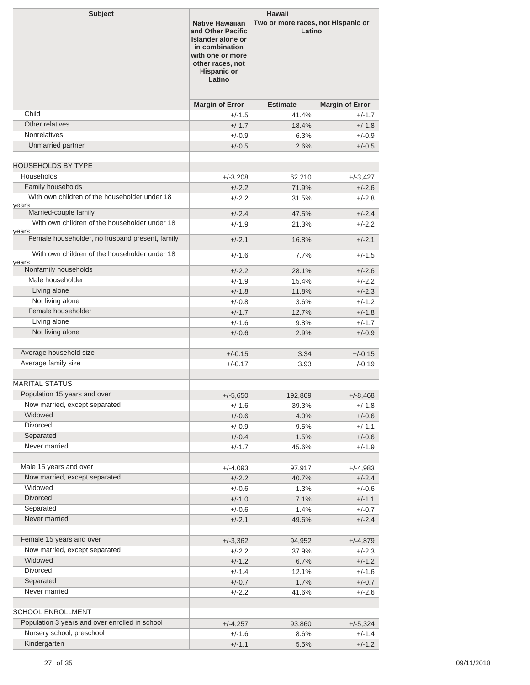| <b>Subject</b>                                         | <b>Hawaii</b>                                                                                                                                              |                                              |                        |  |
|--------------------------------------------------------|------------------------------------------------------------------------------------------------------------------------------------------------------------|----------------------------------------------|------------------------|--|
|                                                        | <b>Native Hawaiian</b><br>and Other Pacific<br>Islander alone or<br>in combination<br>with one or more<br>other races, not<br><b>Hispanic or</b><br>Latino | Two or more races, not Hispanic or<br>Latino |                        |  |
|                                                        | <b>Margin of Error</b>                                                                                                                                     | <b>Estimate</b>                              | <b>Margin of Error</b> |  |
| Child                                                  | +/-1.5                                                                                                                                                     | 41.4%                                        | $+/-1.7$               |  |
| Other relatives                                        | $+/-1.7$                                                                                                                                                   | 18.4%                                        | $+/-1.8$               |  |
| <b>Nonrelatives</b>                                    | $+/-0.9$                                                                                                                                                   | 6.3%                                         | $+/-0.9$               |  |
| Unmarried partner                                      | $+/-0.5$                                                                                                                                                   | 2.6%                                         | $+/-0.5$               |  |
| <b>HOUSEHOLDS BY TYPE</b>                              |                                                                                                                                                            |                                              |                        |  |
| Households                                             | $+/-3,208$                                                                                                                                                 | 62,210                                       | $+/-3,427$             |  |
| Family households                                      | $+/-2.2$                                                                                                                                                   | 71.9%                                        | $+/-2.6$               |  |
| With own children of the householder under 18          | $+/-2.2$                                                                                                                                                   | 31.5%                                        | $+/-2.8$               |  |
| years                                                  |                                                                                                                                                            |                                              |                        |  |
| Married-couple family                                  | $+/-2.4$                                                                                                                                                   | 47.5%                                        | $+/-2.4$               |  |
| With own children of the householder under 18<br>years | $+/-1.9$                                                                                                                                                   | 21.3%                                        | +/-2.2                 |  |
| Female householder, no husband present, family         | $+/-2.1$                                                                                                                                                   | 16.8%                                        | $+/-2.1$               |  |
| With own children of the householder under 18<br>years | $+/-1.6$                                                                                                                                                   | 7.7%                                         | $+/-1.5$               |  |
| Nonfamily households                                   | $+/-2.2$                                                                                                                                                   | 28.1%                                        | $+/-2.6$               |  |
| Male householder                                       | $+/-1.9$                                                                                                                                                   | 15.4%                                        | $+/-2.2$               |  |
| Living alone<br>Not living alone                       | $+/-1.8$                                                                                                                                                   | 11.8%                                        | $+/-2.3$               |  |
| Female householder                                     | $+/-0.8$                                                                                                                                                   | 3.6%                                         | $+/-1.2$               |  |
| Living alone                                           | $+/-1.7$                                                                                                                                                   | 12.7%                                        | $+/-1.8$               |  |
|                                                        | $+/-1.6$                                                                                                                                                   | 9.8%                                         | $+/-1.7$               |  |
| Not living alone                                       | $+/-0.6$                                                                                                                                                   | 2.9%                                         | $+/-0.9$               |  |
| Average household size                                 |                                                                                                                                                            |                                              |                        |  |
| Average family size                                    | $+/-0.15$<br>$+/-0.17$                                                                                                                                     | 3.34<br>3.93                                 | $+/-0.15$<br>$+/-0.19$ |  |
|                                                        |                                                                                                                                                            |                                              |                        |  |
| <b>MARITAL STATUS</b>                                  |                                                                                                                                                            |                                              |                        |  |
| Population 15 years and over                           | $+/-5,650$                                                                                                                                                 | 192,869                                      | $+/-8,468$             |  |
| Now married, except separated                          | +/-1.6                                                                                                                                                     | 39.3%                                        | +/-1.8                 |  |
| Widowed                                                | $+/-0.6$                                                                                                                                                   | 4.0%                                         | $+/-0.6$               |  |
| Divorced                                               | $+/-0.9$                                                                                                                                                   | 9.5%                                         | $+/-1.1$               |  |
| Separated                                              | $+/-0.4$                                                                                                                                                   | 1.5%                                         | $+/-0.6$               |  |
| Never married                                          | $+/-1.7$                                                                                                                                                   | 45.6%                                        | $+/-1.9$               |  |
|                                                        |                                                                                                                                                            |                                              |                        |  |
| Male 15 years and over                                 | $+/-4,093$                                                                                                                                                 | 97,917                                       | $+/-4,983$             |  |
| Now married, except separated                          | $+/-2.2$                                                                                                                                                   | 40.7%                                        | $+/-2.4$               |  |
| Widowed                                                | $+/-0.6$                                                                                                                                                   | 1.3%                                         | $+/-0.6$               |  |
| <b>Divorced</b>                                        | $+/-1.0$                                                                                                                                                   | 7.1%                                         | $+/-1.1$               |  |
| Separated                                              | $+/-0.6$                                                                                                                                                   | 1.4%                                         | $+/-0.7$               |  |
| Never married                                          | $+/-2.1$                                                                                                                                                   | 49.6%                                        | $+/-2.4$               |  |
|                                                        |                                                                                                                                                            |                                              |                        |  |
| Female 15 years and over                               | $+/-3,362$                                                                                                                                                 | 94,952                                       | $+/-4,879$             |  |
| Now married, except separated                          | $+/-2.2$                                                                                                                                                   | 37.9%                                        | $+/-2.3$               |  |
| Widowed<br>Divorced                                    | $+/-1.2$                                                                                                                                                   | 6.7%                                         | $+/-1.2$               |  |
|                                                        | $+/-1.4$                                                                                                                                                   | 12.1%                                        | $+/-1.6$               |  |
| Separated<br>Never married                             | $+/-0.7$                                                                                                                                                   | 1.7%                                         | $+/-0.7$               |  |
|                                                        | $+/-2.2$                                                                                                                                                   | 41.6%                                        | $+/-2.6$               |  |
| <b>SCHOOL ENROLLMENT</b>                               |                                                                                                                                                            |                                              |                        |  |
| Population 3 years and over enrolled in school         | $+/-4,257$                                                                                                                                                 | 93,860                                       | $+/-5,324$             |  |
| Nursery school, preschool                              | +/-1.6                                                                                                                                                     | 8.6%                                         | $+/-1.4$               |  |
| Kindergarten                                           | $+/-1.1$                                                                                                                                                   | 5.5%                                         | $+/-1.2$               |  |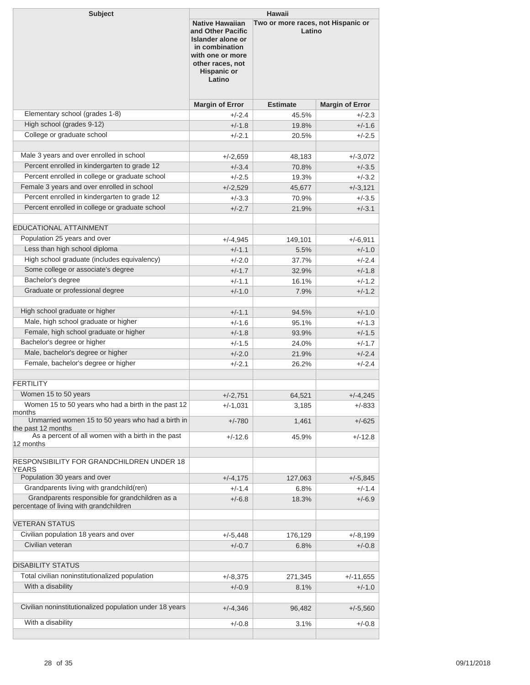| <b>Subject</b><br><b>Hawaii</b>                                                            |                                                                                                                                                                   |                                              |                        |
|--------------------------------------------------------------------------------------------|-------------------------------------------------------------------------------------------------------------------------------------------------------------------|----------------------------------------------|------------------------|
|                                                                                            | <b>Native Hawaiian</b><br>and Other Pacific<br><b>Islander alone or</b><br>in combination<br>with one or more<br>other races, not<br><b>Hispanic or</b><br>Latino | Two or more races, not Hispanic or<br>Latino |                        |
|                                                                                            | <b>Margin of Error</b>                                                                                                                                            | <b>Estimate</b>                              | <b>Margin of Error</b> |
| Elementary school (grades 1-8)                                                             | $+/-2.4$                                                                                                                                                          | 45.5%                                        | $+/-2.3$               |
| High school (grades 9-12)                                                                  | $+/-1.8$                                                                                                                                                          | 19.8%                                        | $+/-1.6$               |
| College or graduate school                                                                 | +/-2.1                                                                                                                                                            | 20.5%                                        | $+/-2.5$               |
|                                                                                            |                                                                                                                                                                   |                                              |                        |
| Male 3 years and over enrolled in school                                                   | $+/-2,659$                                                                                                                                                        | 48,183                                       | $+/-3,072$             |
| Percent enrolled in kindergarten to grade 12                                               | $+/-3.4$                                                                                                                                                          | 70.8%                                        | $+/-3.5$               |
| Percent enrolled in college or graduate school                                             | $+/-2.5$                                                                                                                                                          | 19.3%                                        | $+/-3.2$               |
| Female 3 years and over enrolled in school                                                 | $+/-2,529$                                                                                                                                                        | 45,677                                       | $+/-3,121$             |
| Percent enrolled in kindergarten to grade 12                                               | $+/-3.3$                                                                                                                                                          | 70.9%                                        | $+/-3.5$               |
| Percent enrolled in college or graduate school                                             | $+/-2.7$                                                                                                                                                          | 21.9%                                        | $+/-3.1$               |
|                                                                                            |                                                                                                                                                                   |                                              |                        |
| <b>EDUCATIONAL ATTAINMENT</b>                                                              |                                                                                                                                                                   |                                              |                        |
| Population 25 years and over                                                               | $+/-4,945$                                                                                                                                                        | 149,101                                      | $+/-6,911$             |
| Less than high school diploma                                                              | $+/-1.1$                                                                                                                                                          | 5.5%                                         | $+/-1.0$               |
| High school graduate (includes equivalency)                                                | $+/-2.0$                                                                                                                                                          | 37.7%                                        | $+/-2.4$               |
| Some college or associate's degree                                                         | $+/-1.7$                                                                                                                                                          | 32.9%                                        | $+/-1.8$               |
| Bachelor's degree                                                                          | $+/-1.1$                                                                                                                                                          | 16.1%                                        | $+/-1.2$               |
| Graduate or professional degree                                                            | $+/-1.0$                                                                                                                                                          | 7.9%                                         | $+/-1.2$               |
| High school graduate or higher                                                             | $+/-1.1$                                                                                                                                                          | 94.5%                                        | $+/-1.0$               |
| Male, high school graduate or higher                                                       | $+/-1.6$                                                                                                                                                          | 95.1%                                        | $+/-1.3$               |
| Female, high school graduate or higher                                                     | $+/-1.8$                                                                                                                                                          | 93.9%                                        | $+/-1.5$               |
| Bachelor's degree or higher                                                                | $+/-1.5$                                                                                                                                                          | 24.0%                                        | $+/-1.7$               |
| Male, bachelor's degree or higher                                                          |                                                                                                                                                                   | 21.9%                                        | $+/-2.4$               |
| Female, bachelor's degree or higher                                                        | $+/-2.0$                                                                                                                                                          |                                              |                        |
|                                                                                            | $+/-2.1$                                                                                                                                                          | 26.2%                                        | $+/-2.4$               |
| <b>FERTILITY</b>                                                                           |                                                                                                                                                                   |                                              |                        |
| Women 15 to 50 years                                                                       | $+/-2,751$                                                                                                                                                        | 64,521                                       | $+/-4,245$             |
| Women 15 to 50 years who had a birth in the past 12                                        | $+/-1,031$                                                                                                                                                        | 3,185                                        | $+/-833$               |
| months<br>Unmarried women 15 to 50 years who had a birth in                                | $+/-780$                                                                                                                                                          | 1,461                                        | $+/-625$               |
| the past 12 months                                                                         |                                                                                                                                                                   |                                              |                        |
| As a percent of all women with a birth in the past<br>12 months                            | +/-12.6                                                                                                                                                           | 45.9%                                        | $+/-12.8$              |
| RESPONSIBILITY FOR GRANDCHILDREN UNDER 18                                                  |                                                                                                                                                                   |                                              |                        |
| YEARS                                                                                      |                                                                                                                                                                   |                                              |                        |
| Population 30 years and over                                                               | $+/-4,175$                                                                                                                                                        | 127,063                                      | $+/-5,845$             |
| Grandparents living with grandchild(ren)                                                   | $+/-1.4$                                                                                                                                                          | 6.8%                                         | $+/-1.4$               |
| Grandparents responsible for grandchildren as a<br>percentage of living with grandchildren | $+/-6.8$                                                                                                                                                          | 18.3%                                        | $+/-6.9$               |
| <b>VETERAN STATUS</b>                                                                      |                                                                                                                                                                   |                                              |                        |
| Civilian population 18 years and over                                                      |                                                                                                                                                                   |                                              |                        |
| Civilian veteran                                                                           | $+/-5,448$<br>$+/-0.7$                                                                                                                                            | 176,129                                      | +/-8,199<br>$+/-0.8$   |
|                                                                                            |                                                                                                                                                                   | 6.8%                                         |                        |
| <b>DISABILITY STATUS</b>                                                                   |                                                                                                                                                                   |                                              |                        |
| Total civilian noninstitutionalized population                                             | $+/-8,375$                                                                                                                                                        | 271,345                                      | $+/-11,655$            |
| With a disability                                                                          | $+/-0.9$                                                                                                                                                          | 8.1%                                         | $+/-1.0$               |
|                                                                                            |                                                                                                                                                                   |                                              |                        |
| Civilian noninstitutionalized population under 18 years                                    | $+/-4,346$                                                                                                                                                        | 96,482                                       | $+/-5,560$             |
| With a disability                                                                          | $+/-0.8$                                                                                                                                                          | 3.1%                                         | $+/-0.8$               |
|                                                                                            |                                                                                                                                                                   |                                              |                        |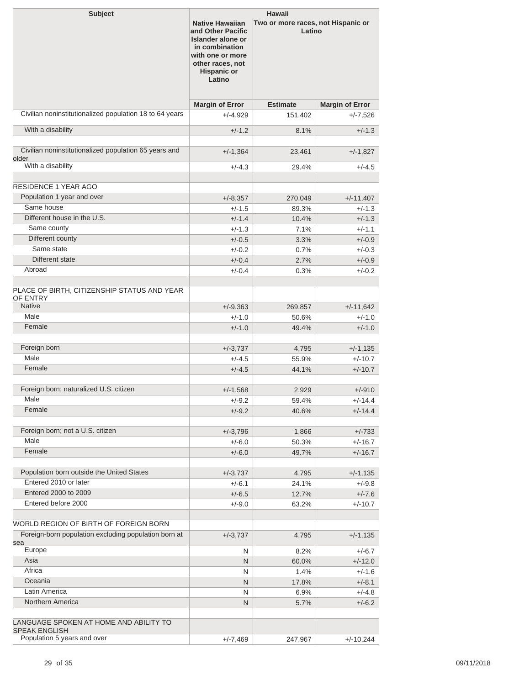| <b>Native Hawaiian</b><br>Two or more races, not Hispanic or<br>Latino<br>and Other Pacific<br>Islander alone or<br>in combination<br>with one or more<br>other races, not<br><b>Hispanic or</b><br>Latino<br><b>Margin of Error</b><br><b>Estimate</b><br><b>Margin of Error</b><br>Civilian noninstitutionalized population 18 to 64 years<br>$+/-4,929$<br>151,402<br>$+/-7,526$<br>With a disability<br>$+/-1.2$<br>$+/-1.3$<br>8.1%<br>Civilian noninstitutionalized population 65 years and<br>$+/-1,364$<br>$+/-1,827$<br>23,461<br>older<br>With a disability<br>$+/-4.5$<br>$+/-4.3$<br>29.4%<br><b>RESIDENCE 1 YEAR AGO</b><br>Population 1 year and over<br>$+/-11,407$<br>$+/-8,357$<br>270,049<br>Same house<br>$+/-1.5$<br>89.3%<br>$+/-1.3$<br>Different house in the U.S.<br>$+/-1.4$<br>$+/-1.3$<br>10.4%<br>Same county<br>$+/-1.3$<br>7.1%<br>$+/-1.1$<br>Different county<br>$+/-0.5$<br>3.3%<br>$+/-0.9$<br>Same state<br>$+/-0.2$<br>0.7%<br>$+/-0.3$<br>Different state<br>$+/-0.9$<br>$+/-0.4$<br>2.7%<br>Abroad<br>$+/-0.4$<br>0.3%<br>$+/-0.2$<br><b>Native</b><br>$+/-9,363$<br>269,857<br>$+/-11,642$<br>Male<br>$+/-1.0$<br>$+/-1.0$<br>50.6%<br>Female<br>$+/-1.0$<br>$+/-1.0$<br>49.4%<br>Foreign born<br>$+/-3,737$<br>4,795<br>$+/-1,135$<br>Male<br>$+/-4.5$<br>55.9%<br>$+/-10.7$<br>Female<br>$+/-4.5$<br>$+/-10.7$<br>44.1%<br>Foreign born; naturalized U.S. citizen<br>2,929<br>$+/-910$<br>$+/-1,568$<br>Male<br>$+/-9.2$<br>59.4%<br>$+/-14.4$<br>Female<br>$+/-9.2$<br>$+/-14.4$<br>40.6%<br>Foreign born; not a U.S. citizen<br>$+/-3,796$<br>1,866<br>$+/-733$<br>Male<br>$+/-6.0$<br>50.3%<br>$+/-16.7$<br>Female<br>$+/-6.0$<br>49.7%<br>$+/-16.7$<br>Population born outside the United States<br>$+/-3,737$<br>4,795<br>$+/-1,135$<br>Entered 2010 or later<br>$+/-9.8$<br>$+/-6.1$<br>24.1%<br>Entered 2000 to 2009<br>$+/-6.5$<br>12.7%<br>$+/-7.6$<br>Entered before 2000<br>$+/-9.0$<br>63.2%<br>$+/-10.7$<br>WORLD REGION OF BIRTH OF FOREIGN BORN<br>Foreign-born population excluding population born at<br>$+/-3,737$<br>$+/-1,135$<br>4,795<br>sea<br>Europe<br>N<br>8.2%<br>$+/-6.7$<br>Asia<br>N<br>$+/-12.0$<br>60.0%<br>Africa<br>1.4%<br>$+/-1.6$<br>N<br>Oceania<br>N<br>$+/-8.1$<br>17.8%<br>Latin America<br>$+/-4.8$<br>N<br>6.9%<br>Northern America<br>N<br>$+/-6.2$<br>5.7%<br><b>SPEAK ENGLISH</b><br>Population 5 years and over<br>$+/-7,469$<br>247,967<br>$+/-10,244$ | <b>Subject</b>                                          | Hawaii |  |  |  |
|-------------------------------------------------------------------------------------------------------------------------------------------------------------------------------------------------------------------------------------------------------------------------------------------------------------------------------------------------------------------------------------------------------------------------------------------------------------------------------------------------------------------------------------------------------------------------------------------------------------------------------------------------------------------------------------------------------------------------------------------------------------------------------------------------------------------------------------------------------------------------------------------------------------------------------------------------------------------------------------------------------------------------------------------------------------------------------------------------------------------------------------------------------------------------------------------------------------------------------------------------------------------------------------------------------------------------------------------------------------------------------------------------------------------------------------------------------------------------------------------------------------------------------------------------------------------------------------------------------------------------------------------------------------------------------------------------------------------------------------------------------------------------------------------------------------------------------------------------------------------------------------------------------------------------------------------------------------------------------------------------------------------------------------------------------------------------------------------------------------------------------------------------------------------------------------------------------------------------------------------------------------------------------------------------------------------------------------------------------------------------------------------------------------------------------------------------|---------------------------------------------------------|--------|--|--|--|
|                                                                                                                                                                                                                                                                                                                                                                                                                                                                                                                                                                                                                                                                                                                                                                                                                                                                                                                                                                                                                                                                                                                                                                                                                                                                                                                                                                                                                                                                                                                                                                                                                                                                                                                                                                                                                                                                                                                                                                                                                                                                                                                                                                                                                                                                                                                                                                                                                                                 |                                                         |        |  |  |  |
|                                                                                                                                                                                                                                                                                                                                                                                                                                                                                                                                                                                                                                                                                                                                                                                                                                                                                                                                                                                                                                                                                                                                                                                                                                                                                                                                                                                                                                                                                                                                                                                                                                                                                                                                                                                                                                                                                                                                                                                                                                                                                                                                                                                                                                                                                                                                                                                                                                                 |                                                         |        |  |  |  |
|                                                                                                                                                                                                                                                                                                                                                                                                                                                                                                                                                                                                                                                                                                                                                                                                                                                                                                                                                                                                                                                                                                                                                                                                                                                                                                                                                                                                                                                                                                                                                                                                                                                                                                                                                                                                                                                                                                                                                                                                                                                                                                                                                                                                                                                                                                                                                                                                                                                 |                                                         |        |  |  |  |
|                                                                                                                                                                                                                                                                                                                                                                                                                                                                                                                                                                                                                                                                                                                                                                                                                                                                                                                                                                                                                                                                                                                                                                                                                                                                                                                                                                                                                                                                                                                                                                                                                                                                                                                                                                                                                                                                                                                                                                                                                                                                                                                                                                                                                                                                                                                                                                                                                                                 |                                                         |        |  |  |  |
|                                                                                                                                                                                                                                                                                                                                                                                                                                                                                                                                                                                                                                                                                                                                                                                                                                                                                                                                                                                                                                                                                                                                                                                                                                                                                                                                                                                                                                                                                                                                                                                                                                                                                                                                                                                                                                                                                                                                                                                                                                                                                                                                                                                                                                                                                                                                                                                                                                                 |                                                         |        |  |  |  |
|                                                                                                                                                                                                                                                                                                                                                                                                                                                                                                                                                                                                                                                                                                                                                                                                                                                                                                                                                                                                                                                                                                                                                                                                                                                                                                                                                                                                                                                                                                                                                                                                                                                                                                                                                                                                                                                                                                                                                                                                                                                                                                                                                                                                                                                                                                                                                                                                                                                 |                                                         |        |  |  |  |
|                                                                                                                                                                                                                                                                                                                                                                                                                                                                                                                                                                                                                                                                                                                                                                                                                                                                                                                                                                                                                                                                                                                                                                                                                                                                                                                                                                                                                                                                                                                                                                                                                                                                                                                                                                                                                                                                                                                                                                                                                                                                                                                                                                                                                                                                                                                                                                                                                                                 |                                                         |        |  |  |  |
|                                                                                                                                                                                                                                                                                                                                                                                                                                                                                                                                                                                                                                                                                                                                                                                                                                                                                                                                                                                                                                                                                                                                                                                                                                                                                                                                                                                                                                                                                                                                                                                                                                                                                                                                                                                                                                                                                                                                                                                                                                                                                                                                                                                                                                                                                                                                                                                                                                                 |                                                         |        |  |  |  |
|                                                                                                                                                                                                                                                                                                                                                                                                                                                                                                                                                                                                                                                                                                                                                                                                                                                                                                                                                                                                                                                                                                                                                                                                                                                                                                                                                                                                                                                                                                                                                                                                                                                                                                                                                                                                                                                                                                                                                                                                                                                                                                                                                                                                                                                                                                                                                                                                                                                 |                                                         |        |  |  |  |
|                                                                                                                                                                                                                                                                                                                                                                                                                                                                                                                                                                                                                                                                                                                                                                                                                                                                                                                                                                                                                                                                                                                                                                                                                                                                                                                                                                                                                                                                                                                                                                                                                                                                                                                                                                                                                                                                                                                                                                                                                                                                                                                                                                                                                                                                                                                                                                                                                                                 |                                                         |        |  |  |  |
|                                                                                                                                                                                                                                                                                                                                                                                                                                                                                                                                                                                                                                                                                                                                                                                                                                                                                                                                                                                                                                                                                                                                                                                                                                                                                                                                                                                                                                                                                                                                                                                                                                                                                                                                                                                                                                                                                                                                                                                                                                                                                                                                                                                                                                                                                                                                                                                                                                                 |                                                         |        |  |  |  |
|                                                                                                                                                                                                                                                                                                                                                                                                                                                                                                                                                                                                                                                                                                                                                                                                                                                                                                                                                                                                                                                                                                                                                                                                                                                                                                                                                                                                                                                                                                                                                                                                                                                                                                                                                                                                                                                                                                                                                                                                                                                                                                                                                                                                                                                                                                                                                                                                                                                 |                                                         |        |  |  |  |
|                                                                                                                                                                                                                                                                                                                                                                                                                                                                                                                                                                                                                                                                                                                                                                                                                                                                                                                                                                                                                                                                                                                                                                                                                                                                                                                                                                                                                                                                                                                                                                                                                                                                                                                                                                                                                                                                                                                                                                                                                                                                                                                                                                                                                                                                                                                                                                                                                                                 |                                                         |        |  |  |  |
|                                                                                                                                                                                                                                                                                                                                                                                                                                                                                                                                                                                                                                                                                                                                                                                                                                                                                                                                                                                                                                                                                                                                                                                                                                                                                                                                                                                                                                                                                                                                                                                                                                                                                                                                                                                                                                                                                                                                                                                                                                                                                                                                                                                                                                                                                                                                                                                                                                                 |                                                         |        |  |  |  |
|                                                                                                                                                                                                                                                                                                                                                                                                                                                                                                                                                                                                                                                                                                                                                                                                                                                                                                                                                                                                                                                                                                                                                                                                                                                                                                                                                                                                                                                                                                                                                                                                                                                                                                                                                                                                                                                                                                                                                                                                                                                                                                                                                                                                                                                                                                                                                                                                                                                 |                                                         |        |  |  |  |
|                                                                                                                                                                                                                                                                                                                                                                                                                                                                                                                                                                                                                                                                                                                                                                                                                                                                                                                                                                                                                                                                                                                                                                                                                                                                                                                                                                                                                                                                                                                                                                                                                                                                                                                                                                                                                                                                                                                                                                                                                                                                                                                                                                                                                                                                                                                                                                                                                                                 |                                                         |        |  |  |  |
|                                                                                                                                                                                                                                                                                                                                                                                                                                                                                                                                                                                                                                                                                                                                                                                                                                                                                                                                                                                                                                                                                                                                                                                                                                                                                                                                                                                                                                                                                                                                                                                                                                                                                                                                                                                                                                                                                                                                                                                                                                                                                                                                                                                                                                                                                                                                                                                                                                                 |                                                         |        |  |  |  |
|                                                                                                                                                                                                                                                                                                                                                                                                                                                                                                                                                                                                                                                                                                                                                                                                                                                                                                                                                                                                                                                                                                                                                                                                                                                                                                                                                                                                                                                                                                                                                                                                                                                                                                                                                                                                                                                                                                                                                                                                                                                                                                                                                                                                                                                                                                                                                                                                                                                 | PLACE OF BIRTH, CITIZENSHIP STATUS AND YEAR<br>OF ENTRY |        |  |  |  |
|                                                                                                                                                                                                                                                                                                                                                                                                                                                                                                                                                                                                                                                                                                                                                                                                                                                                                                                                                                                                                                                                                                                                                                                                                                                                                                                                                                                                                                                                                                                                                                                                                                                                                                                                                                                                                                                                                                                                                                                                                                                                                                                                                                                                                                                                                                                                                                                                                                                 |                                                         |        |  |  |  |
|                                                                                                                                                                                                                                                                                                                                                                                                                                                                                                                                                                                                                                                                                                                                                                                                                                                                                                                                                                                                                                                                                                                                                                                                                                                                                                                                                                                                                                                                                                                                                                                                                                                                                                                                                                                                                                                                                                                                                                                                                                                                                                                                                                                                                                                                                                                                                                                                                                                 |                                                         |        |  |  |  |
|                                                                                                                                                                                                                                                                                                                                                                                                                                                                                                                                                                                                                                                                                                                                                                                                                                                                                                                                                                                                                                                                                                                                                                                                                                                                                                                                                                                                                                                                                                                                                                                                                                                                                                                                                                                                                                                                                                                                                                                                                                                                                                                                                                                                                                                                                                                                                                                                                                                 |                                                         |        |  |  |  |
|                                                                                                                                                                                                                                                                                                                                                                                                                                                                                                                                                                                                                                                                                                                                                                                                                                                                                                                                                                                                                                                                                                                                                                                                                                                                                                                                                                                                                                                                                                                                                                                                                                                                                                                                                                                                                                                                                                                                                                                                                                                                                                                                                                                                                                                                                                                                                                                                                                                 |                                                         |        |  |  |  |
|                                                                                                                                                                                                                                                                                                                                                                                                                                                                                                                                                                                                                                                                                                                                                                                                                                                                                                                                                                                                                                                                                                                                                                                                                                                                                                                                                                                                                                                                                                                                                                                                                                                                                                                                                                                                                                                                                                                                                                                                                                                                                                                                                                                                                                                                                                                                                                                                                                                 |                                                         |        |  |  |  |
|                                                                                                                                                                                                                                                                                                                                                                                                                                                                                                                                                                                                                                                                                                                                                                                                                                                                                                                                                                                                                                                                                                                                                                                                                                                                                                                                                                                                                                                                                                                                                                                                                                                                                                                                                                                                                                                                                                                                                                                                                                                                                                                                                                                                                                                                                                                                                                                                                                                 |                                                         |        |  |  |  |
|                                                                                                                                                                                                                                                                                                                                                                                                                                                                                                                                                                                                                                                                                                                                                                                                                                                                                                                                                                                                                                                                                                                                                                                                                                                                                                                                                                                                                                                                                                                                                                                                                                                                                                                                                                                                                                                                                                                                                                                                                                                                                                                                                                                                                                                                                                                                                                                                                                                 |                                                         |        |  |  |  |
|                                                                                                                                                                                                                                                                                                                                                                                                                                                                                                                                                                                                                                                                                                                                                                                                                                                                                                                                                                                                                                                                                                                                                                                                                                                                                                                                                                                                                                                                                                                                                                                                                                                                                                                                                                                                                                                                                                                                                                                                                                                                                                                                                                                                                                                                                                                                                                                                                                                 |                                                         |        |  |  |  |
|                                                                                                                                                                                                                                                                                                                                                                                                                                                                                                                                                                                                                                                                                                                                                                                                                                                                                                                                                                                                                                                                                                                                                                                                                                                                                                                                                                                                                                                                                                                                                                                                                                                                                                                                                                                                                                                                                                                                                                                                                                                                                                                                                                                                                                                                                                                                                                                                                                                 |                                                         |        |  |  |  |
|                                                                                                                                                                                                                                                                                                                                                                                                                                                                                                                                                                                                                                                                                                                                                                                                                                                                                                                                                                                                                                                                                                                                                                                                                                                                                                                                                                                                                                                                                                                                                                                                                                                                                                                                                                                                                                                                                                                                                                                                                                                                                                                                                                                                                                                                                                                                                                                                                                                 |                                                         |        |  |  |  |
|                                                                                                                                                                                                                                                                                                                                                                                                                                                                                                                                                                                                                                                                                                                                                                                                                                                                                                                                                                                                                                                                                                                                                                                                                                                                                                                                                                                                                                                                                                                                                                                                                                                                                                                                                                                                                                                                                                                                                                                                                                                                                                                                                                                                                                                                                                                                                                                                                                                 |                                                         |        |  |  |  |
|                                                                                                                                                                                                                                                                                                                                                                                                                                                                                                                                                                                                                                                                                                                                                                                                                                                                                                                                                                                                                                                                                                                                                                                                                                                                                                                                                                                                                                                                                                                                                                                                                                                                                                                                                                                                                                                                                                                                                                                                                                                                                                                                                                                                                                                                                                                                                                                                                                                 |                                                         |        |  |  |  |
|                                                                                                                                                                                                                                                                                                                                                                                                                                                                                                                                                                                                                                                                                                                                                                                                                                                                                                                                                                                                                                                                                                                                                                                                                                                                                                                                                                                                                                                                                                                                                                                                                                                                                                                                                                                                                                                                                                                                                                                                                                                                                                                                                                                                                                                                                                                                                                                                                                                 |                                                         |        |  |  |  |
|                                                                                                                                                                                                                                                                                                                                                                                                                                                                                                                                                                                                                                                                                                                                                                                                                                                                                                                                                                                                                                                                                                                                                                                                                                                                                                                                                                                                                                                                                                                                                                                                                                                                                                                                                                                                                                                                                                                                                                                                                                                                                                                                                                                                                                                                                                                                                                                                                                                 |                                                         |        |  |  |  |
|                                                                                                                                                                                                                                                                                                                                                                                                                                                                                                                                                                                                                                                                                                                                                                                                                                                                                                                                                                                                                                                                                                                                                                                                                                                                                                                                                                                                                                                                                                                                                                                                                                                                                                                                                                                                                                                                                                                                                                                                                                                                                                                                                                                                                                                                                                                                                                                                                                                 |                                                         |        |  |  |  |
|                                                                                                                                                                                                                                                                                                                                                                                                                                                                                                                                                                                                                                                                                                                                                                                                                                                                                                                                                                                                                                                                                                                                                                                                                                                                                                                                                                                                                                                                                                                                                                                                                                                                                                                                                                                                                                                                                                                                                                                                                                                                                                                                                                                                                                                                                                                                                                                                                                                 |                                                         |        |  |  |  |
|                                                                                                                                                                                                                                                                                                                                                                                                                                                                                                                                                                                                                                                                                                                                                                                                                                                                                                                                                                                                                                                                                                                                                                                                                                                                                                                                                                                                                                                                                                                                                                                                                                                                                                                                                                                                                                                                                                                                                                                                                                                                                                                                                                                                                                                                                                                                                                                                                                                 |                                                         |        |  |  |  |
|                                                                                                                                                                                                                                                                                                                                                                                                                                                                                                                                                                                                                                                                                                                                                                                                                                                                                                                                                                                                                                                                                                                                                                                                                                                                                                                                                                                                                                                                                                                                                                                                                                                                                                                                                                                                                                                                                                                                                                                                                                                                                                                                                                                                                                                                                                                                                                                                                                                 |                                                         |        |  |  |  |
|                                                                                                                                                                                                                                                                                                                                                                                                                                                                                                                                                                                                                                                                                                                                                                                                                                                                                                                                                                                                                                                                                                                                                                                                                                                                                                                                                                                                                                                                                                                                                                                                                                                                                                                                                                                                                                                                                                                                                                                                                                                                                                                                                                                                                                                                                                                                                                                                                                                 |                                                         |        |  |  |  |
|                                                                                                                                                                                                                                                                                                                                                                                                                                                                                                                                                                                                                                                                                                                                                                                                                                                                                                                                                                                                                                                                                                                                                                                                                                                                                                                                                                                                                                                                                                                                                                                                                                                                                                                                                                                                                                                                                                                                                                                                                                                                                                                                                                                                                                                                                                                                                                                                                                                 |                                                         |        |  |  |  |
|                                                                                                                                                                                                                                                                                                                                                                                                                                                                                                                                                                                                                                                                                                                                                                                                                                                                                                                                                                                                                                                                                                                                                                                                                                                                                                                                                                                                                                                                                                                                                                                                                                                                                                                                                                                                                                                                                                                                                                                                                                                                                                                                                                                                                                                                                                                                                                                                                                                 |                                                         |        |  |  |  |
|                                                                                                                                                                                                                                                                                                                                                                                                                                                                                                                                                                                                                                                                                                                                                                                                                                                                                                                                                                                                                                                                                                                                                                                                                                                                                                                                                                                                                                                                                                                                                                                                                                                                                                                                                                                                                                                                                                                                                                                                                                                                                                                                                                                                                                                                                                                                                                                                                                                 |                                                         |        |  |  |  |
|                                                                                                                                                                                                                                                                                                                                                                                                                                                                                                                                                                                                                                                                                                                                                                                                                                                                                                                                                                                                                                                                                                                                                                                                                                                                                                                                                                                                                                                                                                                                                                                                                                                                                                                                                                                                                                                                                                                                                                                                                                                                                                                                                                                                                                                                                                                                                                                                                                                 |                                                         |        |  |  |  |
|                                                                                                                                                                                                                                                                                                                                                                                                                                                                                                                                                                                                                                                                                                                                                                                                                                                                                                                                                                                                                                                                                                                                                                                                                                                                                                                                                                                                                                                                                                                                                                                                                                                                                                                                                                                                                                                                                                                                                                                                                                                                                                                                                                                                                                                                                                                                                                                                                                                 |                                                         |        |  |  |  |
|                                                                                                                                                                                                                                                                                                                                                                                                                                                                                                                                                                                                                                                                                                                                                                                                                                                                                                                                                                                                                                                                                                                                                                                                                                                                                                                                                                                                                                                                                                                                                                                                                                                                                                                                                                                                                                                                                                                                                                                                                                                                                                                                                                                                                                                                                                                                                                                                                                                 |                                                         |        |  |  |  |
|                                                                                                                                                                                                                                                                                                                                                                                                                                                                                                                                                                                                                                                                                                                                                                                                                                                                                                                                                                                                                                                                                                                                                                                                                                                                                                                                                                                                                                                                                                                                                                                                                                                                                                                                                                                                                                                                                                                                                                                                                                                                                                                                                                                                                                                                                                                                                                                                                                                 |                                                         |        |  |  |  |
|                                                                                                                                                                                                                                                                                                                                                                                                                                                                                                                                                                                                                                                                                                                                                                                                                                                                                                                                                                                                                                                                                                                                                                                                                                                                                                                                                                                                                                                                                                                                                                                                                                                                                                                                                                                                                                                                                                                                                                                                                                                                                                                                                                                                                                                                                                                                                                                                                                                 |                                                         |        |  |  |  |
|                                                                                                                                                                                                                                                                                                                                                                                                                                                                                                                                                                                                                                                                                                                                                                                                                                                                                                                                                                                                                                                                                                                                                                                                                                                                                                                                                                                                                                                                                                                                                                                                                                                                                                                                                                                                                                                                                                                                                                                                                                                                                                                                                                                                                                                                                                                                                                                                                                                 |                                                         |        |  |  |  |
|                                                                                                                                                                                                                                                                                                                                                                                                                                                                                                                                                                                                                                                                                                                                                                                                                                                                                                                                                                                                                                                                                                                                                                                                                                                                                                                                                                                                                                                                                                                                                                                                                                                                                                                                                                                                                                                                                                                                                                                                                                                                                                                                                                                                                                                                                                                                                                                                                                                 | LANGUAGE SPOKEN AT HOME AND ABILITY TO                  |        |  |  |  |
|                                                                                                                                                                                                                                                                                                                                                                                                                                                                                                                                                                                                                                                                                                                                                                                                                                                                                                                                                                                                                                                                                                                                                                                                                                                                                                                                                                                                                                                                                                                                                                                                                                                                                                                                                                                                                                                                                                                                                                                                                                                                                                                                                                                                                                                                                                                                                                                                                                                 |                                                         |        |  |  |  |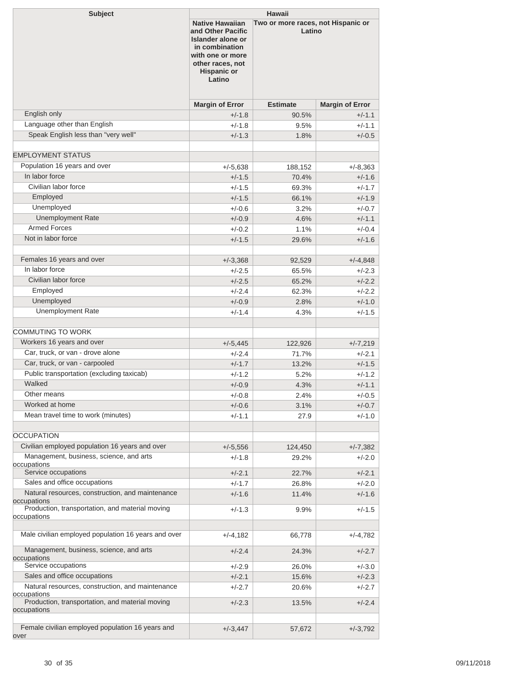| <b>Subject</b>                                                                                                                                             | <b>Hawaii</b>          |                                              |                        |  |
|------------------------------------------------------------------------------------------------------------------------------------------------------------|------------------------|----------------------------------------------|------------------------|--|
| <b>Native Hawaiian</b><br>and Other Pacific<br>Islander alone or<br>in combination<br>with one or more<br>other races, not<br><b>Hispanic or</b><br>Latino |                        | Two or more races, not Hispanic or<br>Latino |                        |  |
|                                                                                                                                                            | <b>Margin of Error</b> | <b>Estimate</b>                              | <b>Margin of Error</b> |  |
| English only                                                                                                                                               | $+/-1.8$               | 90.5%                                        | $+/-1.1$               |  |
| Language other than English                                                                                                                                | $+/-1.8$               | 9.5%                                         | $+/-1.1$               |  |
| Speak English less than "very well"                                                                                                                        | $+/-1.3$               | 1.8%                                         | $+/-0.5$               |  |
| <b>EMPLOYMENT STATUS</b>                                                                                                                                   |                        |                                              |                        |  |
| Population 16 years and over                                                                                                                               | $+/-5,638$             | 188,152                                      | $+/-8,363$             |  |
| In labor force                                                                                                                                             | $+/-1.5$               | 70.4%                                        | $+/-1.6$               |  |
| Civilian labor force                                                                                                                                       | $+/-1.5$               | 69.3%                                        | $+/-1.7$               |  |
| Employed                                                                                                                                                   | $+/-1.5$               | 66.1%                                        | $+/-1.9$               |  |
| Unemployed                                                                                                                                                 | $+/-0.6$               | 3.2%                                         | $+/-0.7$               |  |
| <b>Unemployment Rate</b>                                                                                                                                   | $+/-0.9$               | 4.6%                                         | $+/-1.1$               |  |
| <b>Armed Forces</b>                                                                                                                                        | $+/-0.2$               | 1.1%                                         | $+/-0.4$               |  |
| Not in labor force                                                                                                                                         | $+/-1.5$               | 29.6%                                        | $+/-1.6$               |  |
|                                                                                                                                                            |                        |                                              |                        |  |
| Females 16 years and over                                                                                                                                  | $+/-3,368$             | 92,529                                       | $+/-4,848$             |  |
| In labor force                                                                                                                                             | $+/-2.5$               | 65.5%                                        | $+/-2.3$               |  |
| Civilian labor force                                                                                                                                       | $+/-2.5$               | 65.2%                                        | $+/-2.2$               |  |
| Employed                                                                                                                                                   | $+/-2.4$               | 62.3%                                        | $+/-2.2$               |  |
| Unemployed                                                                                                                                                 | $+/-0.9$               | 2.8%                                         | $+/-1.0$               |  |
| <b>Unemployment Rate</b>                                                                                                                                   | $+/-1.4$               | 4.3%                                         | $+/-1.5$               |  |
|                                                                                                                                                            |                        |                                              |                        |  |
| COMMUTING TO WORK                                                                                                                                          |                        |                                              |                        |  |
| Workers 16 years and over                                                                                                                                  | $+/-5,445$             | 122,926                                      | $+/-7.219$             |  |
| Car, truck, or van - drove alone                                                                                                                           | $+/-2.4$               | 71.7%                                        | +/-2.1                 |  |
| Car, truck, or van - carpooled                                                                                                                             | $+/-1.7$               | 13.2%                                        | $+/-1.5$               |  |
| Public transportation (excluding taxicab)<br>Walked                                                                                                        | $+/-1.2$               | 5.2%                                         | $+/-1.2$               |  |
| Other means                                                                                                                                                | $+/-0.9$               | 4.3%                                         | $+/-1.1$               |  |
| Worked at home                                                                                                                                             | $+/-0.8$               | 2.4%                                         | $+/-0.5$               |  |
| Mean travel time to work (minutes)                                                                                                                         | $+/-0.6$               | 3.1%                                         | $+/-0.7$               |  |
|                                                                                                                                                            | $+/-1.1$               | 27.9                                         | $+/-1.0$               |  |
| <b>OCCUPATION</b>                                                                                                                                          |                        |                                              |                        |  |
| Civilian employed population 16 years and over                                                                                                             | $+/-5,556$             | 124,450                                      | $+/-7,382$             |  |
| Management, business, science, and arts                                                                                                                    | $+/-1.8$               | 29.2%                                        | $+/-2.0$               |  |
| occupations                                                                                                                                                |                        |                                              |                        |  |
| Service occupations                                                                                                                                        | $+/-2.1$               | 22.7%                                        | $+/-2.1$               |  |
| Sales and office occupations                                                                                                                               | $+/-1.7$               | 26.8%                                        | $+/-2.0$               |  |
| Natural resources, construction, and maintenance<br>occupations                                                                                            | $+/-1.6$               | 11.4%                                        | $+/-1.6$               |  |
| Production, transportation, and material moving                                                                                                            | $+/-1.3$               | 9.9%                                         | $+/-1.5$               |  |
| occupations                                                                                                                                                |                        |                                              |                        |  |
| Male civilian employed population 16 years and over                                                                                                        | $+/-4,182$             | 66,778                                       | $+/-4,782$             |  |
| Management, business, science, and arts<br>occupations                                                                                                     | $+/-2.4$               | 24.3%                                        | $+/-2.7$               |  |
| Service occupations                                                                                                                                        | $+/-2.9$               | 26.0%                                        | $+/-3.0$               |  |
| Sales and office occupations                                                                                                                               | $+/-2.1$               | 15.6%                                        | $+/-2.3$               |  |
| Natural resources, construction, and maintenance<br>occupations                                                                                            | $+/-2.7$               | 20.6%                                        | $+/-2.7$               |  |
| Production, transportation, and material moving<br>occupations                                                                                             | $+/-2.3$               | 13.5%                                        | $+/-2.4$               |  |
| Female civilian employed population 16 years and<br>over                                                                                                   | $+/-3,447$             | 57,672                                       | $+/-3,792$             |  |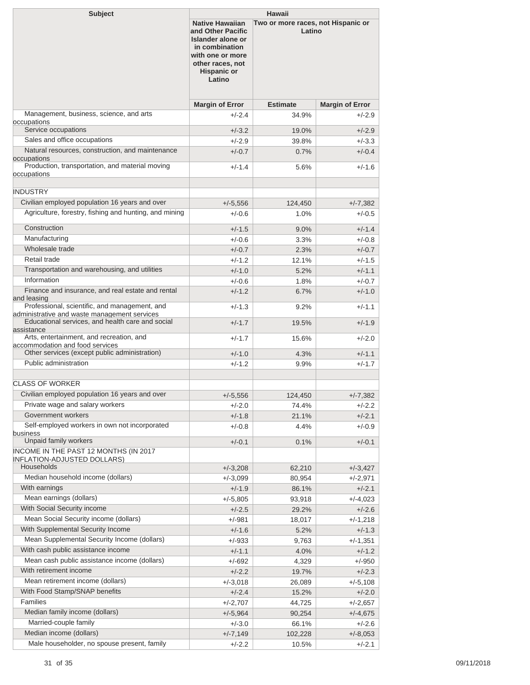| <b>Subject</b>                                                                                           | <b>Hawaii</b>                                                                                                                                              |                                              |                        |
|----------------------------------------------------------------------------------------------------------|------------------------------------------------------------------------------------------------------------------------------------------------------------|----------------------------------------------|------------------------|
|                                                                                                          | <b>Native Hawaiian</b><br>and Other Pacific<br>Islander alone or<br>in combination<br>with one or more<br>other races, not<br><b>Hispanic or</b><br>Latino | Two or more races, not Hispanic or<br>Latino |                        |
|                                                                                                          | <b>Margin of Error</b>                                                                                                                                     | <b>Estimate</b>                              | <b>Margin of Error</b> |
| Management, business, science, and arts<br>occupations                                                   | $+/-2.4$                                                                                                                                                   | 34.9%                                        | +/-2.9                 |
| Service occupations                                                                                      | $+/-3.2$                                                                                                                                                   | 19.0%                                        | $+/-2.9$               |
| Sales and office occupations                                                                             | $+/-2.9$                                                                                                                                                   | 39.8%                                        | $+/-3.3$               |
| Natural resources, construction, and maintenance                                                         | $+/-0.7$                                                                                                                                                   | 0.7%                                         | $+/-0.4$               |
| occupations<br>Production, transportation, and material moving<br>occupations                            | $+/-1.4$                                                                                                                                                   | 5.6%                                         | $+/-1.6$               |
|                                                                                                          |                                                                                                                                                            |                                              |                        |
| <b>INDUSTRY</b>                                                                                          |                                                                                                                                                            |                                              |                        |
| Civilian employed population 16 years and over<br>Agriculture, forestry, fishing and hunting, and mining | $+/-5.556$                                                                                                                                                 | 124,450                                      | $+/-7,382$             |
|                                                                                                          | $+/-0.6$                                                                                                                                                   | 1.0%                                         | $+/-0.5$               |
| Construction                                                                                             | $+/-1.5$                                                                                                                                                   | 9.0%                                         | $+/-1.4$               |
| Manufacturing                                                                                            | $+/-0.6$                                                                                                                                                   | 3.3%                                         | $+/-0.8$               |
| Wholesale trade                                                                                          | $+/-0.7$                                                                                                                                                   | 2.3%                                         | $+/-0.7$               |
| Retail trade                                                                                             | $+/-1.2$                                                                                                                                                   | 12.1%                                        | $+/-1.5$               |
| Transportation and warehousing, and utilities                                                            | $+/-1.0$                                                                                                                                                   | 5.2%                                         | $+/-1.1$               |
| Information                                                                                              | $+/-0.6$                                                                                                                                                   | 1.8%                                         | $+/-0.7$               |
| Finance and insurance, and real estate and rental<br>and leasing                                         | $+/-1.2$                                                                                                                                                   | 6.7%                                         | $+/-1.0$               |
| Professional, scientific, and management, and<br>administrative and waste management services            | $+/-1.3$                                                                                                                                                   | 9.2%                                         | $+/-1.1$               |
| Educational services, and health care and social<br>assistance                                           | $+/-1.7$                                                                                                                                                   | 19.5%                                        | $+/-1.9$               |
| Arts, entertainment, and recreation, and<br>accommodation and food services                              | $+/-1.7$                                                                                                                                                   | 15.6%                                        | $+/-2.0$               |
| Other services (except public administration)                                                            | $+/-1.0$                                                                                                                                                   | 4.3%                                         | $+/-1.1$               |
| Public administration                                                                                    | $+/-1.2$                                                                                                                                                   | 9.9%                                         | $+/-1.7$               |
| <b>CLASS OF WORKER</b>                                                                                   |                                                                                                                                                            |                                              |                        |
| Civilian employed population 16 years and over                                                           |                                                                                                                                                            |                                              |                        |
| Private wage and salary workers                                                                          | $+/-5,556$                                                                                                                                                 | 124,450<br>74.4%                             | $+/-7,382$             |
| Government workers                                                                                       | $+/-2.0$<br>$+/-1.8$                                                                                                                                       | 21.1%                                        | +/-2.2<br>+/-2.1       |
| Self-employed workers in own not incorporated                                                            | $+/-0.8$                                                                                                                                                   | 4.4%                                         | $+/-0.9$               |
| business                                                                                                 |                                                                                                                                                            |                                              |                        |
| Unpaid family workers                                                                                    | $+/-0.1$                                                                                                                                                   | 0.1%                                         | $+/-0.1$               |
| INCOME IN THE PAST 12 MONTHS (IN 2017<br><b>INFLATION-ADJUSTED DOLLARS)</b>                              |                                                                                                                                                            |                                              |                        |
| Households                                                                                               | $+/-3,208$                                                                                                                                                 | 62,210                                       | $+/-3,427$             |
| Median household income (dollars)                                                                        | $+/-3,099$                                                                                                                                                 | 80,954                                       | $+/-2,971$             |
| With earnings                                                                                            | $+/-1.9$                                                                                                                                                   | 86.1%                                        | $+/-2.1$               |
| Mean earnings (dollars)                                                                                  | $+/-5,805$                                                                                                                                                 | 93,918                                       | $+/-4,023$             |
| With Social Security income                                                                              | $+/-2.5$                                                                                                                                                   | 29.2%                                        | +/-2.6                 |
| Mean Social Security income (dollars)                                                                    | +/-981                                                                                                                                                     | 18,017                                       | $+/-1,218$             |
| With Supplemental Security Income                                                                        | $+/-1.6$                                                                                                                                                   | 5.2%                                         | +/-1.3                 |
| Mean Supplemental Security Income (dollars)                                                              | $+/-933$                                                                                                                                                   | 9,763                                        | $+/-1,351$             |
| With cash public assistance income                                                                       | $+/-1.1$                                                                                                                                                   | 4.0%                                         | $+/-1.2$               |
| Mean cash public assistance income (dollars)                                                             | +/-692                                                                                                                                                     | 4,329                                        | $+/-950$               |
| With retirement income                                                                                   | $+/-2.2$                                                                                                                                                   | 19.7%                                        | $+/-2.3$               |
| Mean retirement income (dollars)                                                                         | $+/-3,018$                                                                                                                                                 | 26,089                                       | $+/-5,108$             |
| With Food Stamp/SNAP benefits<br>Families                                                                | $+/-2.4$                                                                                                                                                   | 15.2%                                        | $+/-2.0$               |
| Median family income (dollars)                                                                           | $+/-2,707$                                                                                                                                                 | 44,725                                       | $+/-2,657$             |
| Married-couple family                                                                                    | $+/-5,964$                                                                                                                                                 | 90,254                                       | $+/-4,675$             |
| Median income (dollars)                                                                                  | $+/-3.0$<br>$+/-7,149$                                                                                                                                     | 66.1%<br>102,228                             | +/-2.6<br>$+/-8,053$   |
| Male householder, no spouse present, family                                                              | $+/-2.2$                                                                                                                                                   | 10.5%                                        | $+/-2.1$               |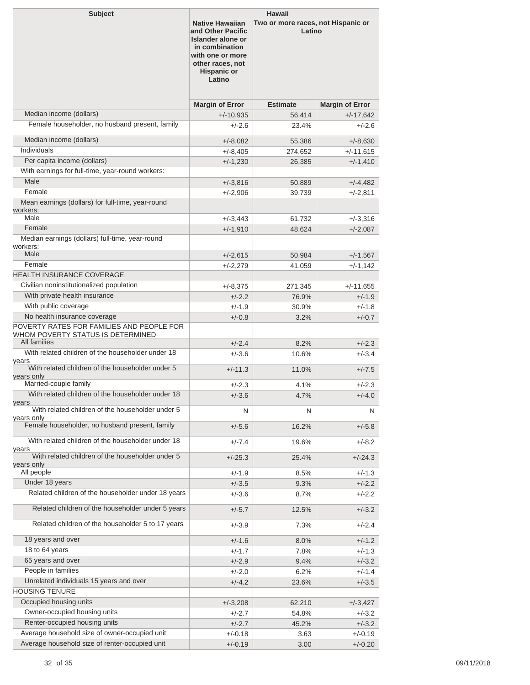| <b>Subject</b>                                                                                                 | <b>Hawaii</b>                                                                                                                                              |                                              |                        |  |
|----------------------------------------------------------------------------------------------------------------|------------------------------------------------------------------------------------------------------------------------------------------------------------|----------------------------------------------|------------------------|--|
|                                                                                                                | <b>Native Hawaiian</b><br>and Other Pacific<br>Islander alone or<br>in combination<br>with one or more<br>other races, not<br><b>Hispanic or</b><br>Latino | Two or more races, not Hispanic or<br>Latino |                        |  |
|                                                                                                                | <b>Margin of Error</b>                                                                                                                                     | <b>Estimate</b>                              | <b>Margin of Error</b> |  |
| Median income (dollars)                                                                                        | $+/-10,935$                                                                                                                                                | 56,414                                       | $+/-17,642$            |  |
| Female householder, no husband present, family                                                                 | $+/-2.6$                                                                                                                                                   | 23.4%                                        | +/-2.6                 |  |
| Median income (dollars)                                                                                        | $+/-8,082$                                                                                                                                                 | 55,386                                       | $+/-8,630$             |  |
| Individuals                                                                                                    | $+/-8,405$                                                                                                                                                 | 274,652                                      | $+/-11.615$            |  |
| Per capita income (dollars)<br>With earnings for full-time, year-round workers:                                | $+/-1,230$                                                                                                                                                 | 26,385                                       | $+/-1,410$             |  |
| Male                                                                                                           | $+/-3,816$                                                                                                                                                 | 50,889                                       | $+/-4,482$             |  |
| Female                                                                                                         | +/-2,906                                                                                                                                                   | 39,739                                       | $+/-2,811$             |  |
| Mean earnings (dollars) for full-time, year-round<br>workers:                                                  |                                                                                                                                                            |                                              |                        |  |
| Male                                                                                                           | +/-3,443                                                                                                                                                   | 61,732                                       | $+/-3,316$             |  |
| Female<br>Median earnings (dollars) full-time, year-round                                                      | $+/-1,910$                                                                                                                                                 | 48.624                                       | $+/-2.087$             |  |
| workers:<br>Male                                                                                               | $+/-2,615$                                                                                                                                                 | 50,984                                       | $+/-1,567$             |  |
| Female                                                                                                         | $+/-2,279$                                                                                                                                                 | 41,059                                       | $+/-1,142$             |  |
| <b>HEALTH INSURANCE COVERAGE</b>                                                                               |                                                                                                                                                            |                                              |                        |  |
| Civilian noninstitutionalized population                                                                       | +/-8,375                                                                                                                                                   | 271,345                                      | $+/-11.655$            |  |
| With private health insurance                                                                                  | $+/-2.2$                                                                                                                                                   | 76.9%                                        | $+/-1.9$               |  |
| With public coverage                                                                                           | $+/-1.9$                                                                                                                                                   | 30.9%                                        | $+/-1.8$               |  |
| No health insurance coverage                                                                                   | $+/-0.8$                                                                                                                                                   | 3.2%                                         | $+/-0.7$               |  |
| POVERTY RATES FOR FAMILIES AND PEOPLE FOR<br>WHOM POVERTY STATUS IS DETERMINED                                 |                                                                                                                                                            |                                              |                        |  |
| All families                                                                                                   | $+/-2.4$                                                                                                                                                   | 8.2%                                         | $+/-2.3$               |  |
| With related children of the householder under 18<br>years                                                     | $+/-3.6$                                                                                                                                                   | 10.6%                                        | $+/-3.4$               |  |
| With related children of the householder under 5<br>years only                                                 | $+/-11.3$                                                                                                                                                  | 11.0%                                        | $+/-7.5$               |  |
| Married-couple family                                                                                          | $+/-2.3$                                                                                                                                                   | 4.1%                                         | +/-2.3                 |  |
| With related children of the householder under 18<br>years<br>With related children of the householder under 5 | $+/-3.6$                                                                                                                                                   | 4.7%                                         | $+/-4.0$               |  |
| years only                                                                                                     | N                                                                                                                                                          | N                                            | N                      |  |
| Female householder, no husband present, family                                                                 | $+/-5.6$                                                                                                                                                   | 16.2%                                        | $+/-5.8$               |  |
| With related children of the householder under 18<br>years                                                     | $+/-7.4$                                                                                                                                                   | 19.6%                                        | $+/-8.2$               |  |
| With related children of the householder under 5<br>years only                                                 | $+/-25.3$                                                                                                                                                  | 25.4%                                        | $+/-24.3$              |  |
| All people                                                                                                     | $+/-1.9$                                                                                                                                                   | 8.5%                                         | $+/-1.3$               |  |
| Under 18 years                                                                                                 | $+/-3.5$                                                                                                                                                   | 9.3%                                         | $+/-2.2$               |  |
| Related children of the householder under 18 years                                                             | $+/-3.6$                                                                                                                                                   | 8.7%                                         | +/-2.2                 |  |
| Related children of the householder under 5 years                                                              | $+/-5.7$                                                                                                                                                   | 12.5%                                        | $+/-3.2$               |  |
| Related children of the householder 5 to 17 years<br>18 years and over                                         | $+/-3.9$                                                                                                                                                   | 7.3%                                         | $+/-2.4$               |  |
| 18 to 64 years                                                                                                 | $+/-1.6$                                                                                                                                                   | 8.0%                                         | $+/-1.2$               |  |
| 65 years and over                                                                                              | $+/-1.7$<br>$+/-2.9$                                                                                                                                       | 7.8%<br>9.4%                                 | $+/-1.3$<br>$+/-3.2$   |  |
| People in families                                                                                             | $+/-2.0$                                                                                                                                                   | 6.2%                                         | +/-1.4                 |  |
| Unrelated individuals 15 years and over                                                                        | $+/-4.2$                                                                                                                                                   | 23.6%                                        | $+/-3.5$               |  |
| <b>HOUSING TENURE</b>                                                                                          |                                                                                                                                                            |                                              |                        |  |
| Occupied housing units                                                                                         | $+/-3,208$                                                                                                                                                 | 62,210                                       | $+/-3,427$             |  |
| Owner-occupied housing units                                                                                   | $+/-2.7$                                                                                                                                                   | 54.8%                                        | +/-3.2                 |  |
| Renter-occupied housing units                                                                                  | $+/-2.7$                                                                                                                                                   | 45.2%                                        | $+/-3.2$               |  |
| Average household size of owner-occupied unit                                                                  | $+/-0.18$                                                                                                                                                  | 3.63                                         | $+/-0.19$              |  |
| Average household size of renter-occupied unit                                                                 | $+/-0.19$                                                                                                                                                  | 3.00                                         | $+/-0.20$              |  |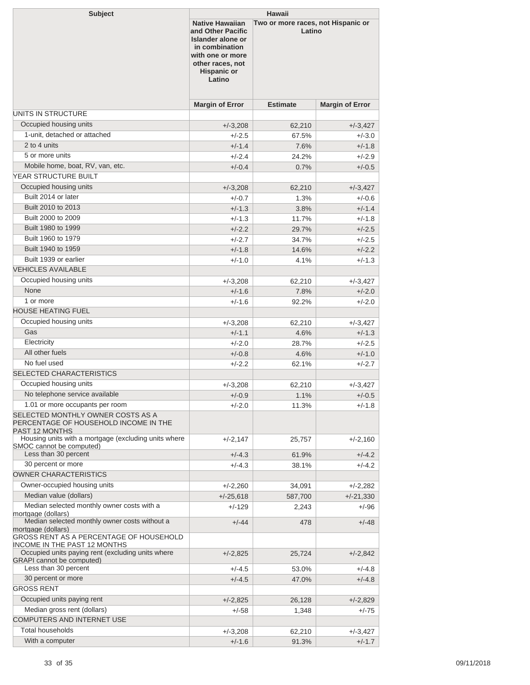| <b>Subject</b>                                                                                                                                            | <b>Hawaii</b>                                                                                                                                              |                                              |                        |  |
|-----------------------------------------------------------------------------------------------------------------------------------------------------------|------------------------------------------------------------------------------------------------------------------------------------------------------------|----------------------------------------------|------------------------|--|
|                                                                                                                                                           | <b>Native Hawaiian</b><br>and Other Pacific<br>Islander alone or<br>in combination<br>with one or more<br>other races, not<br><b>Hispanic or</b><br>Latino | Two or more races, not Hispanic or<br>Latino |                        |  |
|                                                                                                                                                           | <b>Margin of Error</b>                                                                                                                                     | <b>Estimate</b>                              | <b>Margin of Error</b> |  |
| UNITS IN STRUCTURE                                                                                                                                        |                                                                                                                                                            |                                              |                        |  |
| Occupied housing units                                                                                                                                    | $+/-3,208$                                                                                                                                                 | 62,210                                       | $+/-3,427$             |  |
| 1-unit, detached or attached                                                                                                                              | $+/-2.5$                                                                                                                                                   | 67.5%                                        | $+/-3.0$               |  |
| 2 to 4 units                                                                                                                                              | $+/-1.4$                                                                                                                                                   | 7.6%                                         | $+/-1.8$               |  |
| 5 or more units                                                                                                                                           | $+/-2.4$                                                                                                                                                   | 24.2%                                        | $+/-2.9$               |  |
| Mobile home, boat, RV, van, etc.                                                                                                                          | $+/-0.4$                                                                                                                                                   | 0.7%                                         | $+/-0.5$               |  |
| YEAR STRUCTURE BUILT                                                                                                                                      |                                                                                                                                                            |                                              |                        |  |
| Occupied housing units                                                                                                                                    | $+/-3,208$                                                                                                                                                 | 62.210                                       | $+/-3,427$             |  |
| Built 2014 or later                                                                                                                                       | $+/-0.7$                                                                                                                                                   | 1.3%                                         | $+/-0.6$               |  |
| Built 2010 to 2013                                                                                                                                        | $+/-1.3$                                                                                                                                                   | 3.8%                                         | $+/-1.4$               |  |
| Built 2000 to 2009                                                                                                                                        | $+/-1.3$                                                                                                                                                   | 11.7%                                        | $+/-1.8$               |  |
| Built 1980 to 1999                                                                                                                                        | $+/-2.2$                                                                                                                                                   | 29.7%                                        | $+/-2.5$               |  |
| Built 1960 to 1979                                                                                                                                        | $+/-2.7$                                                                                                                                                   | 34.7%                                        | $+/-2.5$               |  |
| Built 1940 to 1959                                                                                                                                        | $+/-1.8$                                                                                                                                                   | 14.6%                                        | $+/-2.2$               |  |
| Built 1939 or earlier                                                                                                                                     | $+/-1.0$                                                                                                                                                   | 4.1%                                         | $+/-1.3$               |  |
| <b>VEHICLES AVAILABLE</b>                                                                                                                                 |                                                                                                                                                            |                                              |                        |  |
| Occupied housing units                                                                                                                                    | $+/-3,208$                                                                                                                                                 | 62,210                                       | $+/-3,427$             |  |
| <b>None</b>                                                                                                                                               | $+/-1.6$                                                                                                                                                   | 7.8%                                         | $+/-2.0$               |  |
| 1 or more                                                                                                                                                 | $+/-1.6$                                                                                                                                                   | 92.2%                                        | $+/-2.0$               |  |
| <b>HOUSE HEATING FUEL</b>                                                                                                                                 |                                                                                                                                                            |                                              |                        |  |
| Occupied housing units                                                                                                                                    | $+/-3,208$                                                                                                                                                 | 62,210                                       | $+/-3,427$             |  |
| Gas                                                                                                                                                       | $+/-1.1$                                                                                                                                                   | 4.6%                                         | $+/-1.3$               |  |
| Electricity                                                                                                                                               | $+/-2.0$                                                                                                                                                   | 28.7%                                        | $+/-2.5$               |  |
| All other fuels                                                                                                                                           |                                                                                                                                                            | 4.6%                                         | $+/-1.0$               |  |
| No fuel used                                                                                                                                              | $+/-0.8$                                                                                                                                                   |                                              |                        |  |
| SELECTED CHARACTERISTICS                                                                                                                                  | $+/-2.2$                                                                                                                                                   | 62.1%                                        | $+/-2.7$               |  |
| Occupied housing units                                                                                                                                    |                                                                                                                                                            |                                              |                        |  |
| No telephone service available                                                                                                                            | $+/-3,208$                                                                                                                                                 | 62,210                                       | $+/-3,427$             |  |
|                                                                                                                                                           | $+/-0.9$                                                                                                                                                   | 1.1%                                         | $+/-0.5$               |  |
| 1.01 or more occupants per room<br>SELECTED MONTHLY OWNER COSTS AS A<br>PERCENTAGE OF HOUSEHOLD INCOME IN THE<br><b>PAST 12 MONTHS</b>                    | $+/-2.0$                                                                                                                                                   | 11.3%                                        | $+/-1.8$               |  |
| Housing units with a mortgage (excluding units where<br>SMOC cannot be computed)                                                                          | $+/-2,147$                                                                                                                                                 | 25,757                                       | $+/-2,160$             |  |
| Less than 30 percent                                                                                                                                      | $+/-4.3$                                                                                                                                                   | 61.9%                                        | $+/-4.2$               |  |
| 30 percent or more                                                                                                                                        | $+/-4.3$                                                                                                                                                   | 38.1%                                        | $+/-4.2$               |  |
| <b>OWNER CHARACTERISTICS</b>                                                                                                                              |                                                                                                                                                            |                                              |                        |  |
| Owner-occupied housing units                                                                                                                              | $+/-2,260$                                                                                                                                                 | 34,091                                       | $+/-2,282$             |  |
| Median value (dollars)                                                                                                                                    | $+/-25,618$                                                                                                                                                | 587,700                                      | $+/-21,330$            |  |
| Median selected monthly owner costs with a                                                                                                                | +/-129                                                                                                                                                     | 2,243                                        | +/-96                  |  |
| mortgage (dollars)<br>Median selected monthly owner costs without a                                                                                       | $+/-44$                                                                                                                                                    | 478                                          | $+/-48$                |  |
| mortgage (dollars)<br>GROSS RENT AS A PERCENTAGE OF HOUSEHOLD<br><b>INCOME IN THE PAST 12 MONTHS</b><br>Occupied units paying rent (excluding units where |                                                                                                                                                            |                                              |                        |  |
| <b>GRAPI</b> cannot be computed)<br>Less than 30 percent                                                                                                  | $+/-2,825$                                                                                                                                                 | 25,724                                       | $+/-2,842$             |  |
| 30 percent or more                                                                                                                                        | +/-4.5                                                                                                                                                     | 53.0%                                        | +/-4.8                 |  |
| <b>GROSS RENT</b>                                                                                                                                         | $+/-4.5$                                                                                                                                                   | 47.0%                                        | $+/-4.8$               |  |
|                                                                                                                                                           |                                                                                                                                                            |                                              |                        |  |
| Occupied units paying rent                                                                                                                                | $+/-2,825$                                                                                                                                                 | 26,128                                       | +/-2,829               |  |
| Median gross rent (dollars)<br>COMPUTERS AND INTERNET USE                                                                                                 | $+/-58$                                                                                                                                                    | 1,348                                        | +/-75                  |  |
| <b>Total households</b>                                                                                                                                   |                                                                                                                                                            |                                              |                        |  |
| With a computer                                                                                                                                           | $+/-3,208$                                                                                                                                                 | 62,210                                       | $+/-3,427$             |  |
|                                                                                                                                                           | $+/-1.6$                                                                                                                                                   | 91.3%                                        | $+/-1.7$               |  |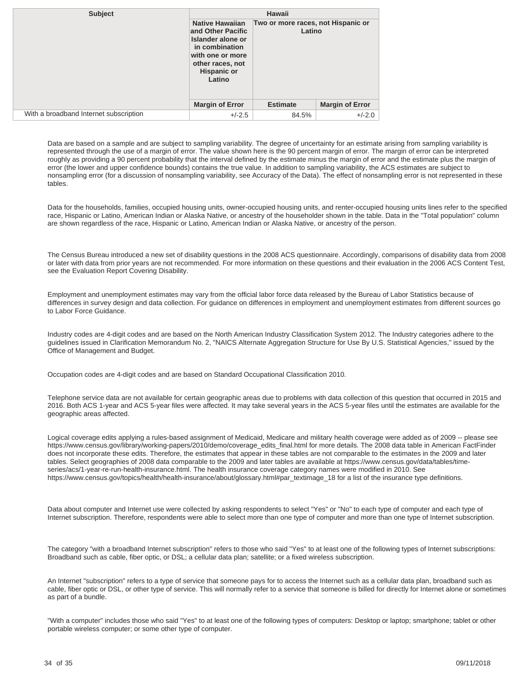| <b>Subject</b>                         | Hawaii                                                                                                                                                     |                                              |                        |  |
|----------------------------------------|------------------------------------------------------------------------------------------------------------------------------------------------------------|----------------------------------------------|------------------------|--|
|                                        | <b>Native Hawaiian</b><br>and Other Pacific<br>Islander alone or<br>in combination<br>with one or more<br>other races, not<br><b>Hispanic or</b><br>Latino | Two or more races, not Hispanic or<br>Latino |                        |  |
|                                        | <b>Margin of Error</b>                                                                                                                                     | <b>Estimate</b>                              | <b>Margin of Error</b> |  |
| With a broadband Internet subscription | $+/-2.5$                                                                                                                                                   | 84.5%                                        | $+/-2.0$               |  |

Data are based on a sample and are subject to sampling variability. The degree of uncertainty for an estimate arising from sampling variability is represented through the use of a margin of error. The value shown here is the 90 percent margin of error. The margin of error can be interpreted roughly as providing a 90 percent probability that the interval defined by the estimate minus the margin of error and the estimate plus the margin of error (the lower and upper confidence bounds) contains the true value. In addition to sampling variability, the ACS estimates are subject to nonsampling error (for a discussion of nonsampling variability, see [Accuracy of the Data\)](https://www.census.gov/programs-surveys/acs/technical-documentation.html/). The effect of nonsampling error is not represented in these tables.

Data for the households, families, occupied housing units, owner-occupied housing units, and renter-occupied housing units lines refer to the specified race, Hispanic or Latino, American Indian or Alaska Native, or ancestry of the householder shown in the table. Data in the "Total population" column are shown regardless of the race, Hispanic or Latino, American Indian or Alaska Native, or ancestry of the person.

The Census Bureau introduced a new set of disability questions in the 2008 ACS questionnaire. Accordingly, comparisons of disability data from 2008 or later with data from prior years are not recommended. For more information on these questions and their evaluation in the 2006 ACS Content Test, see the [Evaluation Report Covering Disability.](https://www.census.gov/content/dam/Census/library/working-papers/2007/acs/2007_Brault_01.pdf)

Employment and unemployment estimates may vary from the official labor force data released by the Bureau of Labor Statistics because of differences in survey design and data collection. For guidance on differences in employment and unemployment estimates from different sources go to [Labor Force Guidance](https://www.census.gov/hhes/www/laborfor/laborguidance092209.html).

Industry codes are 4-digit codes and are based on the North American Industry Classification System 2012. The Industry categories adhere to the guidelines issued in Clarification Memorandum No. 2, "NAICS Alternate Aggregation Structure for Use By U.S. Statistical Agencies," issued by the Office of Management and Budget.

Occupation codes are 4-digit codes and are based on Standard Occupational Classification 2010.

Telephone service data are not available for certain geographic areas due to problems with data collection of this question that occurred in 2015 and 2016. Both ACS 1-year and ACS 5-year files were affected. It may take several years in the ACS 5-year files until the estimates are available for the geographic areas affected.

Logical coverage edits applying a rules-based assignment of Medicaid, Medicare and military health coverage were added as of 2009 -- please see [https://www.census.gov/library/working-papers/2010/demo/coverage\\_edits\\_final.html](https://www.census.gov/library/working-papers/2010/demo/coverage_edits_final.html) for more details. The 2008 data table in American FactFinder does not incorporate these edits. Therefore, the estimates that appear in these tables are not comparable to the estimates in the 2009 and later tables. Select geographies of 2008 data comparable to the 2009 and later tables are available at [https://www.census.gov/data/tables/time](https://www.census.gov/data/tables/time-series/acs/1-year-re-run-health-insurance.html)[series/acs/1-year-re-run-health-insurance.html](https://www.census.gov/data/tables/time-series/acs/1-year-re-run-health-insurance.html). The health insurance coverage category names were modified in 2010. See [https://www.census.gov/topics/health/health-insurance/about/glossary.html#par\\_textimage\\_18](https://www.census.gov/topics/health/health-insurance/about/glossary.html#par_textimage_18) for a list of the insurance type definitions.

Data about computer and Internet use were collected by asking respondents to select "Yes" or "No" to each type of computer and each type of Internet subscription. Therefore, respondents were able to select more than one type of computer and more than one type of Internet subscription.

The category "with a broadband Internet subscription" refers to those who said "Yes" to at least one of the following types of Internet subscriptions: Broadband such as cable, fiber optic, or DSL; a cellular data plan; satellite; or a fixed wireless subscription.

An Internet "subscription" refers to a type of service that someone pays for to access the Internet such as a cellular data plan, broadband such as cable, fiber optic or DSL, or other type of service. This will normally refer to a service that someone is billed for directly for Internet alone or sometimes as part of a bundle.

"With a computer" includes those who said "Yes" to at least one of the following types of computers: Desktop or laptop; smartphone; tablet or other portable wireless computer; or some other type of computer.